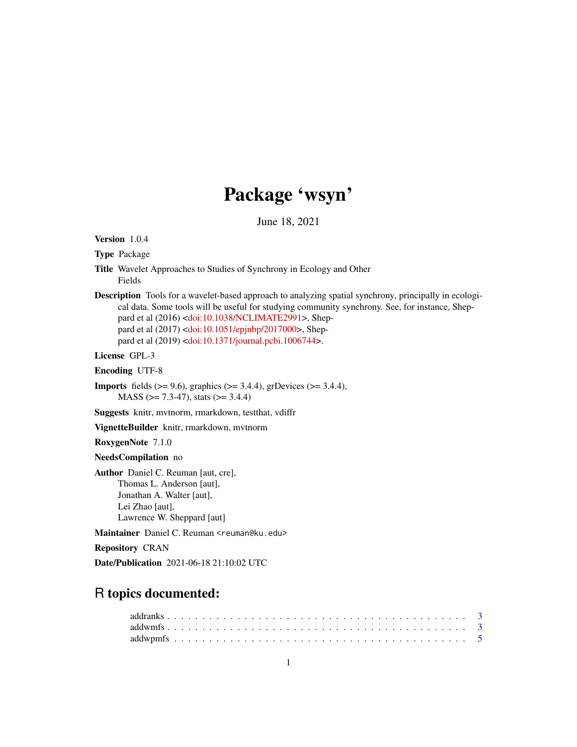# Package 'wsyn'

June 18, 2021

Version 1.0.4

Type Package

- Title Wavelet Approaches to Studies of Synchrony in Ecology and Other Fields
- Description Tools for a wavelet-based approach to analyzing spatial synchrony, principally in ecological data. Some tools will be useful for studying community synchrony. See, for instance, Sheppard et al (2016) [<doi:10.1038/NCLIMATE2991>](https://doi.org/10.1038/NCLIMATE2991), Sheppard et al (2017) [<doi:10.1051/epjnbp/2017000>](https://doi.org/10.1051/epjnbp/2017000), Sheppard et al (2019) [<doi:10.1371/journal.pcbi.1006744>](https://doi.org/10.1371/journal.pcbi.1006744).

License GPL-3

Encoding UTF-8

**Imports** fields  $(>= 9.6)$ , graphics  $(>= 3.4.4)$ , grDevices  $(>= 3.4.4)$ ,  $MASS$  ( $>= 7.3-47$ ), stats ( $>= 3.4.4$ )

Suggests knitr, mvtnorm, rmarkdown, testthat, vdiffr

VignetteBuilder knitr, rmarkdown, mvtnorm

RoxygenNote 7.1.0

NeedsCompilation no

Author Daniel C. Reuman [aut, cre], Thomas L. Anderson [aut], Jonathan A. Walter [aut], Lei Zhao [aut], Lawrence W. Sheppard [aut]

Maintainer Daniel C. Reuman <reuman@ku.edu>

Repository CRAN

Date/Publication 2021-06-18 21:10:02 UTC

## R topics documented: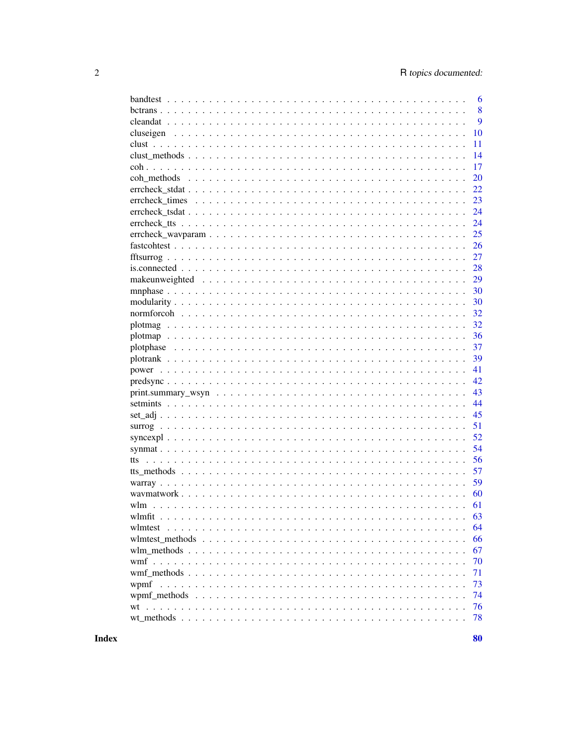|                                                                                                                                                            | 6  |
|------------------------------------------------------------------------------------------------------------------------------------------------------------|----|
|                                                                                                                                                            | 8  |
|                                                                                                                                                            | 9  |
|                                                                                                                                                            | 10 |
|                                                                                                                                                            | 11 |
|                                                                                                                                                            | 14 |
|                                                                                                                                                            | 17 |
|                                                                                                                                                            | 20 |
|                                                                                                                                                            | 22 |
|                                                                                                                                                            | 23 |
|                                                                                                                                                            | 24 |
|                                                                                                                                                            | 24 |
|                                                                                                                                                            | 25 |
|                                                                                                                                                            | 26 |
|                                                                                                                                                            | 27 |
|                                                                                                                                                            | 28 |
|                                                                                                                                                            | 29 |
|                                                                                                                                                            | 30 |
|                                                                                                                                                            | 30 |
|                                                                                                                                                            | 32 |
|                                                                                                                                                            | 32 |
|                                                                                                                                                            | 36 |
|                                                                                                                                                            | 37 |
|                                                                                                                                                            | 39 |
|                                                                                                                                                            | 41 |
|                                                                                                                                                            | 42 |
|                                                                                                                                                            | 43 |
|                                                                                                                                                            | 44 |
|                                                                                                                                                            | 45 |
|                                                                                                                                                            | 51 |
|                                                                                                                                                            | 52 |
|                                                                                                                                                            | 54 |
| tts                                                                                                                                                        | 56 |
|                                                                                                                                                            | 57 |
|                                                                                                                                                            | 59 |
|                                                                                                                                                            | 60 |
|                                                                                                                                                            | 61 |
|                                                                                                                                                            | 63 |
|                                                                                                                                                            | 64 |
| where methods $\ldots$ , $\ldots$ , $\ldots$ , $\ldots$ , $\ldots$ , $\ldots$ , $\ldots$ , $\ldots$ , $\ldots$ , $\ldots$ , $\ldots$ , $\ldots$ , $\ldots$ | 66 |
|                                                                                                                                                            | 67 |
|                                                                                                                                                            | 70 |
|                                                                                                                                                            | 71 |
|                                                                                                                                                            | 73 |
|                                                                                                                                                            | 74 |
| wt                                                                                                                                                         | 76 |
|                                                                                                                                                            | 78 |
|                                                                                                                                                            |    |

**Index**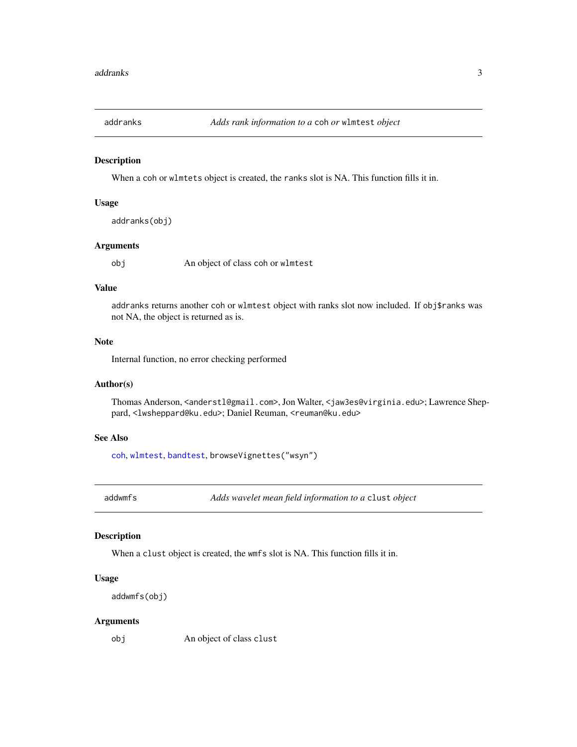<span id="page-2-0"></span>

### Description

When a coh or wlmtets object is created, the ranks slot is NA. This function fills it in.

### Usage

```
addranks(obj)
```
### Arguments

obj An object of class coh or wlmtest

### Value

addranks returns another coh or wlmtest object with ranks slot now included. If obj\$ranks was not NA, the object is returned as is.

### Note

Internal function, no error checking performed

### Author(s)

Thomas Anderson, <anderstl@gmail.com>, Jon Walter, <jaw3es@virginia.edu>; Lawrence Sheppard, <lwsheppard@ku.edu>; Daniel Reuman, <reuman@ku.edu>

#### See Also

[coh](#page-16-1), [wlmtest](#page-63-1), [bandtest](#page-5-1), browseVignettes("wsyn")

<span id="page-2-1"></span>addwmfs *Adds wavelet mean field information to a* clust *object*

#### Description

When a clust object is created, the wmfs slot is NA. This function fills it in.

#### Usage

```
addwmfs(obj)
```
#### Arguments

obj An object of class clust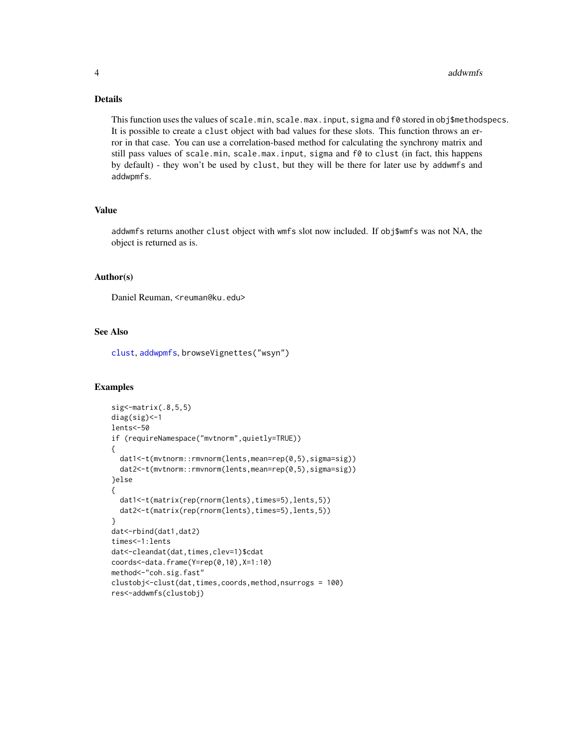### Details

This function uses the values of scale.min, scale.max.input, sigma and f0 stored in obj\$methodspecs. It is possible to create a clust object with bad values for these slots. This function throws an error in that case. You can use a correlation-based method for calculating the synchrony matrix and still pass values of scale.min, scale.max.input, sigma and f0 to clust (in fact, this happens by default) - they won't be used by clust, but they will be there for later use by addwmfs and addwpmfs.

#### Value

addwmfs returns another clust object with wmfs slot now included. If obj\$wmfs was not NA, the object is returned as is.

#### Author(s)

Daniel Reuman, <reuman@ku.edu>

### See Also

[clust](#page-10-1), [addwpmfs](#page-4-1), browseVignettes("wsyn")

### Examples

```
sig <- matrix(.8, 5, 5)diag(sig)<-1
lents<-50
if (requireNamespace("mvtnorm",quietly=TRUE))
{
 dat1<-t(mvtnorm::rmvnorm(lents,mean=rep(0,5),sigma=sig))
 dat2<-t(mvtnorm::rmvnorm(lents,mean=rep(0,5),sigma=sig))
}else
{
 dat1<-t(matrix(rep(rnorm(lents),times=5),lents,5))
 dat2<-t(matrix(rep(rnorm(lents),times=5),lents,5))
}
dat<-rbind(dat1,dat2)
times<-1:lents
dat<-cleandat(dat,times,clev=1)$cdat
coords<-data.frame(Y=rep(0,10),X=1:10)
method<-"coh.sig.fast"
clustobj<-clust(dat,times,coords,method,nsurrogs = 100)
res<-addwmfs(clustobj)
```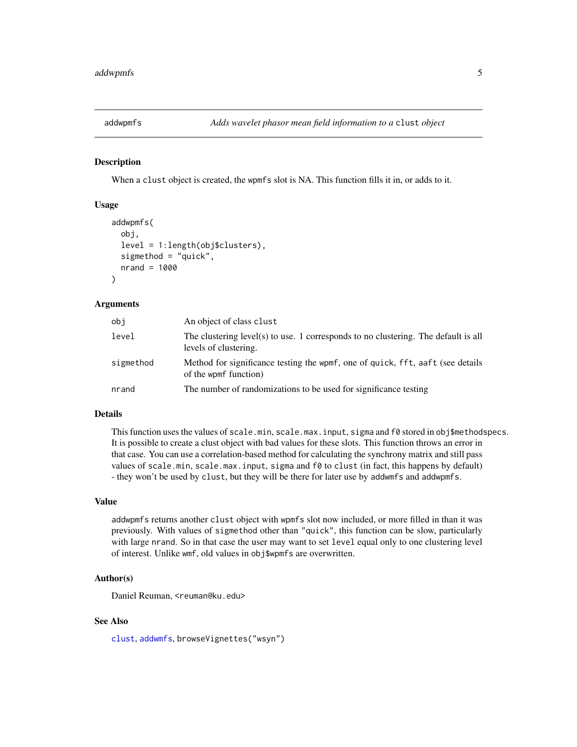<span id="page-4-1"></span><span id="page-4-0"></span>

### Description

When a clust object is created, the wpmfs slot is NA. This function fills it in, or adds to it.

#### Usage

```
addwpmfs(
  obj,
  level = 1:length(obj$clusters),
  sigmethod = "quick",
  nrand = 1000
)
```
#### Arguments

| obi       | An object of class clust                                                                                    |
|-----------|-------------------------------------------------------------------------------------------------------------|
| level     | The clustering level(s) to use. 1 corresponds to no clustering. The default is all<br>levels of clustering. |
| sigmethod | Method for significance testing the wpmf, one of quick, fft, aaft (see details)<br>of the wpmf function)    |
| nrand     | The number of randomizations to be used for significance testing                                            |

#### Details

This function uses the values of scale.min, scale.max.input, sigma and f0 stored in obj\$methodspecs. It is possible to create a clust object with bad values for these slots. This function throws an error in that case. You can use a correlation-based method for calculating the synchrony matrix and still pass values of scale.min, scale.max.input, sigma and f0 to clust (in fact, this happens by default) - they won't be used by clust, but they will be there for later use by addwmfs and addwpmfs.

#### Value

addwpmfs returns another clust object with wpmfs slot now included, or more filled in than it was previously. With values of sigmethod other than "quick", this function can be slow, particularly with large nrand. So in that case the user may want to set level equal only to one clustering level of interest. Unlike wmf, old values in obj\$wpmfs are overwritten.

#### Author(s)

Daniel Reuman, <reuman@ku.edu>

### See Also

[clust](#page-10-1), [addwmfs](#page-2-1), browseVignettes("wsyn")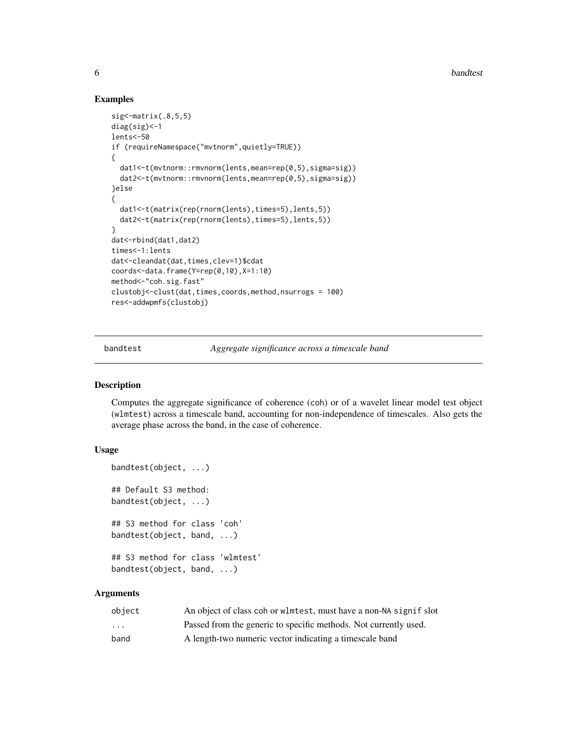**6** bandtest **bandtest bandtest bandtest bandtest bandtest** 

#### Examples

```
sig <- matrix(.8, 5, 5)diag(sig)<-1
lents<-50
if (requireNamespace("mvtnorm",quietly=TRUE))
{
  dat1<-t(mvtnorm::rmvnorm(lents,mean=rep(0,5),sigma=sig))
  dat2<-t(mvtnorm::rmvnorm(lents,mean=rep(0,5),sigma=sig))
}else
{
  dat1<-t(matrix(rep(rnorm(lents),times=5),lents,5))
  dat2<-t(matrix(rep(rnorm(lents),times=5),lents,5))
}
dat<-rbind(dat1,dat2)
times<-1:lents
dat<-cleandat(dat,times,clev=1)$cdat
coords<-data.frame(Y=rep(0,10),X=1:10)
method<-"coh.sig.fast"
clustobj<-clust(dat,times,coords,method,nsurrogs = 100)
res<-addwpmfs(clustobj)
```
<span id="page-5-1"></span>bandtest *Aggregate significance across a timescale band*

#### Description

Computes the aggregate significance of coherence (coh) or of a wavelet linear model test object (wlmtest) across a timescale band, accounting for non-independence of timescales. Also gets the average phase across the band, in the case of coherence.

#### Usage

```
bandtest(object, ...)
## Default S3 method:
bandtest(object, ...)
## S3 method for class 'coh'
bandtest(object, band, ...)
## S3 method for class 'wlmtest'
bandtest(object, band, ...)
```
### Arguments

| object                  | An object of class coh or wlmtest, must have a non-NA signif slot |
|-------------------------|-------------------------------------------------------------------|
| $\cdot$ $\cdot$ $\cdot$ | Passed from the generic to specific methods. Not currently used.  |
| band                    | A length-two numeric vector indicating a timescale band           |

<span id="page-5-0"></span>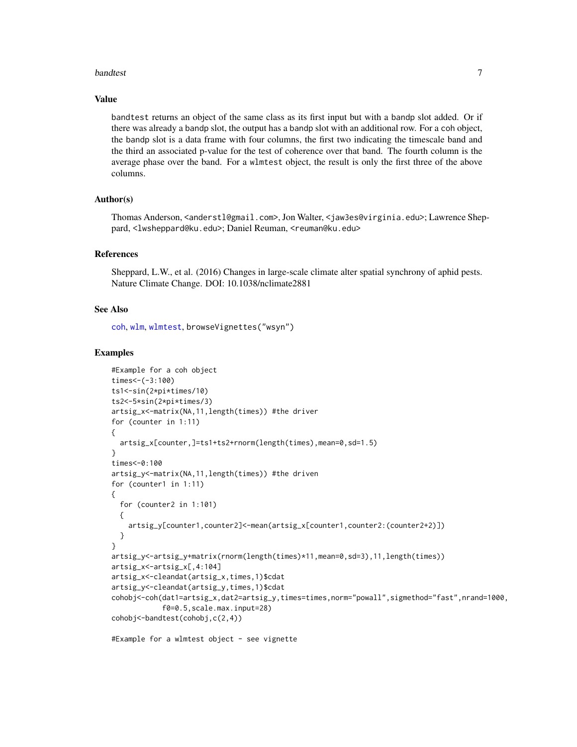#### bandtest 7

#### Value

bandtest returns an object of the same class as its first input but with a bandp slot added. Or if there was already a bandp slot, the output has a bandp slot with an additional row. For a coh object, the bandp slot is a data frame with four columns, the first two indicating the timescale band and the third an associated p-value for the test of coherence over that band. The fourth column is the average phase over the band. For a wlmtest object, the result is only the first three of the above columns.

#### Author(s)

Thomas Anderson, <anderstl@gmail.com>, Jon Walter, <jaw3es@virginia.edu>; Lawrence Sheppard, <lwsheppard@ku.edu>; Daniel Reuman, <reuman@ku.edu>

### References

Sheppard, L.W., et al. (2016) Changes in large-scale climate alter spatial synchrony of aphid pests. Nature Climate Change. DOI: 10.1038/nclimate2881

### See Also

[coh](#page-16-1), [wlm](#page-60-1), [wlmtest](#page-63-1), browseVignettes("wsyn")

#### Examples

```
#Example for a coh object
times < -(-3:100)ts1<-sin(2*pi*times/10)
ts2<-5*sin(2*pi*times/3)
artsig_x<-matrix(NA,11,length(times)) #the driver
for (counter in 1:11)
{
 artsig_x[counter,]=ts1+ts2+rnorm(length(times),mean=0,sd=1.5)
}
times<-0:100
artsig_y<-matrix(NA,11,length(times)) #the driven
for (counter1 in 1:11)
{
  for (counter2 in 1:101)
 {
    artsig_y[counter1,counter2]<-mean(artsig_x[counter1,counter2:(counter2+2)])
 }
}
artsig_y<-artsig_y+matrix(rnorm(length(times)*11,mean=0,sd=3),11,length(times))
artsig_x<-artsig_x[,4:104]
artsig_x<-cleandat(artsig_x,times,1)$cdat
artsig_y<-cleandat(artsig_y,times,1)$cdat
cohobj<-coh(dat1=artsig_x,dat2=artsig_y,times=times,norm="powall",sigmethod="fast",nrand=1000,
            f0=0.5,scale.max.input=28)
cohobj<-bandtest(cohobj,c(2,4))
```
#Example for a wlmtest object - see vignette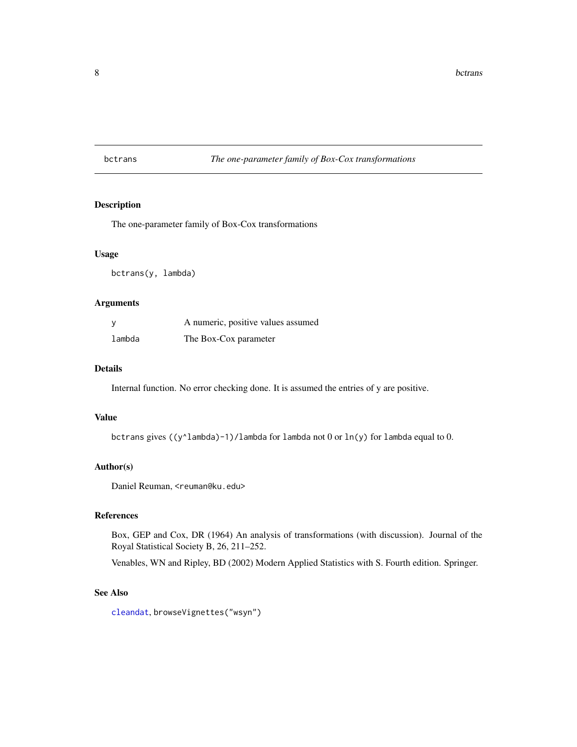### <span id="page-7-0"></span>bctrans *The one-parameter family of Box-Cox transformations*

### Description

The one-parameter family of Box-Cox transformations

### Usage

bctrans(y, lambda)

#### Arguments

|        | A numeric, positive values assumed |
|--------|------------------------------------|
| lambda | The Box-Cox parameter              |

### Details

Internal function. No error checking done. It is assumed the entries of y are positive.

#### Value

bctrans gives ((y^lambda)-1)/lambda for lambda not 0 or ln(y) for lambda equal to 0.

### Author(s)

Daniel Reuman, <reuman@ku.edu>

### References

Box, GEP and Cox, DR (1964) An analysis of transformations (with discussion). Journal of the Royal Statistical Society B, 26, 211–252.

Venables, WN and Ripley, BD (2002) Modern Applied Statistics with S. Fourth edition. Springer.

#### See Also

[cleandat](#page-8-1), browseVignettes("wsyn")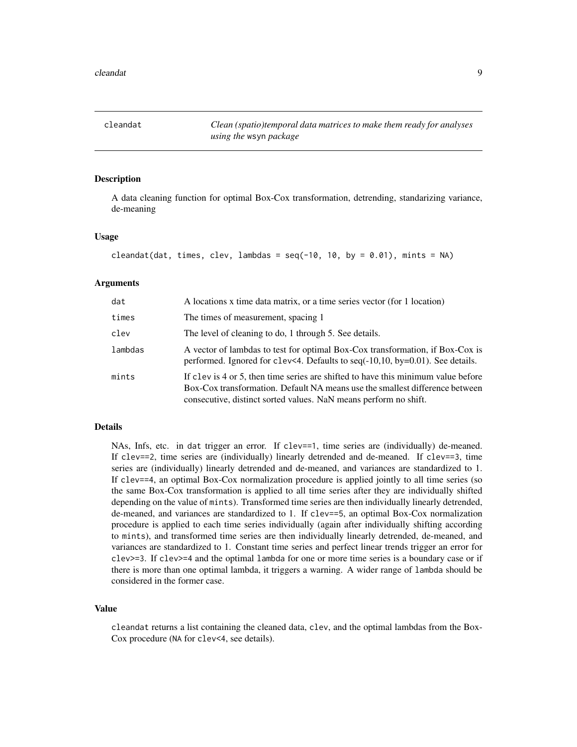<span id="page-8-1"></span><span id="page-8-0"></span>cleandat *Clean (spatio)temporal data matrices to make them ready for analyses using the* wsyn *package*

### Description

A data cleaning function for optimal Box-Cox transformation, detrending, standarizing variance, de-meaning

#### Usage

```
cleandat(dat, times, clev, lambdas = seq(-10, 10, by = 0.01), mints = NA)
```
#### Arguments

| dat     | A locations x time data matrix, or a time series vector (for 1 location)                                                                                                                                                              |
|---------|---------------------------------------------------------------------------------------------------------------------------------------------------------------------------------------------------------------------------------------|
| times   | The times of measurement, spacing 1                                                                                                                                                                                                   |
| clev    | The level of cleaning to do, 1 through 5. See details.                                                                                                                                                                                |
| lambdas | A vector of lambdas to test for optimal Box-Cox transformation, if Box-Cox is<br>performed. Ignored for clev<4. Defaults to seq $(-10,10,$ by=0.01). See details.                                                                     |
| mints   | If clev is 4 or 5, then time series are shifted to have this minimum value before<br>Box-Cox transformation. Default NA means use the smallest difference between<br>consecutive, distinct sorted values. NaN means perform no shift. |

### Details

NAs, Infs, etc. in dat trigger an error. If clev==1, time series are (individually) de-meaned. If clev==2, time series are (individually) linearly detrended and de-meaned. If clev==3, time series are (individually) linearly detrended and de-meaned, and variances are standardized to 1. If clev==4, an optimal Box-Cox normalization procedure is applied jointly to all time series (so the same Box-Cox transformation is applied to all time series after they are individually shifted depending on the value of mints). Transformed time series are then individually linearly detrended, de-meaned, and variances are standardized to 1. If clev==5, an optimal Box-Cox normalization procedure is applied to each time series individually (again after individually shifting according to mints), and transformed time series are then individually linearly detrended, de-meaned, and variances are standardized to 1. Constant time series and perfect linear trends trigger an error for clev>=3. If clev>=4 and the optimal lambda for one or more time series is a boundary case or if there is more than one optimal lambda, it triggers a warning. A wider range of lambda should be considered in the former case.

#### Value

cleandat returns a list containing the cleaned data, clev, and the optimal lambdas from the Box-Cox procedure (NA for clev<4, see details).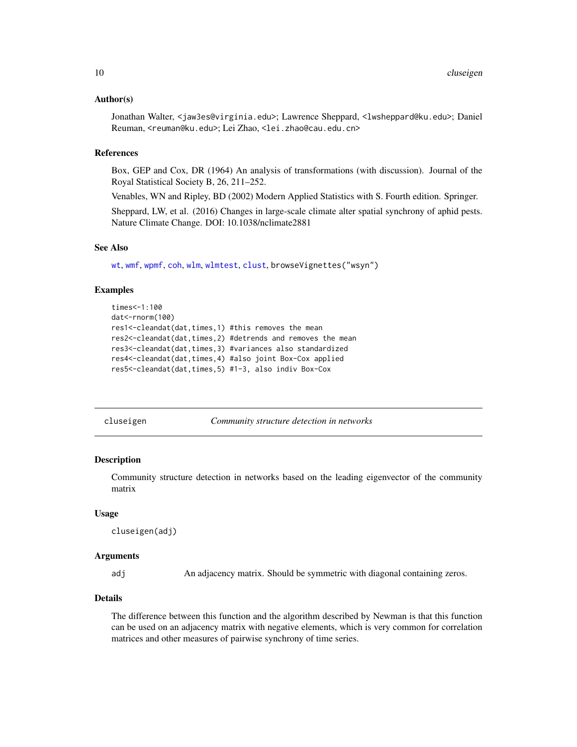#### <span id="page-9-0"></span>Author(s)

Jonathan Walter, <jaw3es@virginia.edu>; Lawrence Sheppard, <lwsheppard@ku.edu>; Daniel Reuman, <reuman@ku.edu>; Lei Zhao, <lei.zhao@cau.edu.cn>

#### References

Box, GEP and Cox, DR (1964) An analysis of transformations (with discussion). Journal of the Royal Statistical Society B, 26, 211–252.

Venables, WN and Ripley, BD (2002) Modern Applied Statistics with S. Fourth edition. Springer.

Sheppard, LW, et al. (2016) Changes in large-scale climate alter spatial synchrony of aphid pests. Nature Climate Change. DOI: 10.1038/nclimate2881

### See Also

[wt](#page-75-1), [wmf](#page-69-1), [wpmf](#page-72-1), [coh](#page-16-1), [wlm](#page-60-1), [wlmtest](#page-63-1), [clust](#page-10-1), browseVignettes("wsyn")

#### Examples

```
times<-1:100
dat<-rnorm(100)
res1<-cleandat(dat,times,1) #this removes the mean
res2<-cleandat(dat,times,2) #detrends and removes the mean
res3<-cleandat(dat,times,3) #variances also standardized
res4<-cleandat(dat,times,4) #also joint Box-Cox applied
res5<-cleandat(dat,times,5) #1-3, also indiv Box-Cox
```
<span id="page-9-1"></span>cluseigen *Community structure detection in networks*

#### Description

Community structure detection in networks based on the leading eigenvector of the community matrix

### Usage

cluseigen(adj)

#### Arguments

adj An adjacency matrix. Should be symmetric with diagonal containing zeros.

### Details

The difference between this function and the algorithm described by Newman is that this function can be used on an adjacency matrix with negative elements, which is very common for correlation matrices and other measures of pairwise synchrony of time series.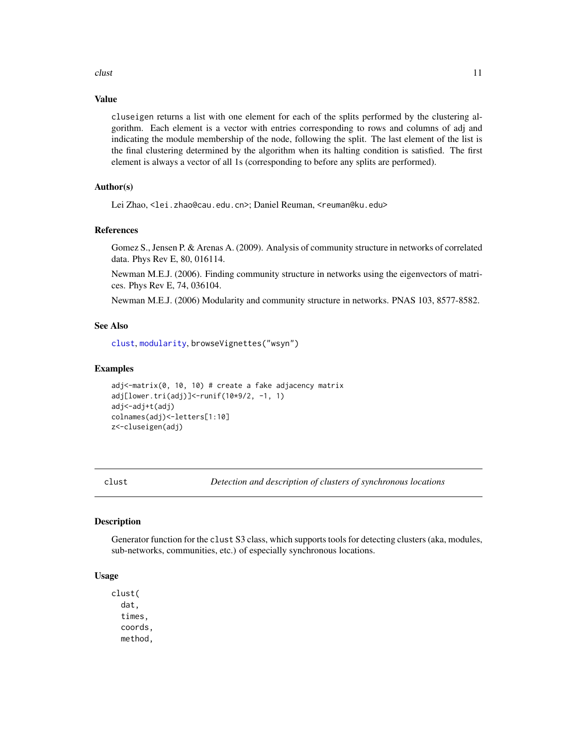#### <span id="page-10-0"></span>clust 11

#### Value

cluseigen returns a list with one element for each of the splits performed by the clustering algorithm. Each element is a vector with entries corresponding to rows and columns of adj and indicating the module membership of the node, following the split. The last element of the list is the final clustering determined by the algorithm when its halting condition is satisfied. The first element is always a vector of all 1s (corresponding to before any splits are performed).

### Author(s)

Lei Zhao, <lei.zhao@cau.edu.cn>; Daniel Reuman, <reuman@ku.edu>

### References

Gomez S., Jensen P. & Arenas A. (2009). Analysis of community structure in networks of correlated data. Phys Rev E, 80, 016114.

Newman M.E.J. (2006). Finding community structure in networks using the eigenvectors of matrices. Phys Rev E, 74, 036104.

Newman M.E.J. (2006) Modularity and community structure in networks. PNAS 103, 8577-8582.

### See Also

```
clust, modularity, browseVignettes("wsyn")
```
#### Examples

```
adj<-matrix(0, 10, 10) # create a fake adjacency matrix
adj[lower.tri(adj)]<-runif(10*9/2, -1, 1)
adj<-adj+t(adj)
colnames(adj)<-letters[1:10]
z<-cluseigen(adj)
```
<span id="page-10-1"></span>

clust *Detection and description of clusters of synchronous locations*

### **Description**

Generator function for the clust S3 class, which supports tools for detecting clusters (aka, modules, sub-networks, communities, etc.) of especially synchronous locations.

#### Usage

clust( dat, times, coords, method,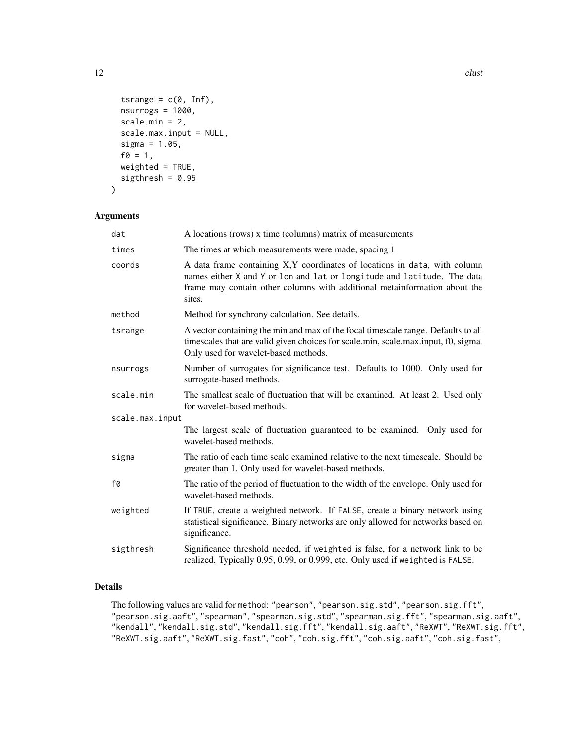```
tsrange = c(\emptyset, Inf),
  nsurrogs = 1000,
  scale.min = 2,
  scale.max.input = NULL,
  sigma = 1.05,
  f0 = 1,
 weighted = TRUE,
  sigthresh = 0.95\mathcal{L}
```
### Arguments

| dat             | A locations (rows) x time (columns) matrix of measurements                                                                                                                                                                                   |
|-----------------|----------------------------------------------------------------------------------------------------------------------------------------------------------------------------------------------------------------------------------------------|
| times           | The times at which measurements were made, spacing 1                                                                                                                                                                                         |
| coords          | A data frame containing X, Y coordinates of locations in data, with column<br>names either X and Y or lon and lat or longitude and latitude. The data<br>frame may contain other columns with additional metainformation about the<br>sites. |
| method          | Method for synchrony calculation. See details.                                                                                                                                                                                               |
| tsrange         | A vector containing the min and max of the focal timescale range. Defaults to all<br>timescales that are valid given choices for scale.min, scale.max.input, f0, sigma.<br>Only used for wavelet-based methods.                              |
| nsurrogs        | Number of surrogates for significance test. Defaults to 1000. Only used for<br>surrogate-based methods.                                                                                                                                      |
| scale.min       | The smallest scale of fluctuation that will be examined. At least 2. Used only<br>for wavelet-based methods.                                                                                                                                 |
| scale.max.input |                                                                                                                                                                                                                                              |
|                 | The largest scale of fluctuation guaranteed to be examined. Only used for<br>wavelet-based methods.                                                                                                                                          |
| sigma           | The ratio of each time scale examined relative to the next timescale. Should be<br>greater than 1. Only used for wavelet-based methods.                                                                                                      |
| f0              | The ratio of the period of fluctuation to the width of the envelope. Only used for<br>wavelet-based methods.                                                                                                                                 |
| weighted        | If TRUE, create a weighted network. If FALSE, create a binary network using<br>statistical significance. Binary networks are only allowed for networks based on<br>significance.                                                             |
| sigthresh       | Significance threshold needed, if weighted is false, for a network link to be<br>realized. Typically 0.95, 0.99, or 0.999, etc. Only used if weighted is FALSE.                                                                              |

### Details

The following values are valid for method: "pearson", "pearson.sig.std", "pearson.sig.fft", "pearson.sig.aaft", "spearman", "spearman.sig.std", "spearman.sig.fft", "spearman.sig.aaft", "kendall", "kendall.sig.std", "kendall.sig.fft", "kendall.sig.aaft", "ReXWT", "ReXWT.sig.fft", "ReXWT.sig.aaft", "ReXWT.sig.fast", "coh", "coh.sig.fft", "coh.sig.aaft", "coh.sig.fast",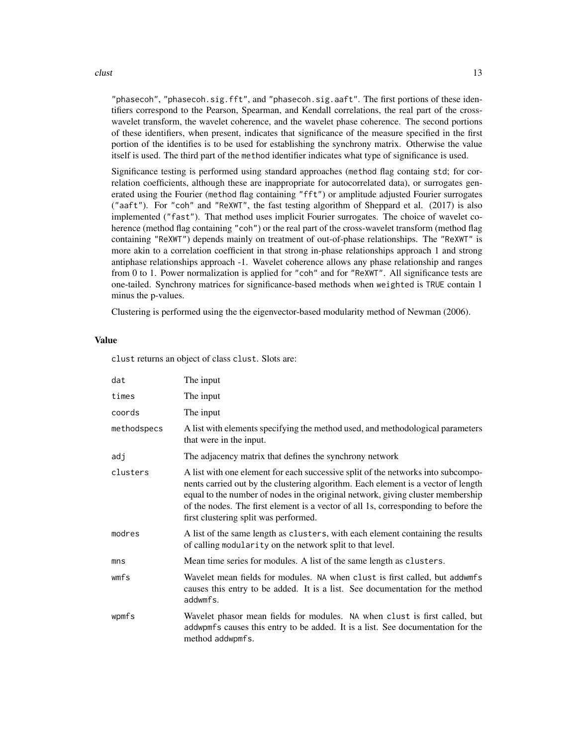#### $\frac{13}{13}$

"phasecoh", "phasecoh.sig.fft", and "phasecoh.sig.aaft". The first portions of these identifiers correspond to the Pearson, Spearman, and Kendall correlations, the real part of the crosswavelet transform, the wavelet coherence, and the wavelet phase coherence. The second portions of these identifiers, when present, indicates that significance of the measure specified in the first portion of the identifies is to be used for establishing the synchrony matrix. Otherwise the value itself is used. The third part of the method identifier indicates what type of significance is used.

Significance testing is performed using standard approaches (method flag containg std; for correlation coefficients, although these are inappropriate for autocorrelated data), or surrogates generated using the Fourier (method flag containing "fft") or amplitude adjusted Fourier surrogates ("aaft"). For "coh" and "ReXWT", the fast testing algorithm of Sheppard et al. (2017) is also implemented ("fast"). That method uses implicit Fourier surrogates. The choice of wavelet coherence (method flag containing "coh") or the real part of the cross-wavelet transform (method flag containing "ReXWT") depends mainly on treatment of out-of-phase relationships. The "ReXWT" is more akin to a correlation coefficient in that strong in-phase relationships approach 1 and strong antiphase relationships approach -1. Wavelet coherence allows any phase relationship and ranges from 0 to 1. Power normalization is applied for "coh" and for "ReXWT". All significance tests are one-tailed. Synchrony matrices for significance-based methods when weighted is TRUE contain 1 minus the p-values.

Clustering is performed using the the eigenvector-based modularity method of Newman (2006).

#### Value

clust returns an object of class clust. Slots are:

| dat             | The input                                                                                                                                                                                                                                                                                                                                                                               |
|-----------------|-----------------------------------------------------------------------------------------------------------------------------------------------------------------------------------------------------------------------------------------------------------------------------------------------------------------------------------------------------------------------------------------|
| times           | The input                                                                                                                                                                                                                                                                                                                                                                               |
| coords          | The input                                                                                                                                                                                                                                                                                                                                                                               |
| methodspecs     | A list with elements specifying the method used, and methodological parameters<br>that were in the input.                                                                                                                                                                                                                                                                               |
| adj             | The adjacency matrix that defines the synchrony network                                                                                                                                                                                                                                                                                                                                 |
| clusters        | A list with one element for each successive split of the networks into subcompo-<br>nents carried out by the clustering algorithm. Each element is a vector of length<br>equal to the number of nodes in the original network, giving cluster membership<br>of the nodes. The first element is a vector of all 1s, corresponding to before the<br>first clustering split was performed. |
| modres          | A list of the same length as clusters, with each element containing the results<br>of calling modularity on the network split to that level.                                                                                                                                                                                                                                            |
| mn <sub>S</sub> | Mean time series for modules. A list of the same length as clusters.                                                                                                                                                                                                                                                                                                                    |
| wmfs            | Wavelet mean fields for modules. NA when clust is first called, but addwmfs<br>causes this entry to be added. It is a list. See documentation for the method<br>addwmfs.                                                                                                                                                                                                                |
| wpmfs           | Wavelet phasor mean fields for modules. NA when clust is first called, but<br>addwpmfs causes this entry to be added. It is a list. See documentation for the<br>method addwpmfs.                                                                                                                                                                                                       |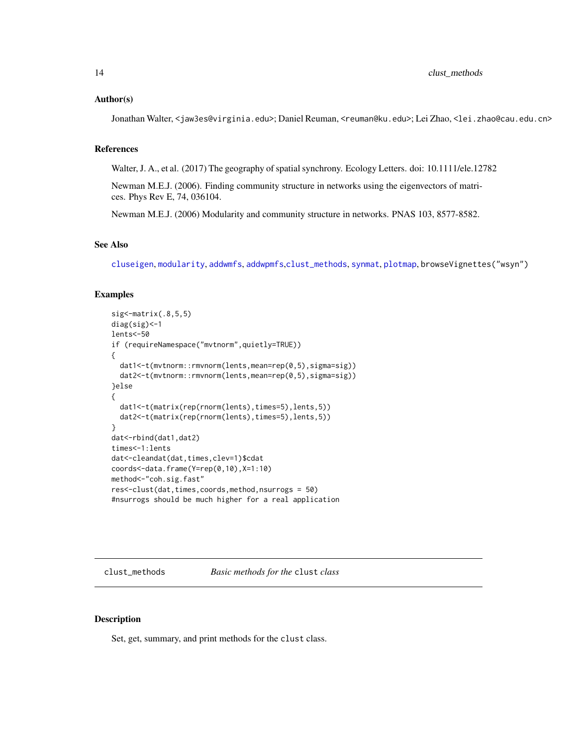#### <span id="page-13-0"></span>Author(s)

Jonathan Walter, <jaw3es@virginia.edu>; Daniel Reuman, <reuman@ku.edu>; Lei Zhao, <lei.zhao@cau.edu.cn>

### References

Walter, J. A., et al. (2017) The geography of spatial synchrony. Ecology Letters. doi: 10.1111/ele.12782

Newman M.E.J. (2006). Finding community structure in networks using the eigenvectors of matrices. Phys Rev E, 74, 036104.

Newman M.E.J. (2006) Modularity and community structure in networks. PNAS 103, 8577-8582.

### See Also

[cluseigen](#page-9-1), [modularity](#page-29-1), [addwmfs](#page-2-1), [addwpmfs](#page-4-1),[clust\\_methods](#page-13-1), [synmat](#page-53-1), [plotmap](#page-35-1), browseVignettes("wsyn")

### Examples

```
sig <- matrix(.8, 5, 5)diag(sig)<-1
lents<-50
if (requireNamespace("mvtnorm",quietly=TRUE))
{
  dat1<-t(mvtnorm::rmvnorm(lents,mean=rep(0,5),sigma=sig))
  dat2<-t(mvtnorm::rmvnorm(lents,mean=rep(0,5),sigma=sig))
}else
{
  dat1<-t(matrix(rep(rnorm(lents),times=5),lents,5))
  dat2<-t(matrix(rep(rnorm(lents),times=5),lents,5))
}
dat<-rbind(dat1,dat2)
times<-1:lents
dat<-cleandat(dat,times,clev=1)$cdat
coords<-data.frame(Y=rep(0,10),X=1:10)
method<-"coh.sig.fast"
res<-clust(dat,times,coords,method,nsurrogs = 50)
#nsurrogs should be much higher for a real application
```
<span id="page-13-1"></span>clust\_methods *Basic methods for the* clust *class*

### Description

Set, get, summary, and print methods for the clust class.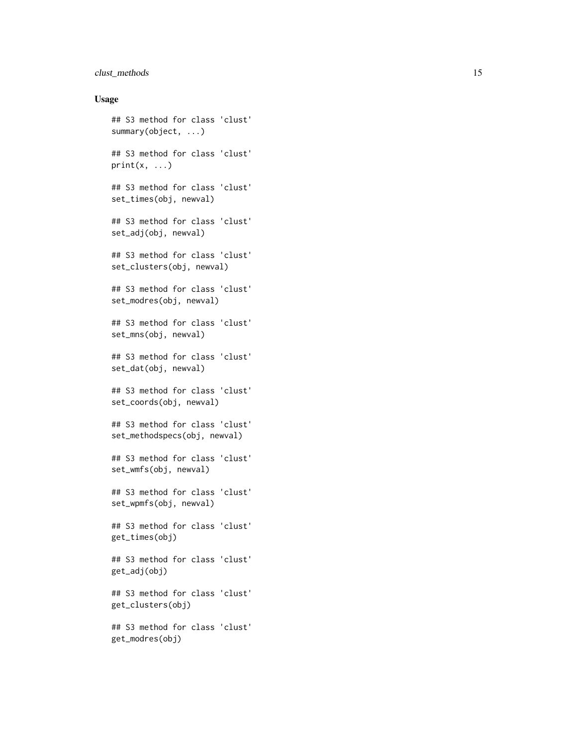### clust\_methods 15

#### Usage

```
## S3 method for class 'clust'
summary(object, ...)
## S3 method for class 'clust'
print(x, \ldots)## S3 method for class 'clust'
set_times(obj, newval)
## S3 method for class 'clust'
set_adj(obj, newval)
## S3 method for class 'clust'
set_clusters(obj, newval)
## S3 method for class 'clust'
set_modres(obj, newval)
## S3 method for class 'clust'
set_mns(obj, newval)
## S3 method for class 'clust'
set_dat(obj, newval)
## S3 method for class 'clust'
set_coords(obj, newval)
## S3 method for class 'clust'
set_methodspecs(obj, newval)
## S3 method for class 'clust'
set_wmfs(obj, newval)
## S3 method for class 'clust'
set_wpmfs(obj, newval)
## S3 method for class 'clust'
get_times(obj)
## S3 method for class 'clust'
get_adj(obj)
## S3 method for class 'clust'
get_clusters(obj)
## S3 method for class 'clust'
get_modres(obj)
```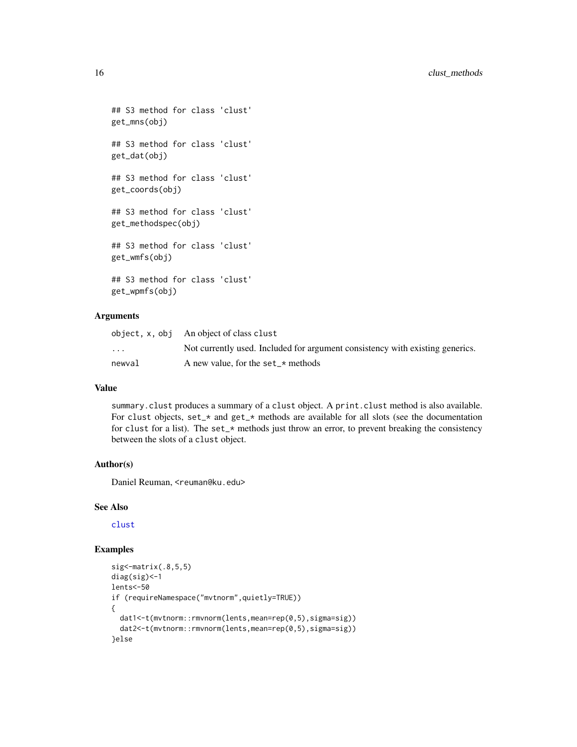```
## S3 method for class 'clust'
get_mns(obj)
## S3 method for class 'clust'
get_dat(obj)
## S3 method for class 'clust'
get_coords(obj)
## S3 method for class 'clust'
get_methodspec(obj)
## S3 method for class 'clust'
get_wmfs(obj)
## S3 method for class 'clust'
get_wpmfs(obj)
```
### Arguments

|                         | object, x, obj An object of class clust                                       |
|-------------------------|-------------------------------------------------------------------------------|
| $\cdot$ $\cdot$ $\cdot$ | Not currently used. Included for argument consistency with existing generics. |
| newval                  | A new value, for the set_ $\star$ methods                                     |

### Value

summary.clust produces a summary of a clust object. A print.clust method is also available. For clust objects, set\_\* and get\_\* methods are available for all slots (see the documentation for clust for a list). The set\_ $\star$  methods just throw an error, to prevent breaking the consistency between the slots of a clust object.

#### Author(s)

Daniel Reuman, <reuman@ku.edu>

### See Also

### [clust](#page-10-1)

### Examples

```
sig<-matrix(.8,5,5)
diag(sig)<-1
lents<-50
if (requireNamespace("mvtnorm",quietly=TRUE))
{
  dat1<-t(mvtnorm::rmvnorm(lents,mean=rep(0,5),sigma=sig))
  dat2<-t(mvtnorm::rmvnorm(lents,mean=rep(0,5),sigma=sig))
}else
```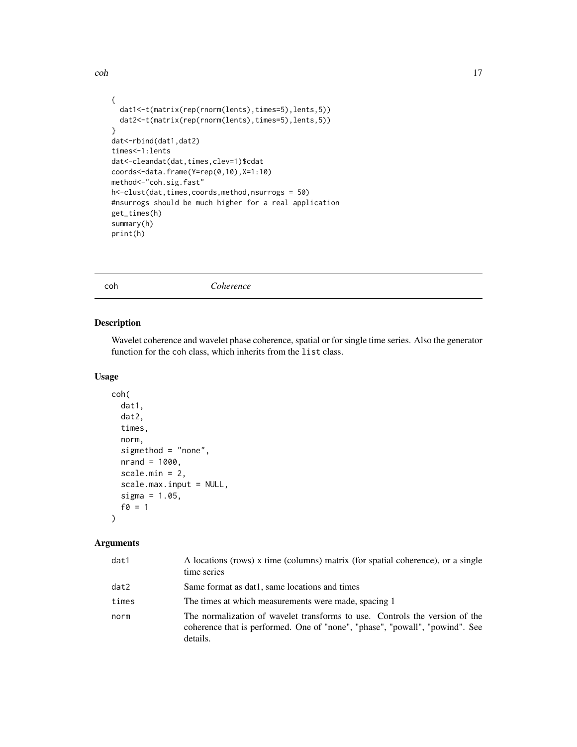```
{
  dat1<-t(matrix(rep(rnorm(lents),times=5),lents,5))
  dat2<-t(matrix(rep(rnorm(lents),times=5),lents,5))
}
dat<-rbind(dat1,dat2)
times<-1:lents
dat<-cleandat(dat,times,clev=1)$cdat
coords<-data.frame(Y=rep(0,10),X=1:10)
method<-"coh.sig.fast"
h<-clust(dat,times,coords,method,nsurrogs = 50)
#nsurrogs should be much higher for a real application
get_times(h)
```
summary(h) print(h)

<span id="page-16-1"></span>coh *Coherence*

#### Description

Wavelet coherence and wavelet phase coherence, spatial or for single time series. Also the generator function for the coh class, which inherits from the list class.

### Usage

```
coh(
  dat1,
  dat2,
  times,
  norm,
  sigmethod = "none",
  nrand = 1000,scale.min = 2,
  scale.max.input = NULL,
  sigma = 1.05,
  f0 = 1
```
### Arguments

 $\mathcal{L}$ 

| dat1  | A locations (rows) x time (columns) matrix (for spatial coherence), or a single<br>time series                                                                          |
|-------|-------------------------------------------------------------------------------------------------------------------------------------------------------------------------|
| dat2  | Same format as dat1, same locations and times                                                                                                                           |
| times | The times at which measurements were made, spacing 1                                                                                                                    |
| norm  | The normalization of wavelet transforms to use. Controls the version of the<br>coherence that is performed. One of "none", "phase", "powall", "powind". See<br>details. |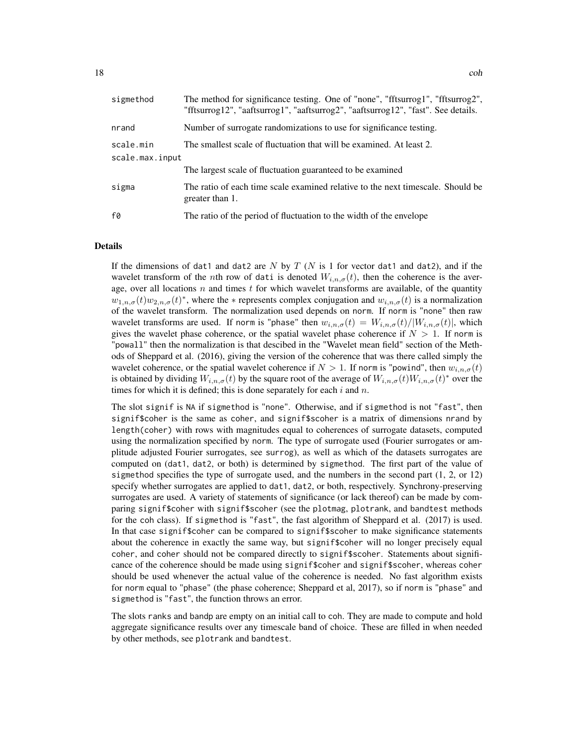| sigmethod       | The method for significance testing. One of "none", "fftsurrog1", "fftsurrog2",<br>"fftsurrog12", "aaftsurrog1", "aaftsurrog2", "aaftsurrog12", "fast". See details. |
|-----------------|----------------------------------------------------------------------------------------------------------------------------------------------------------------------|
| nrand           | Number of surrogate randomizations to use for significance testing.                                                                                                  |
| scale.min       | The smallest scale of fluctuation that will be examined. At least 2.                                                                                                 |
| scale.max.input |                                                                                                                                                                      |
|                 | The largest scale of fluctuation guaranteed to be examined                                                                                                           |
| sigma           | The ratio of each time scale examined relative to the next timescale. Should be<br>greater than 1.                                                                   |
| f0              | The ratio of the period of fluctuation to the width of the envelope                                                                                                  |

#### Details

If the dimensions of dat1 and dat2 are N by T (N is 1 for vector dat1 and dat2), and if the wavelet transform of the nth row of dati is denoted  $W_{i,n,\sigma}(t)$ , then the coherence is the average, over all locations  $n$  and times  $t$  for which wavelet transforms are available, of the quantity  $w_{1,n,\sigma}(t)w_{2,n,\sigma}(t)$ <sup>\*</sup>, where the  $*$  represents complex conjugation and  $w_{i,n,\sigma}(t)$  is a normalization of the wavelet transform. The normalization used depends on norm. If norm is "none" then raw wavelet transforms are used. If norm is "phase" then  $w_{i,n,\sigma}(t) = W_{i,n,\sigma}(t)/|W_{i,n,\sigma}(t)|$ , which gives the wavelet phase coherence, or the spatial wavelet phase coherence if  $N > 1$ . If norm is "powall" then the normalization is that descibed in the "Wavelet mean field" section of the Methods of Sheppard et al. (2016), giving the version of the coherence that was there called simply the wavelet coherence, or the spatial wavelet coherence if  $N > 1$ . If norm is "powind", then  $w_{i,n,\sigma}(t)$ is obtained by dividing  $W_{i,n,\sigma}(t)$  by the square root of the average of  $W_{i,n,\sigma}(t)W_{i,n,\sigma}(t)^*$  over the times for which it is defined; this is done separately for each  $i$  and  $n$ .

The slot signif is NA if sigmethod is "none". Otherwise, and if sigmethod is not "fast", then signif\$coher is the same as coher, and signif\$scoher is a matrix of dimensions nrand by length(coher) with rows with magnitudes equal to coherences of surrogate datasets, computed using the normalization specified by norm. The type of surrogate used (Fourier surrogates or amplitude adjusted Fourier surrogates, see surrog), as well as which of the datasets surrogates are computed on (dat1, dat2, or both) is determined by sigmethod. The first part of the value of sigmethod specifies the type of surrogate used, and the numbers in the second part  $(1, 2, 0r 12)$ specify whether surrogates are applied to dat1, dat2, or both, respectively. Synchrony-preserving surrogates are used. A variety of statements of significance (or lack thereof) can be made by comparing signif\$coher with signif\$scoher (see the plotmag, plotrank, and bandtest methods for the coh class). If sigmethod is "fast", the fast algorithm of Sheppard et al. (2017) is used. In that case signif\$coher can be compared to signif\$scoher to make significance statements about the coherence in exactly the same way, but signif\$coher will no longer precisely equal coher, and coher should not be compared directly to signif\$scoher. Statements about significance of the coherence should be made using signif\$coher and signif\$scoher, whereas coher should be used whenever the actual value of the coherence is needed. No fast algorithm exists for norm equal to "phase" (the phase coherence; Sheppard et al, 2017), so if norm is "phase" and sigmethod is "fast", the function throws an error.

The slots ranks and bandp are empty on an initial call to coh. They are made to compute and hold aggregate significance results over any timescale band of choice. These are filled in when needed by other methods, see plotrank and bandtest.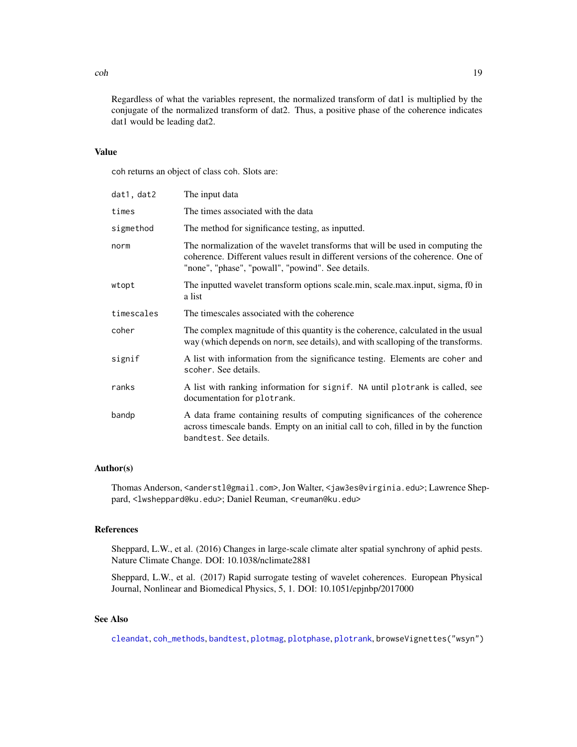Regardless of what the variables represent, the normalized transform of dat1 is multiplied by the conjugate of the normalized transform of dat2. Thus, a positive phase of the coherence indicates dat1 would be leading dat2.

#### Value

coh returns an object of class coh. Slots are:

| dat1, dat2 | The input data                                                                                                                                                                                                           |
|------------|--------------------------------------------------------------------------------------------------------------------------------------------------------------------------------------------------------------------------|
| times      | The times associated with the data                                                                                                                                                                                       |
| sigmethod  | The method for significance testing, as inputted.                                                                                                                                                                        |
| norm       | The normalization of the wavelet transforms that will be used in computing the<br>coherence. Different values result in different versions of the coherence. One of<br>"none", "phase", "powall", "powind". See details. |
| wtopt      | The inputted wavelet transform options scale.min, scale.max.input, sigma, f0 in<br>a list                                                                                                                                |
| timescales | The timescales associated with the coherence                                                                                                                                                                             |
| coher      | The complex magnitude of this quantity is the coherence, calculated in the usual<br>way (which depends on norm, see details), and with scalloping of the transforms.                                                     |
| signif     | A list with information from the significance testing. Elements are coher and<br>scoher. See details.                                                                                                                    |
| ranks      | A list with ranking information for signif. NA until plotrank is called, see<br>documentation for plotrank.                                                                                                              |
| bandp      | A data frame containing results of computing significances of the coherence<br>across timescale bands. Empty on an initial call to coh, filled in by the function<br>bandtest. See details.                              |

#### Author(s)

Thomas Anderson, <anderstl@gmail.com>, Jon Walter, <jaw3es@virginia.edu>; Lawrence Sheppard, <lwsheppard@ku.edu>; Daniel Reuman, <reuman@ku.edu>

#### References

Sheppard, L.W., et al. (2016) Changes in large-scale climate alter spatial synchrony of aphid pests. Nature Climate Change. DOI: 10.1038/nclimate2881

Sheppard, L.W., et al. (2017) Rapid surrogate testing of wavelet coherences. European Physical Journal, Nonlinear and Biomedical Physics, 5, 1. DOI: 10.1051/epjnbp/2017000

### See Also

[cleandat](#page-8-1), [coh\\_methods](#page-19-1), [bandtest](#page-5-1), [plotmag](#page-31-1), [plotphase](#page-36-1), [plotrank](#page-38-1), browseVignettes("wsyn")

 $\mathcal{L}$  coh  $\blacksquare$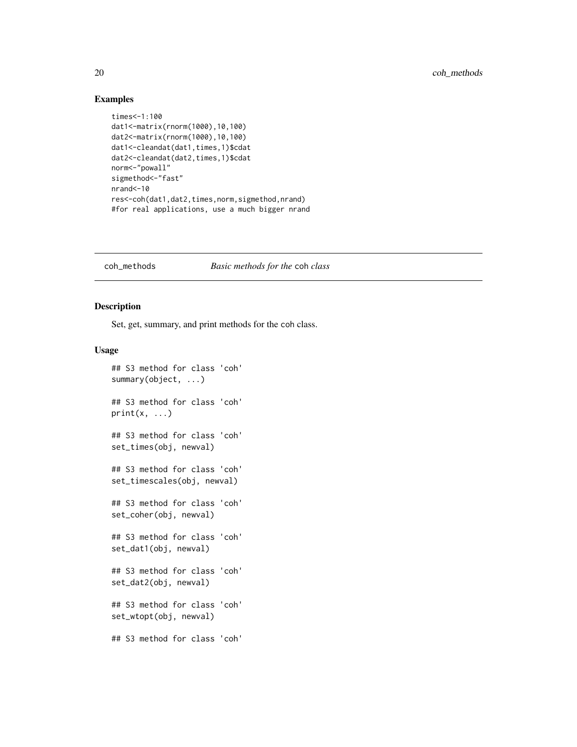#### Examples

```
times<-1:100
dat1<-matrix(rnorm(1000),10,100)
dat2<-matrix(rnorm(1000),10,100)
dat1<-cleandat(dat1,times,1)$cdat
dat2<-cleandat(dat2,times,1)$cdat
norm<-"powall"
sigmethod <- "fast"
nrand<-10
res<-coh(dat1,dat2,times,norm,sigmethod,nrand)
#for real applications, use a much bigger nrand
```
#### <span id="page-19-1"></span>coh\_methods *Basic methods for the* coh *class*

### Description

Set, get, summary, and print methods for the coh class.

#### Usage

```
## S3 method for class 'coh'
summary(object, ...)
## S3 method for class 'coh'
print(x, \ldots)## S3 method for class 'coh'
set_times(obj, newval)
## S3 method for class 'coh'
set_timescales(obj, newval)
## S3 method for class 'coh'
set_coher(obj, newval)
## S3 method for class 'coh'
set_dat1(obj, newval)
## S3 method for class 'coh'
set_dat2(obj, newval)
## S3 method for class 'coh'
set_wtopt(obj, newval)
## S3 method for class 'coh'
```
<span id="page-19-0"></span>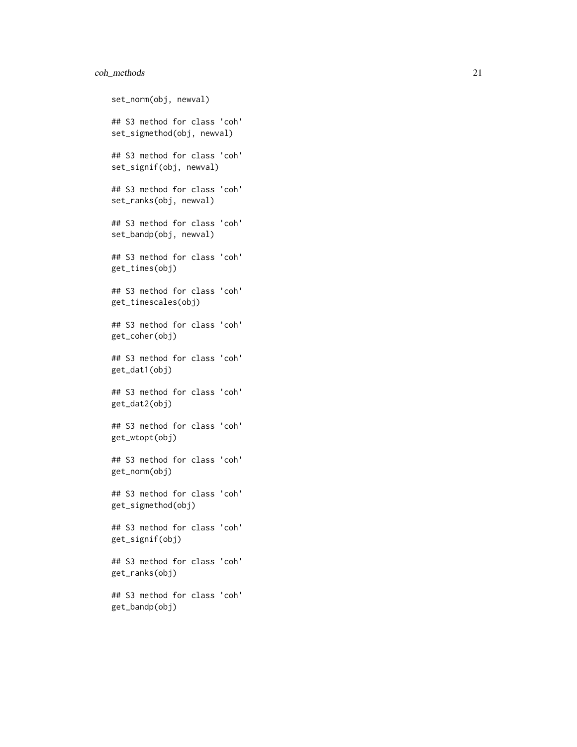### coh\_methods 21

```
set_norm(obj, newval)
## S3 method for class 'coh'
set_sigmethod(obj, newval)
## S3 method for class 'coh'
set_signif(obj, newval)
## S3 method for class 'coh'
set_ranks(obj, newval)
## S3 method for class 'coh'
set_bandp(obj, newval)
## S3 method for class 'coh'
get_times(obj)
## S3 method for class 'coh'
get_timescales(obj)
## S3 method for class 'coh'
get_coher(obj)
## S3 method for class 'coh'
get_dat1(obj)
## S3 method for class 'coh'
get_dat2(obj)
## S3 method for class 'coh'
get_wtopt(obj)
## S3 method for class 'coh'
get_norm(obj)
## S3 method for class 'coh'
get_sigmethod(obj)
## S3 method for class 'coh'
get_signif(obj)
## S3 method for class 'coh'
get_ranks(obj)
## S3 method for class 'coh'
get_bandp(obj)
```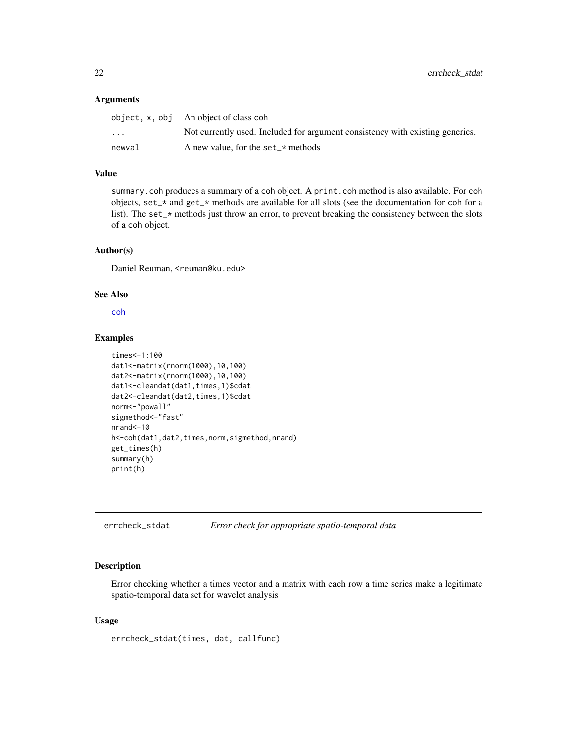#### <span id="page-21-0"></span>Arguments

|                         | object, $x$ , $obj$ An object of class coh                                    |
|-------------------------|-------------------------------------------------------------------------------|
| $\cdot$ $\cdot$ $\cdot$ | Not currently used. Included for argument consistency with existing generics. |
| newval                  | A new value, for the set $\star$ methods                                      |

### Value

summary.coh produces a summary of a coh object. A print.coh method is also available. For coh objects, set\_\* and get\_\* methods are available for all slots (see the documentation for coh for a list). The set<sub> $z^*$ </sub> methods just throw an error, to prevent breaking the consistency between the slots of a coh object.

#### Author(s)

Daniel Reuman, <reuman@ku.edu>

#### See Also

[coh](#page-16-1)

#### Examples

```
times<-1:100
dat1<-matrix(rnorm(1000),10,100)
dat2<-matrix(rnorm(1000),10,100)
dat1<-cleandat(dat1,times,1)$cdat
dat2<-cleandat(dat2,times,1)$cdat
norm<-"powall"
sigmethod <- "fast"
nrand<-10
h<-coh(dat1,dat2,times,norm,sigmethod,nrand)
get_times(h)
summary(h)
print(h)
```
errcheck\_stdat *Error check for appropriate spatio-temporal data*

### Description

Error checking whether a times vector and a matrix with each row a time series make a legitimate spatio-temporal data set for wavelet analysis

### Usage

errcheck\_stdat(times, dat, callfunc)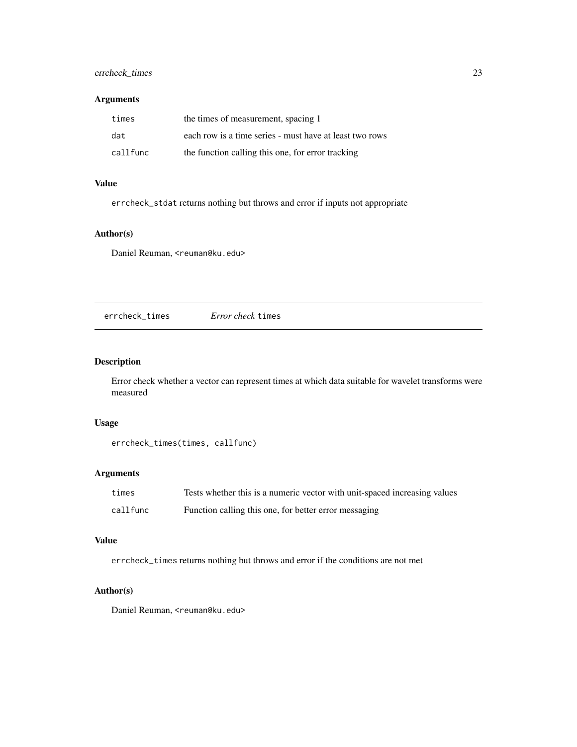### <span id="page-22-0"></span>errcheck\_times 23

### Arguments

| times    | the times of measurement, spacing 1                     |
|----------|---------------------------------------------------------|
| dat      | each row is a time series - must have at least two rows |
| callfunc | the function calling this one, for error tracking       |

### Value

errcheck\_stdat returns nothing but throws and error if inputs not appropriate

### Author(s)

Daniel Reuman, <reuman@ku.edu>

errcheck\_times *Error check* times

### Description

Error check whether a vector can represent times at which data suitable for wavelet transforms were measured

### Usage

```
errcheck_times(times, callfunc)
```
### Arguments

| times    | Tests whether this is a numeric vector with unit-spaced increasing values |
|----------|---------------------------------------------------------------------------|
| callfunc | Function calling this one, for better error messaging                     |

### Value

errcheck\_times returns nothing but throws and error if the conditions are not met

### Author(s)

Daniel Reuman, <reuman@ku.edu>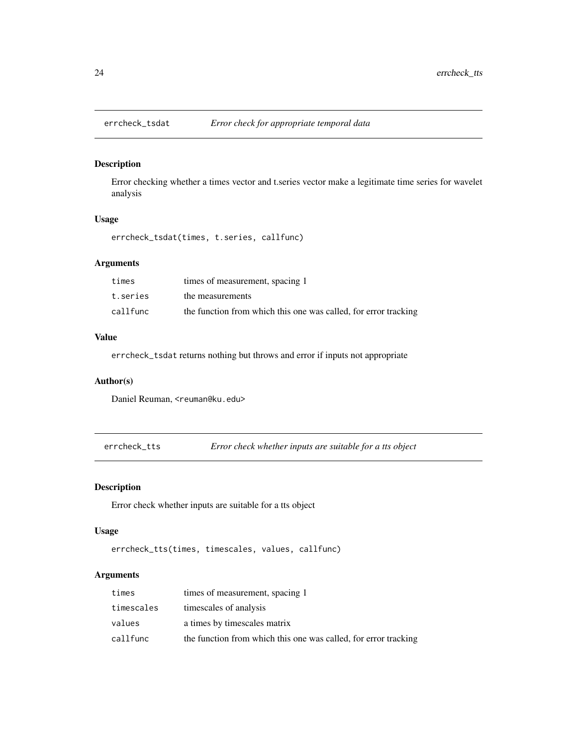<span id="page-23-0"></span>

### Description

Error checking whether a times vector and t.series vector make a legitimate time series for wavelet analysis

### Usage

errcheck\_tsdat(times, t.series, callfunc)

#### Arguments

| times    | times of measurement, spacing 1                                 |
|----------|-----------------------------------------------------------------|
| t.series | the measurements                                                |
| callfunc | the function from which this one was called, for error tracking |

### Value

errcheck\_tsdat returns nothing but throws and error if inputs not appropriate

#### Author(s)

Daniel Reuman, <reuman@ku.edu>

errcheck\_tts *Error check whether inputs are suitable for a tts object*

### Description

Error check whether inputs are suitable for a tts object

#### Usage

```
errcheck_tts(times, timescales, values, callfunc)
```
### Arguments

| times      | times of measurement, spacing 1                                 |
|------------|-----------------------------------------------------------------|
| timescales | timescales of analysis                                          |
| values     | a times by timescales matrix                                    |
| callfunc   | the function from which this one was called, for error tracking |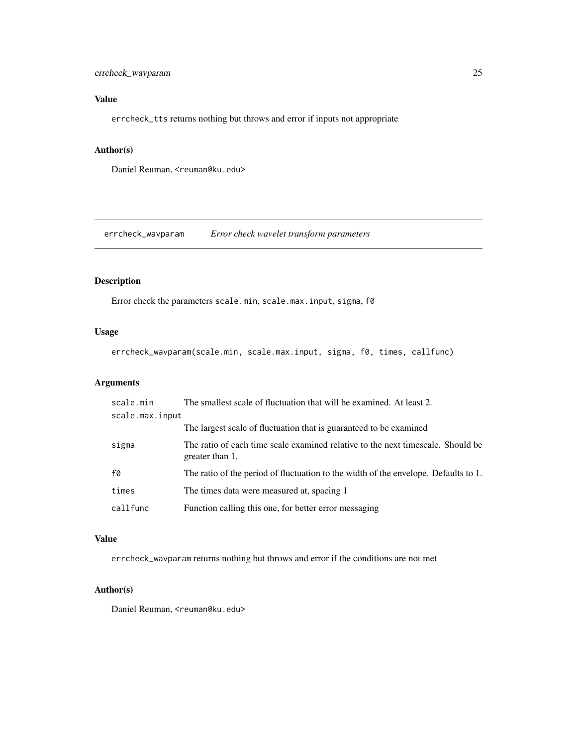### <span id="page-24-0"></span>errcheck\_wavparam 25

### Value

errcheck\_tts returns nothing but throws and error if inputs not appropriate

### Author(s)

Daniel Reuman, <reuman@ku.edu>

errcheck\_wavparam *Error check wavelet transform parameters*

### Description

Error check the parameters scale.min, scale.max.input, sigma, f0

### Usage

errcheck\_wavparam(scale.min, scale.max.input, sigma, f0, times, callfunc)

### Arguments

| scale.min       | The smallest scale of fluctuation that will be examined. At least 2.                               |
|-----------------|----------------------------------------------------------------------------------------------------|
| scale.max.input |                                                                                                    |
|                 | The largest scale of fluctuation that is guaranteed to be examined                                 |
| sigma           | The ratio of each time scale examined relative to the next timescale. Should be<br>greater than 1. |
| f0              | The ratio of the period of fluctuation to the width of the envelope. Defaults to 1.                |
| times           | The times data were measured at, spacing 1                                                         |
| callfunc        | Function calling this one, for better error messaging                                              |

#### Value

errcheck\_wavparam returns nothing but throws and error if the conditions are not met

#### Author(s)

Daniel Reuman, <reuman@ku.edu>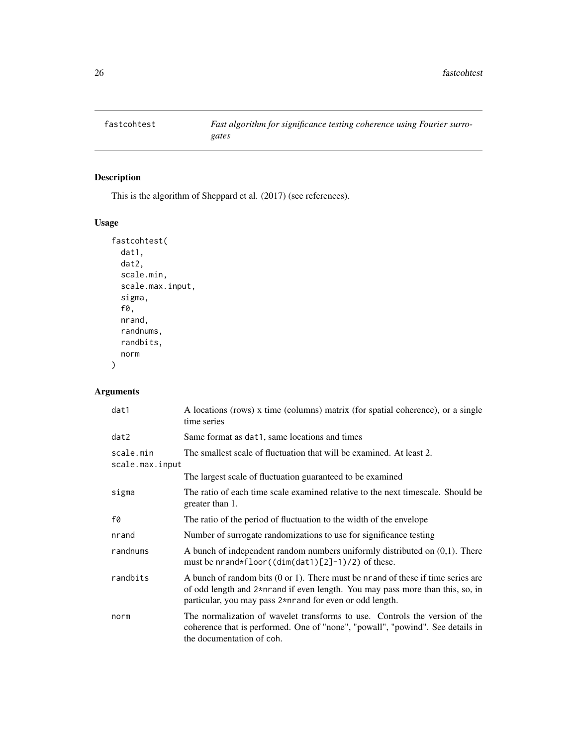<span id="page-25-0"></span>

### Description

This is the algorithm of Sheppard et al. (2017) (see references).

### Usage

```
fastcohtest(
 dat1,
 dat2,
 scale.min,
 scale.max.input,
  sigma,
  f0,
 nrand,
  randnums,
  randbits,
 norm
)
```
### Arguments

| dat1                         | A locations (rows) x time (columns) matrix (for spatial coherence), or a single<br>time series                                                                                                                                            |
|------------------------------|-------------------------------------------------------------------------------------------------------------------------------------------------------------------------------------------------------------------------------------------|
| dat2                         | Same format as dat1, same locations and times                                                                                                                                                                                             |
| scale.min<br>scale.max.input | The smallest scale of fluctuation that will be examined. At least 2.                                                                                                                                                                      |
|                              | The largest scale of fluctuation guaranteed to be examined                                                                                                                                                                                |
| sigma                        | The ratio of each time scale examined relative to the next timescale. Should be<br>greater than 1.                                                                                                                                        |
| f0                           | The ratio of the period of fluctuation to the width of the envelope                                                                                                                                                                       |
| nrand                        | Number of surrogate randomizations to use for significance testing                                                                                                                                                                        |
| randnums                     | A bunch of independent random numbers uniformly distributed on $(0,1)$ . There<br>must be nrand*floor( $(dim(data)[2]-1)/2$ ) of these.                                                                                                   |
| randbits                     | A bunch of random bits $(0 \text{ or } 1)$ . There must be nrand of these if time series are<br>of odd length and 2*nrand if even length. You may pass more than this, so, in<br>particular, you may pass 2*nrand for even or odd length. |
| norm                         | The normalization of wavelet transforms to use. Controls the version of the<br>coherence that is performed. One of "none", "powall", "powind". See details in<br>the documentation of coh.                                                |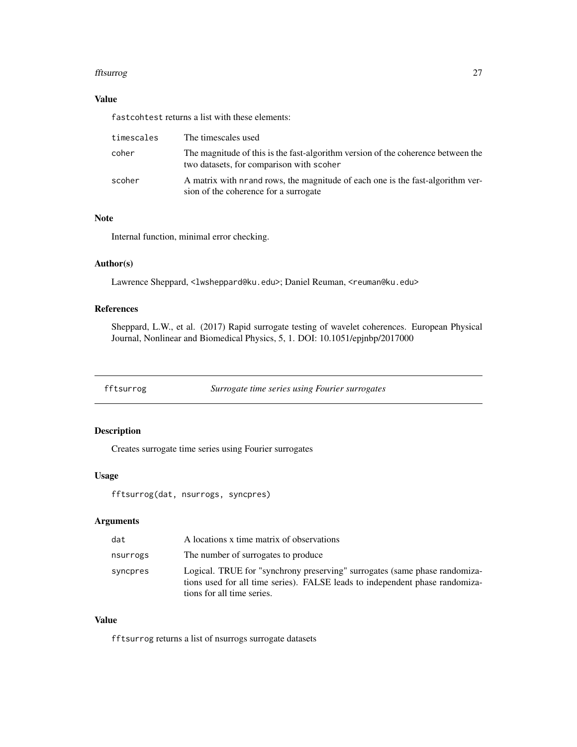#### <span id="page-26-0"></span>fftsurrog 27

### Value

fastcohtest returns a list with these elements:

| timescales | The timescales used                                                                                                          |
|------------|------------------------------------------------------------------------------------------------------------------------------|
| coher      | The magnitude of this is the fast-algorithm version of the coherence between the<br>two datasets, for comparison with scoher |
| scoher     | A matrix with nrand rows, the magnitude of each one is the fast-algorithm ver-<br>sion of the coherence for a surrogate      |

### Note

Internal function, minimal error checking.

### Author(s)

Lawrence Sheppard, <lwsheppard@ku.edu>; Daniel Reuman, <reuman@ku.edu>

### References

Sheppard, L.W., et al. (2017) Rapid surrogate testing of wavelet coherences. European Physical Journal, Nonlinear and Biomedical Physics, 5, 1. DOI: 10.1051/epjnbp/2017000

fftsurrog *Surrogate time series using Fourier surrogates*

### Description

Creates surrogate time series using Fourier surrogates

#### Usage

fftsurrog(dat, nsurrogs, syncpres)

### Arguments

| dat      | A locations x time matrix of observations                                                                                                                                                |
|----------|------------------------------------------------------------------------------------------------------------------------------------------------------------------------------------------|
| nsurrogs | The number of surrogates to produce                                                                                                                                                      |
| syncpres | Logical. TRUE for "synchrony preserving" surrogates (same phase randomiza-<br>tions used for all time series). FALSE leads to independent phase randomiza-<br>tions for all time series. |

#### Value

fftsurrog returns a list of nsurrogs surrogate datasets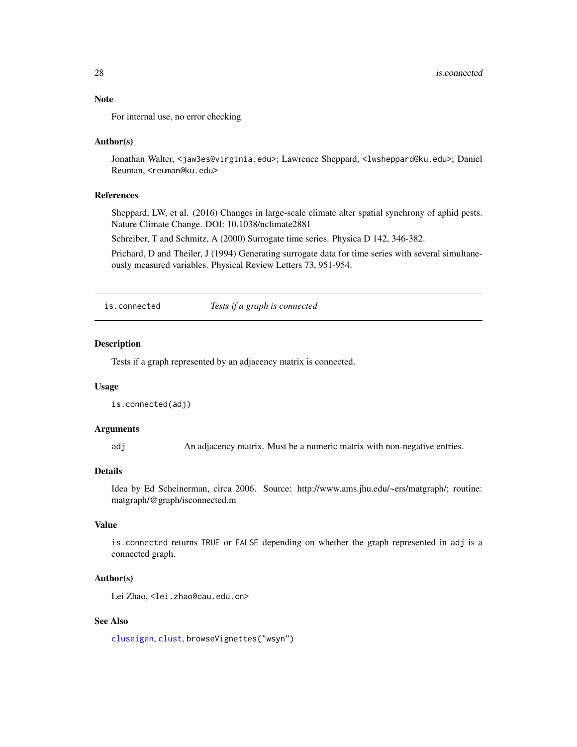<span id="page-27-0"></span>For internal use, no error checking

#### Author(s)

Jonathan Walter, <jaw3es@virginia.edu>; Lawrence Sheppard, <lwsheppard@ku.edu>; Daniel Reuman, <reuman@ku.edu>

#### **References**

Sheppard, LW, et al. (2016) Changes in large-scale climate alter spatial synchrony of aphid pests. Nature Climate Change. DOI: 10.1038/nclimate2881

Schreiber, T and Schmitz, A (2000) Surrogate time series. Physica D 142, 346-382.

Prichard, D and Theiler, J (1994) Generating surrogate data for time series with several simultaneously measured variables. Physical Review Letters 73, 951-954.

is.connected *Tests if a graph is connected*

### Description

Tests if a graph represented by an adjacency matrix is connected.

#### Usage

is.connected(adj)

#### Arguments

adj An adjacency matrix. Must be a numeric matrix with non-negative entries.

#### Details

Idea by Ed Scheinerman, circa 2006. Source: http://www.ams.jhu.edu/~ers/matgraph/; routine: matgraph/@graph/isconnected.m

### Value

is.connected returns TRUE or FALSE depending on whether the graph represented in adj is a connected graph.

### Author(s)

Lei Zhao, <lei.zhao@cau.edu.cn>

### See Also

[cluseigen](#page-9-1), [clust](#page-10-1), browseVignettes("wsyn")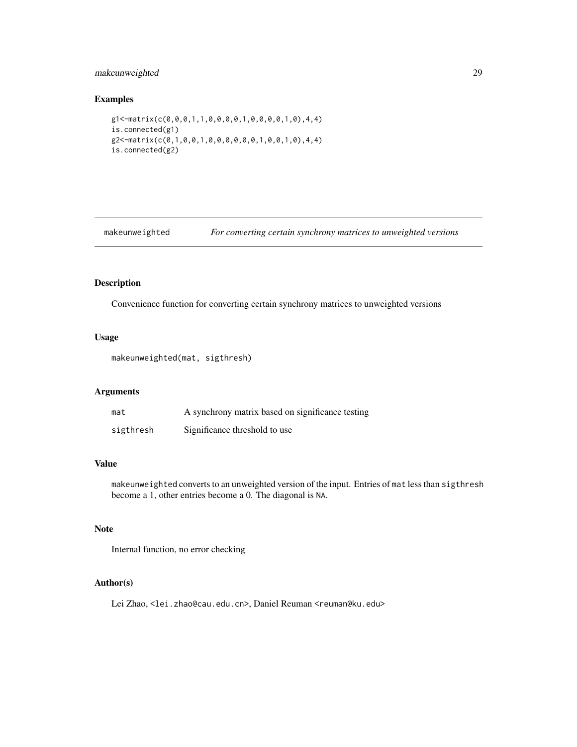### <span id="page-28-0"></span>makeunweighted 29

### Examples

```
g1<-matrix(c(0,0,0,1,1,0,0,0,0,1,0,0,0,0,1,0),4,4)
is.connected(g1)
g2<-matrix(c(0,1,0,0,1,0,0,0,0,0,0,1,0,0,1,0),4,4)
is.connected(g2)
```
makeunweighted *For converting certain synchrony matrices to unweighted versions*

### Description

Convenience function for converting certain synchrony matrices to unweighted versions

### Usage

```
makeunweighted(mat, sigthresh)
```
#### Arguments

| mat       | A synchrony matrix based on significance testing |
|-----------|--------------------------------------------------|
| sigthresh | Significance threshold to use                    |

### Value

makeunweighted converts to an unweighted version of the input. Entries of mat less than sigthresh become a 1, other entries become a 0. The diagonal is NA.

### Note

Internal function, no error checking

### Author(s)

Lei Zhao, <lei.zhao@cau.edu.cn>, Daniel Reuman <reuman@ku.edu>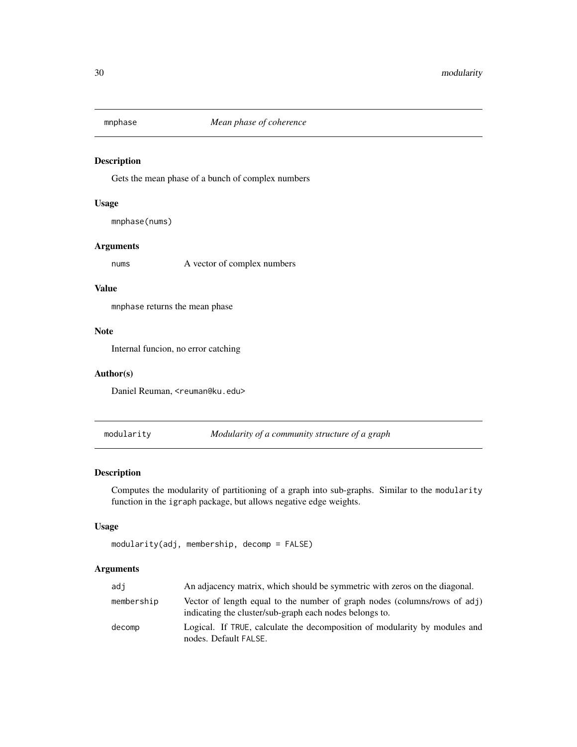<span id="page-29-0"></span>

### Description

Gets the mean phase of a bunch of complex numbers

#### Usage

mnphase(nums)

### Arguments

nums A vector of complex numbers

#### Value

mnphase returns the mean phase

#### Note

Internal funcion, no error catching

### Author(s)

Daniel Reuman, <reuman@ku.edu>

<span id="page-29-1"></span>modularity *Modularity of a community structure of a graph*

### Description

Computes the modularity of partitioning of a graph into sub-graphs. Similar to the modularity function in the igraph package, but allows negative edge weights.

### Usage

```
modularity(adj, membership, decomp = FALSE)
```
### Arguments

| adi        | An adjacency matrix, which should be symmetric with zeros on the diagonal.                                                           |
|------------|--------------------------------------------------------------------------------------------------------------------------------------|
| membership | Vector of length equal to the number of graph nodes (columns/rows of adj)<br>indicating the cluster/sub-graph each nodes belongs to. |
| decomp     | Logical. If TRUE, calculate the decomposition of modularity by modules and<br>nodes. Default FALSE.                                  |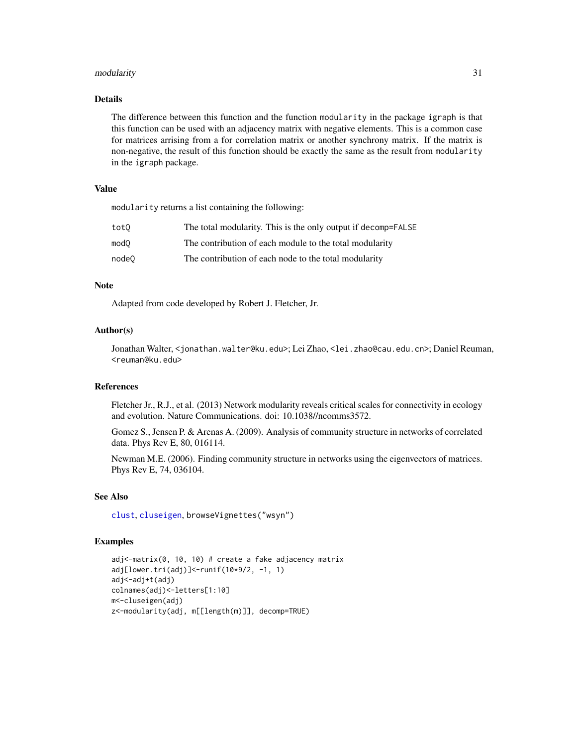#### modularity 31

### Details

The difference between this function and the function modularity in the package igraph is that this function can be used with an adjacency matrix with negative elements. This is a common case for matrices arrising from a for correlation matrix or another synchrony matrix. If the matrix is non-negative, the result of this function should be exactly the same as the result from modularity in the igraph package.

#### Value

modularity returns a list containing the following:

| tot0  | The total modularity. This is the only output if decomp=FALSE |
|-------|---------------------------------------------------------------|
| mod0  | The contribution of each module to the total modularity       |
| node0 | The contribution of each node to the total modularity         |

### Note

Adapted from code developed by Robert J. Fletcher, Jr.

#### Author(s)

Jonathan Walter, <jonathan.walter@ku.edu>; Lei Zhao, <lei.zhao@cau.edu.cn>; Daniel Reuman, <reuman@ku.edu>

### References

Fletcher Jr., R.J., et al. (2013) Network modularity reveals critical scales for connectivity in ecology and evolution. Nature Communications. doi: 10.1038//ncomms3572.

Gomez S., Jensen P. & Arenas A. (2009). Analysis of community structure in networks of correlated data. Phys Rev E, 80, 016114.

Newman M.E. (2006). Finding community structure in networks using the eigenvectors of matrices. Phys Rev E, 74, 036104.

#### See Also

[clust](#page-10-1), [cluseigen](#page-9-1), browseVignettes("wsyn")

#### Examples

```
adj<-matrix(0, 10, 10) # create a fake adjacency matrix
adj[lower.tri(adj)]<-runif(10*9/2, -1, 1)
adj<-adj+t(adj)
colnames(adj)<-letters[1:10]
m<-cluseigen(adj)
z<-modularity(adj, m[[length(m)]], decomp=TRUE)
```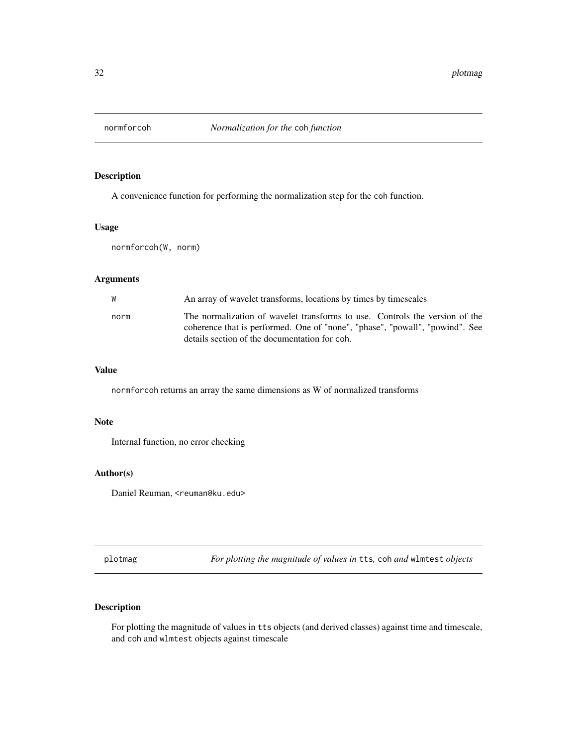<span id="page-31-0"></span>

### Description

A convenience function for performing the normalization step for the coh function.

### Usage

normforcoh(W, norm)

### Arguments

| W    | An array of wavelet transforms, locations by times by timescales                                                                                                                                             |
|------|--------------------------------------------------------------------------------------------------------------------------------------------------------------------------------------------------------------|
| norm | The normalization of wavelet transforms to use. Controls the version of the<br>coherence that is performed. One of "none", "phase", "powall", "powind". See<br>details section of the documentation for coh. |

#### Value

normforcoh returns an array the same dimensions as W of normalized transforms

### Note

Internal function, no error checking

### Author(s)

Daniel Reuman, <reuman@ku.edu>

<span id="page-31-1"></span>plotmag *For plotting the magnitude of values in* tts*,* coh *and* wlmtest *objects*

### Description

For plotting the magnitude of values in tts objects (and derived classes) against time and timescale, and coh and wlmtest objects against timescale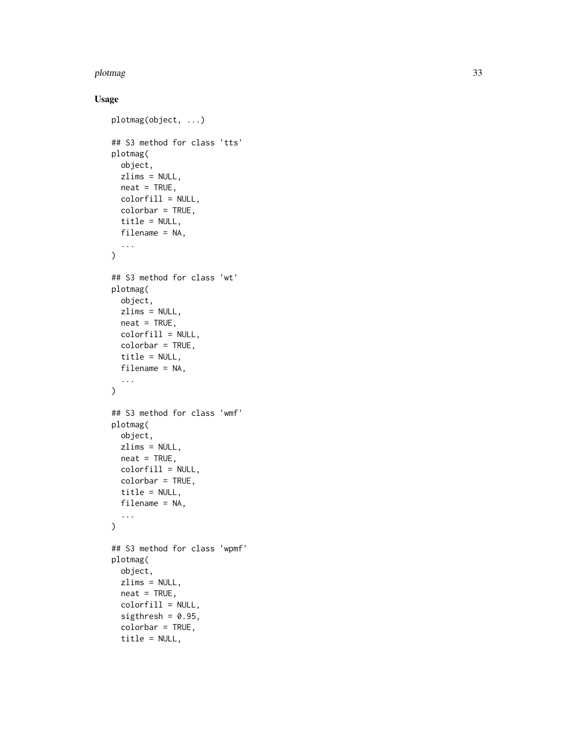#### plotmag 33

### Usage

```
plotmag(object, ...)
## S3 method for class 'tts'
plotmag(
 object,
  zlims = NULL,
 neat = TRUE,colorfill = NULL,
 colorbar = TRUE,
  title = NULL,
  filename = NA,
  ...
\mathcal{L}## S3 method for class 'wt'
plotmag(
 object,
 zlims = NULL,
 neat = TRUE,colorfill = NULL,
  colorbar = TRUE,
  title = NULL,
 filename = NA,
  ...
\lambda## S3 method for class 'wmf'
plotmag(
 object,
 zlims = NULL,
 neat = TRUE,colorfill = NULL,
 colorbar = TRUE,
  title = NULL,
 filename = NA,
  ...
)
## S3 method for class 'wpmf'
plotmag(
 object,
 zlims = NULL,
 neat = TRUE,colorfill = NULL,
  sigthresh = 0.95,
  colorbar = TRUE,
  title = NULL,
```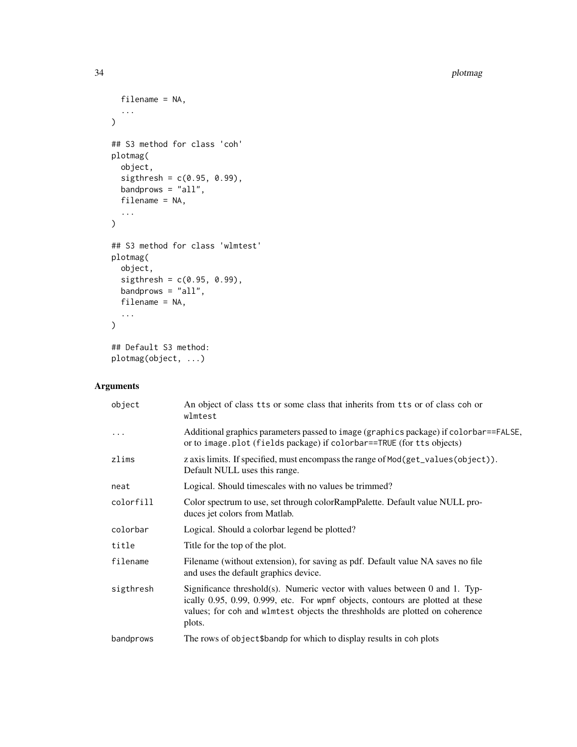34 plotmag

```
filename = NA,
  ...
\mathcal{L}## S3 method for class 'coh'
plotmag(
  object,
  sightresh = c(0.95, 0.99),
  bandprows = "all",filename = NA,
  ...
\mathcal{L}## S3 method for class 'wlmtest'
plotmag(
  object,
  sightresh = c(0.95, 0.99),
  bandprows = "all",filename = NA,
  ...
\mathcal{L}## Default S3 method:
plotmag(object, ...)
```
### Arguments

| object    | An object of class tts or some class that inherits from tts or of class coh or<br>wlmtest                                                                                                                                                               |
|-----------|---------------------------------------------------------------------------------------------------------------------------------------------------------------------------------------------------------------------------------------------------------|
| $\ddotsc$ | Additional graphics parameters passed to image (graphics package) if colorbar==FALSE,<br>or to image.plot (fields package) if colorbar==TRUE (for tts objects)                                                                                          |
| zlims     | z axis limits. If specified, must encompass the range of Mod(get_values(object)).<br>Default NULL uses this range.                                                                                                                                      |
| neat      | Logical. Should timescales with no values be trimmed?                                                                                                                                                                                                   |
| colorfill | Color spectrum to use, set through colorRampPalette. Default value NULL pro-<br>duces jet colors from Matlab.                                                                                                                                           |
| colorbar  | Logical. Should a colorbar legend be plotted?                                                                                                                                                                                                           |
| title     | Title for the top of the plot.                                                                                                                                                                                                                          |
| filename  | Filename (without extension), for saving as pdf. Default value NA saves no file<br>and uses the default graphics device.                                                                                                                                |
| sigthresh | Significance threshold(s). Numeric vector with values between 0 and 1. Typ-<br>ically 0.95, 0.99, 0.999, etc. For wpmf objects, contours are plotted at these<br>values; for coh and wlmtest objects the threshholds are plotted on coherence<br>plots. |
| bandprows | The rows of object\$bandp for which to display results in coh plots                                                                                                                                                                                     |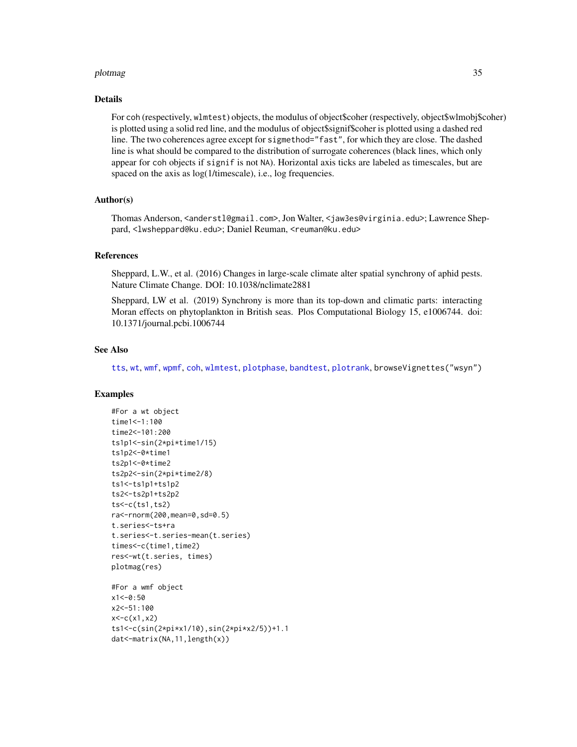#### plotmag 35

#### Details

For coh (respectively, wlmtest) objects, the modulus of object\$coher (respectively, object\$wlmobj\$coher) is plotted using a solid red line, and the modulus of object\$signif\$coher is plotted using a dashed red line. The two coherences agree except for sigmethod="fast", for which they are close. The dashed line is what should be compared to the distribution of surrogate coherences (black lines, which only appear for coh objects if signif is not NA). Horizontal axis ticks are labeled as timescales, but are spaced on the axis as  $log(1/t$  imescale), i.e., log frequencies.

#### Author(s)

Thomas Anderson, <anderstl@gmail.com>, Jon Walter, <jaw3es@virginia.edu>; Lawrence Sheppard, <lwsheppard@ku.edu>; Daniel Reuman, <reuman@ku.edu>

#### References

Sheppard, L.W., et al. (2016) Changes in large-scale climate alter spatial synchrony of aphid pests. Nature Climate Change. DOI: 10.1038/nclimate2881

Sheppard, LW et al. (2019) Synchrony is more than its top-down and climatic parts: interacting Moran effects on phytoplankton in British seas. Plos Computational Biology 15, e1006744. doi: 10.1371/journal.pcbi.1006744

#### See Also

[tts](#page-55-1), [wt](#page-75-1), [wmf](#page-69-1), [wpmf](#page-72-1), [coh](#page-16-1), [wlmtest](#page-63-1), [plotphase](#page-36-1), [bandtest](#page-5-1), [plotrank](#page-38-1), browseVignettes("wsyn")

### Examples

```
#For a wt object
time1<-1:100
time2<-101:200
ts1p1<-sin(2*pi*time1/15)
ts1p2<-0*time1
ts2p1<-0*time2
ts2p2<-sin(2*pi*time2/8)
ts1<-ts1p1+ts1p2
ts2<-ts2p1+ts2p2
ts < -c(ts1, ts2)ra<-rnorm(200,mean=0,sd=0.5)
t.series<-ts+ra
t.series<-t.series-mean(t.series)
times<-c(time1,time2)
res<-wt(t.series, times)
plotmag(res)
#For a wmf object
x1 < -0:50x2<-51:100
x < -c(x1, x2)ts1<-c(sin(2*pi*x1/10),sin(2*pi*x2/5))+1.1
dat<-matrix(NA,11,length(x))
```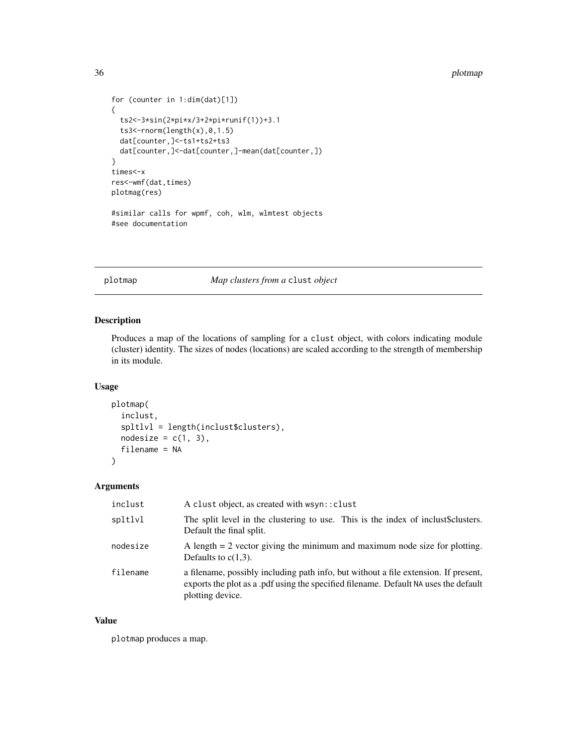#### 36 plotmap and the set of the set of the set of the set of the set of the set of the set of the set of the set of the set of the set of the set of the set of the set of the set of the set of the set of the set of the set o

```
for (counter in 1:dim(dat)[1])
{
  ts2<-3*sin(2*pi*x/3+2*pi*runif(1))+3.1
  ts3 < -rnorm(length(x), 0, 1.5)dat[counter,]<-ts1+ts2+ts3
  dat[counter,]<-dat[counter,]-mean(dat[counter,])
}
times<-x
res<-wmf(dat,times)
plotmag(res)
#similar calls for wpmf, coh, wlm, wlmtest objects
#see documentation
```
<span id="page-35-1"></span>plotmap *Map clusters from a* clust *object*

#### Description

Produces a map of the locations of sampling for a clust object, with colors indicating module (cluster) identity. The sizes of nodes (locations) are scaled according to the strength of membership in its module.

### Usage

```
plotmap(
  inclust,
  spltlvl = length(inclust$clusters),
  nodesize = c(1, 3),
  filename = NA
\lambda
```
#### Arguments

| inclust  | A clust object, as created with wsyn:: clust                                                                                                                                                    |
|----------|-------------------------------------------------------------------------------------------------------------------------------------------------------------------------------------------------|
| spltlvl  | The split level in the clustering to use. This is the index of inclust\$clusters.<br>Default the final split.                                                                                   |
| nodesize | A length $= 2$ vector giving the minimum and maximum node size for plotting.<br>Defaults to $c(1,3)$ .                                                                                          |
| filename | a filename, possibly including path info, but without a file extension. If present,<br>exports the plot as a .pdf using the specified filename. Default NA uses the default<br>plotting device. |

### Value

plotmap produces a map.

<span id="page-35-0"></span>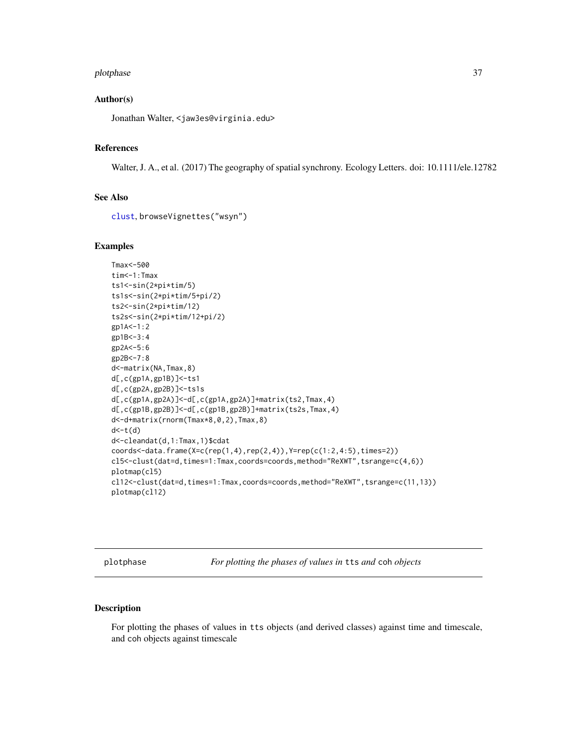### plotphase 37

## Author(s)

Jonathan Walter, <jaw3es@virginia.edu>

# References

Walter, J. A., et al. (2017) The geography of spatial synchrony. Ecology Letters. doi: 10.1111/ele.12782

# See Also

```
clust, browseVignettes("wsyn")
```
### Examples

```
Tmax<-500
tim<-1:Tmax
ts1<-sin(2*pi*tim/5)
ts1s<-sin(2*pi*tim/5+pi/2)
ts2<-sin(2*pi*tim/12)
ts2s<-sin(2*pi*tim/12+pi/2)
gp1A<-1:2
gp1B<-3:4
gp2A<-5:6
gp2B<-7:8
d<-matrix(NA,Tmax,8)
d[,c(gp1A,gp1B)]<-ts1
d[,c(gp2A,gp2B)]<-ts1s
d[,c(gp1A,gp2A)]<-d[,c(gp1A,gp2A)]+matrix(ts2,Tmax,4)
d[,c(gp1B,gp2B)]<-d[,c(gp1B,gp2B)]+matrix(ts2s,Tmax,4)
d<-d+matrix(rnorm(Tmax*8,0,2),Tmax,8)
d < -t(d)d<-cleandat(d,1:Tmax,1)$cdat
coordinates -data.frame(X=c(rep(1,4),rep(2,4)),Y=rep(c(1:2,4:5),times=2))
cl5<-clust(dat=d,times=1:Tmax,coords=coords,method="ReXWT",tsrange=c(4,6))
plotmap(cl5)
cl12<-clust(dat=d,times=1:Tmax,coords=coords,method="ReXWT",tsrange=c(11,13))
plotmap(cl12)
```
<span id="page-36-0"></span>plotphase *For plotting the phases of values in* tts *and* coh *objects*

# Description

For plotting the phases of values in tts objects (and derived classes) against time and timescale, and coh objects against timescale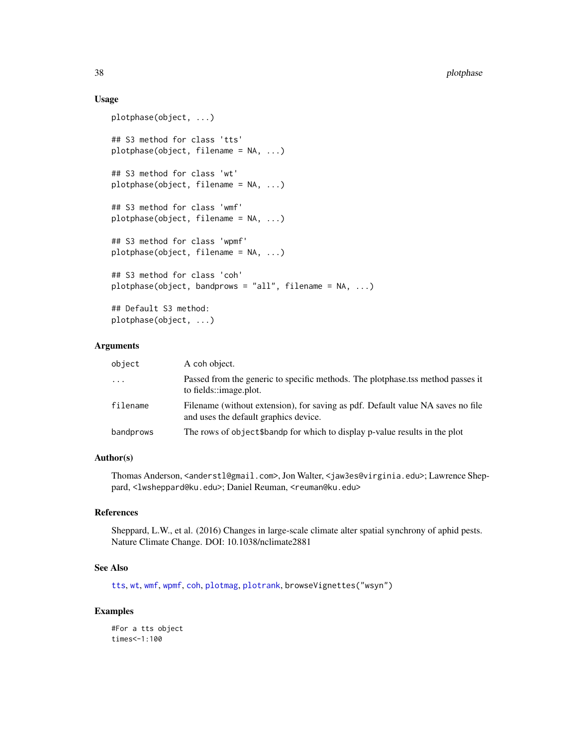# Usage

```
plotphase(object, ...)
## S3 method for class 'tts'
plotphase(object, filename = NA, ...)
## S3 method for class 'wt'
plotphase(object, filename = NA, ...)
## S3 method for class 'wmf'
plotphase(object, filename = NA, ...)
## S3 method for class 'wpmf'
plotphase(object, filename = NA, ...)
## S3 method for class 'coh'
plotphase(object, bandprows = "all", filename = NA, ...)
## Default S3 method:
plotphase(object, ...)
```
## Arguments

| object    | A coh object.                                                                                                            |
|-----------|--------------------------------------------------------------------------------------------------------------------------|
| $\ddotsc$ | Passed from the generic to specific methods. The plotphase tss method passes it<br>to fields::image.plot.                |
| filename  | Filename (without extension), for saving as pdf. Default value NA saves no file<br>and uses the default graphics device. |
| bandprows | The rows of object \$bandp for which to display p-value results in the plot                                              |

## Author(s)

Thomas Anderson, <anderstl@gmail.com>, Jon Walter, <jaw3es@virginia.edu>; Lawrence Sheppard, <lwsheppard@ku.edu>; Daniel Reuman, <reuman@ku.edu>

## References

Sheppard, L.W., et al. (2016) Changes in large-scale climate alter spatial synchrony of aphid pests. Nature Climate Change. DOI: 10.1038/nclimate2881

## See Also

[tts](#page-55-0), [wt](#page-75-0), [wmf](#page-69-0), [wpmf](#page-72-0), [coh](#page-16-0), [plotmag](#page-31-0), [plotrank](#page-38-0), browseVignettes("wsyn")

### Examples

#For a tts object times<-1:100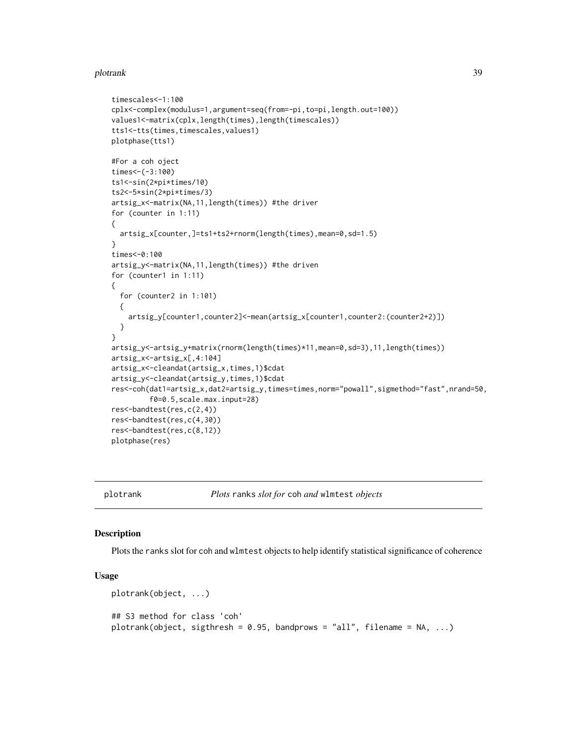### plotrank 39

```
timescales<-1:100
cplx<-complex(modulus=1,argument=seq(from=-pi,to=pi,length.out=100))
values1<-matrix(cplx,length(times),length(timescales))
tts1<-tts(times,timescales,values1)
plotphase(tts1)
#For a coh oject
times < -(-3:100)ts1<-sin(2*pi*times/10)
ts2<-5*sin(2*pi*times/3)
artsig_x<-matrix(NA,11,length(times)) #the driver
for (counter in 1:11)
{
 artsig_x[counter,]=ts1+ts2+rnorm(length(times),mean=0,sd=1.5)
}
times<-0:100
artsig_y<-matrix(NA,11,length(times)) #the driven
for (counter1 in 1:11)
{
 for (counter2 in 1:101)
 {
   artsig_y[counter1,counter2]<-mean(artsig_x[counter1,counter2:(counter2+2)])
 }
}
artsig_y<-artsig_y+matrix(rnorm(length(times)*11,mean=0,sd=3),11,length(times))
artsig_x<-artsig_x[,4:104]
artsig_x<-cleandat(artsig_x,times,1)$cdat
artsig_y<-cleandat(artsig_y,times,1)$cdat
res<-coh(dat1=artsig_x,dat2=artsig_y,times=times,norm="powall",sigmethod="fast",nrand=50,
         f0=0.5,scale.max.input=28)
res<-bandtest(res,c(2,4))
res<-bandtest(res,c(4,30))
res<-bandtest(res,c(8,12))
plotphase(res)
```
<span id="page-38-0"></span>

plotrank *Plots* ranks *slot for* coh *and* wlmtest *objects*

## Description

Plots the ranks slot for coh and wlmtest objects to help identify statistical significance of coherence

### Usage

```
plotrank(object, ...)
## S3 method for class 'coh'
plotrank(object, sigthresh = 0.95, bandprows = "all", filename = NA, ...)
```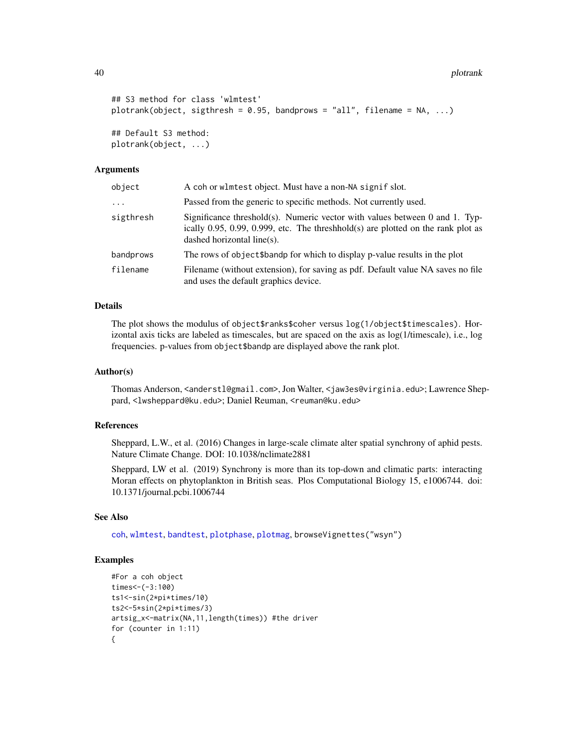40 plotrank

```
## S3 method for class 'wlmtest'
plotrank(object, sigthresh = 0.95, bandprows = "all", filename = NA, ...)
## Default S3 method:
plotrank(object, ...)
```
### Arguments

| object    | A coh or wlmtest object. Must have a non-NA signif slot.                                                                                                                                         |
|-----------|--------------------------------------------------------------------------------------------------------------------------------------------------------------------------------------------------|
| $\cdots$  | Passed from the generic to specific methods. Not currently used.                                                                                                                                 |
| sigthresh | Significance threshold(s). Numeric vector with values between 0 and 1. Typ-<br>ically 0.95, 0.99, 0.999, etc. The threshhold $(s)$ are plotted on the rank plot as<br>dashed horizontal line(s). |
| bandprows | The rows of object \$bandp for which to display p-value results in the plot                                                                                                                      |
| filename  | Filename (without extension), for saving as pdf. Default value NA saves no file<br>and uses the default graphics device.                                                                         |

# Details

The plot shows the modulus of object\$ranks\$coher versus log(1/object\$timescales). Horizontal axis ticks are labeled as timescales, but are spaced on the axis as log(1/timescale), i.e., log frequencies. p-values from object\$bandp are displayed above the rank plot.

### Author(s)

Thomas Anderson, <anderstl@gmail.com>, Jon Walter, <jaw3es@virginia.edu>; Lawrence Sheppard, <lwsheppard@ku.edu>; Daniel Reuman, <reuman@ku.edu>

## References

Sheppard, L.W., et al. (2016) Changes in large-scale climate alter spatial synchrony of aphid pests. Nature Climate Change. DOI: 10.1038/nclimate2881

Sheppard, LW et al. (2019) Synchrony is more than its top-down and climatic parts: interacting Moran effects on phytoplankton in British seas. Plos Computational Biology 15, e1006744. doi: 10.1371/journal.pcbi.1006744

## See Also

[coh](#page-16-0), [wlmtest](#page-63-0), [bandtest](#page-5-0), [plotphase](#page-36-0), [plotmag](#page-31-0), browseVignettes("wsyn")

# Examples

```
#For a coh object
times<-(-3:100)
ts1<-sin(2*pi*times/10)
ts2<-5*sin(2*pi*times/3)
artsig_x<-matrix(NA,11,length(times)) #the driver
for (counter in 1:11)
{
```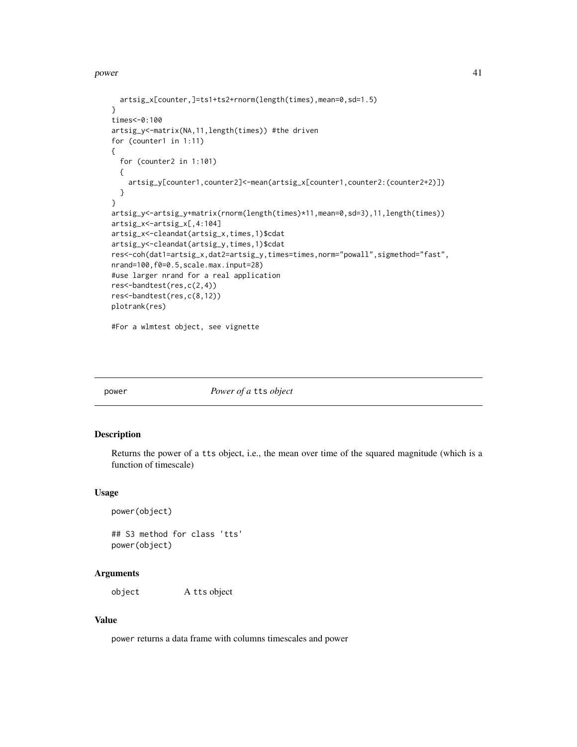power that the contract of the contract of the contract of the contract of the contract of the contract of the contract of the contract of the contract of the contract of the contract of the contract of the contract of the

```
artsig_x[counter,]=ts1+ts2+rnorm(length(times),mean=0,sd=1.5)
}
times<-0:100
artsig_y<-matrix(NA,11,length(times)) #the driven
for (counter1 in 1:11)
{
  for (counter2 in 1:101)
  {
   artsig_y[counter1,counter2]<-mean(artsig_x[counter1,counter2:(counter2+2)])
  }
}
artsig_y<-artsig_y+matrix(rnorm(length(times)*11,mean=0,sd=3),11,length(times))
artsig_x<-artsig_x[,4:104]
artsig_x<-cleandat(artsig_x,times,1)$cdat
artsig_y<-cleandat(artsig_y,times,1)$cdat
res<-coh(dat1=artsig_x,dat2=artsig_y,times=times,norm="powall",sigmethod="fast",
nrand=100,f0=0.5,scale.max.input=28)
#use larger nrand for a real application
res<-bandtest(res,c(2,4))
res<-bandtest(res,c(8,12))
plotrank(res)
```
#For a wlmtest object, see vignette

<span id="page-40-0"></span>

power *Power of a* tts *object*

# Description

Returns the power of a tts object, i.e., the mean over time of the squared magnitude (which is a function of timescale)

### Usage

```
power(object)
```
## S3 method for class 'tts' power(object)

### Arguments

object A tts object

### Value

power returns a data frame with columns timescales and power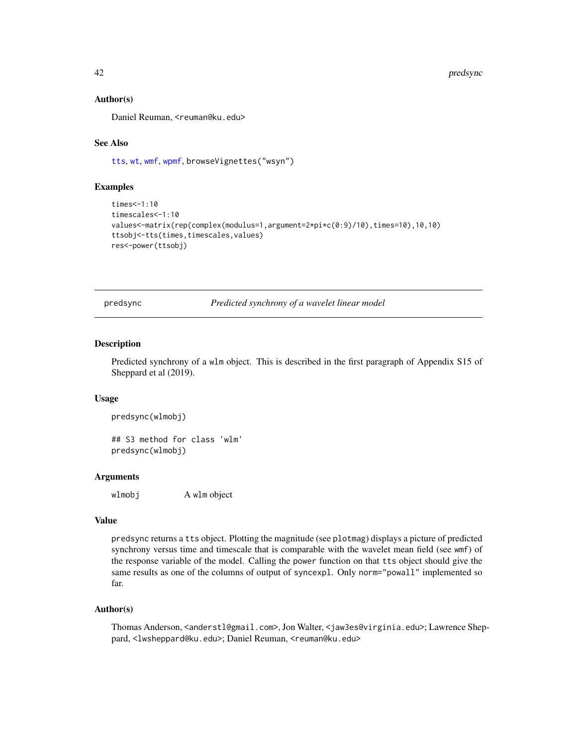### Author(s)

Daniel Reuman, <reuman@ku.edu>

### See Also

[tts](#page-55-0), [wt](#page-75-0), [wmf](#page-69-0), [wpmf](#page-72-0), browseVignettes("wsyn")

## Examples

```
times<-1:10
timescales<-1:10
values<-matrix(rep(complex(modulus=1,argument=2*pi*c(0:9)/10),times=10),10,10)
ttsobj<-tts(times,timescales,values)
res<-power(ttsobj)
```
<span id="page-41-0"></span>predsync *Predicted synchrony of a wavelet linear model*

#### Description

Predicted synchrony of a wlm object. This is described in the first paragraph of Appendix S15 of Sheppard et al (2019).

### Usage

```
predsync(wlmobj)
```
## S3 method for class 'wlm' predsync(wlmobj)

## Arguments

wlmobj A wlm object

### Value

predsync returns a tts object. Plotting the magnitude (see plotmag) displays a picture of predicted synchrony versus time and timescale that is comparable with the wavelet mean field (see wmf) of the response variable of the model. Calling the power function on that tts object should give the same results as one of the columns of output of syncexpl. Only norm="powall" implemented so far.

### Author(s)

Thomas Anderson, <anderstl@gmail.com>, Jon Walter, <jaw3es@virginia.edu>; Lawrence Sheppard, <lwsheppard@ku.edu>; Daniel Reuman, <reuman@ku.edu>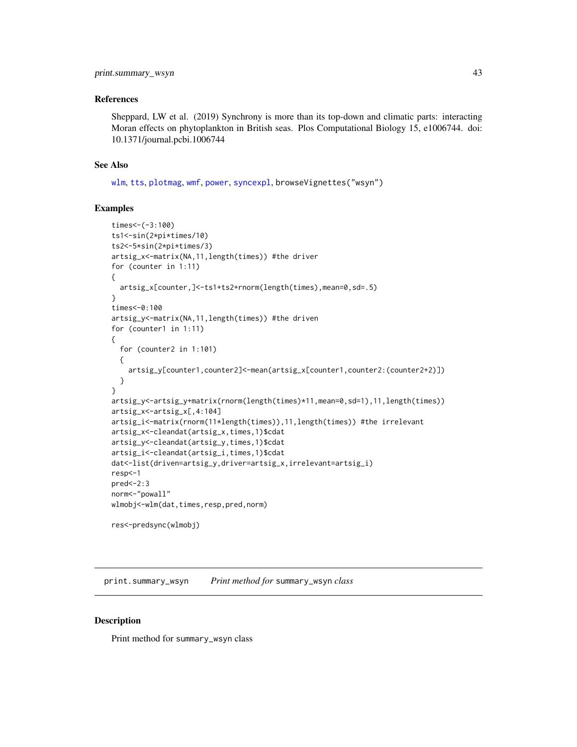### References

Sheppard, LW et al. (2019) Synchrony is more than its top-down and climatic parts: interacting Moran effects on phytoplankton in British seas. Plos Computational Biology 15, e1006744. doi: 10.1371/journal.pcbi.1006744

### See Also

[wlm](#page-60-0), [tts](#page-55-0), [plotmag](#page-31-0), [wmf](#page-69-0), [power](#page-40-0), [syncexpl](#page-51-0), browseVignettes("wsyn")

## Examples

```
times<-(-3:100)
ts1<-sin(2*pi*times/10)
ts2<-5*sin(2*pi*times/3)
artsig_x<-matrix(NA,11,length(times)) #the driver
for (counter in 1:11)
{
  artsig_x[counter,]<-ts1+ts2+rnorm(length(times),mean=0,sd=.5)
}
times<-0:100
artsig_y<-matrix(NA,11,length(times)) #the driven
for (counter1 in 1:11)
{
  for (counter2 in 1:101)
  {
    artsig_y[counter1,counter2]<-mean(artsig_x[counter1,counter2:(counter2+2)])
  }
}
artsig_y<-artsig_y+matrix(rnorm(length(times)*11,mean=0,sd=1),11,length(times))
artsig_x<-artsig_x[,4:104]
artsig_i<-matrix(rnorm(11*length(times)),11,length(times)) #the irrelevant
artsig_x<-cleandat(artsig_x,times,1)$cdat
artsig_y<-cleandat(artsig_y,times,1)$cdat
artsig_i<-cleandat(artsig_i,times,1)$cdat
dat<-list(driven=artsig_y,driver=artsig_x,irrelevant=artsig_i)
resp<-1
pred<-2:3
norm<-"powall"
wlmobj<-wlm(dat,times,resp,pred,norm)
res<-predsync(wlmobj)
```
print.summary\_wsyn *Print method for* summary\_wsyn *class*

### Description

Print method for summary\_wsyn class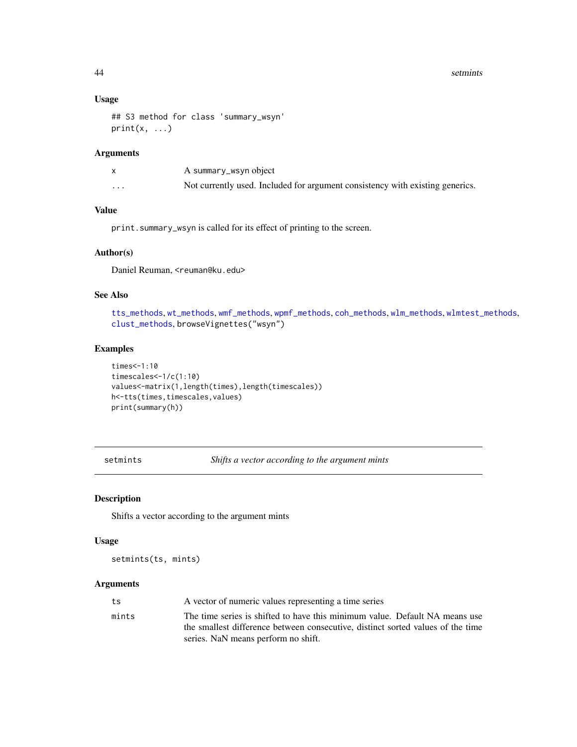# Usage

```
## S3 method for class 'summary_wsyn'
print(x, \ldots)
```
# Arguments

|          | A summary_wsyn object                                                         |
|----------|-------------------------------------------------------------------------------|
| $\cdots$ | Not currently used. Included for argument consistency with existing generics. |

# Value

print.summary\_wsyn is called for its effect of printing to the screen.

### Author(s)

Daniel Reuman, <reuman@ku.edu>

# See Also

[tts\\_methods](#page-56-0), [wt\\_methods](#page-77-0), [wmf\\_methods](#page-70-0), [wpmf\\_methods](#page-73-0), [coh\\_methods](#page-19-0), [wlm\\_methods](#page-66-0), [wlmtest\\_methods](#page-65-0), [clust\\_methods](#page-13-0), browseVignettes("wsyn")

## Examples

```
times<-1:10
timescales<-1/c(1:10)
values<-matrix(1,length(times),length(timescales))
h<-tts(times,timescales,values)
print(summary(h))
```
setmints *Shifts a vector according to the argument mints*

## Description

Shifts a vector according to the argument mints

## Usage

setmints(ts, mints)

# Arguments

| ts    | A vector of numeric values representing a time series                           |
|-------|---------------------------------------------------------------------------------|
| mints | The time series is shifted to have this minimum value. Default NA means use     |
|       | the smallest difference between consecutive, distinct sorted values of the time |
|       | series. NaN means perform no shift.                                             |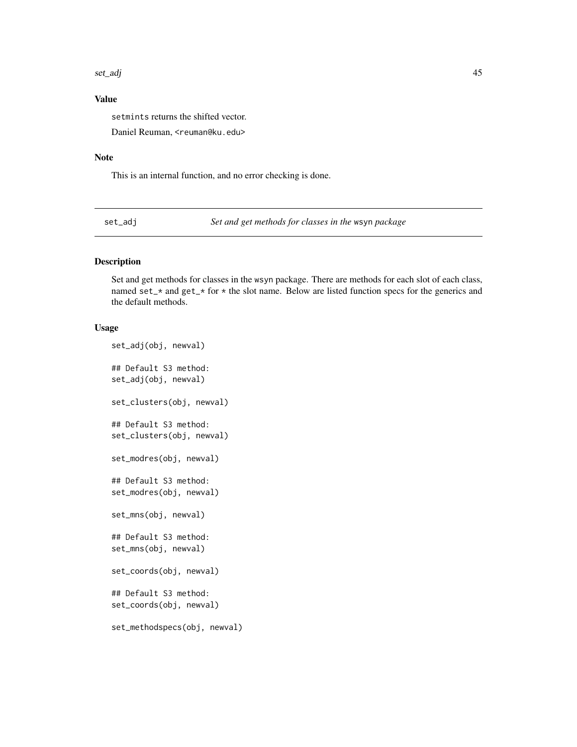# Value

setmints returns the shifted vector.

Daniel Reuman, <reuman@ku.edu>

## Note

This is an internal function, and no error checking is done.

set\_adj *Set and get methods for classes in the* wsyn *package*

## Description

Set and get methods for classes in the wsyn package. There are methods for each slot of each class, named set\_\* and get\_\* for \* the slot name. Below are listed function specs for the generics and the default methods.

# Usage

```
set_adj(obj, newval)
## Default S3 method:
set_adj(obj, newval)
set_clusters(obj, newval)
## Default S3 method:
set_clusters(obj, newval)
set_modres(obj, newval)
## Default S3 method:
set_modres(obj, newval)
set_mns(obj, newval)
## Default S3 method:
set_mns(obj, newval)
set_coords(obj, newval)
## Default S3 method:
set_coords(obj, newval)
set_methodspecs(obj, newval)
```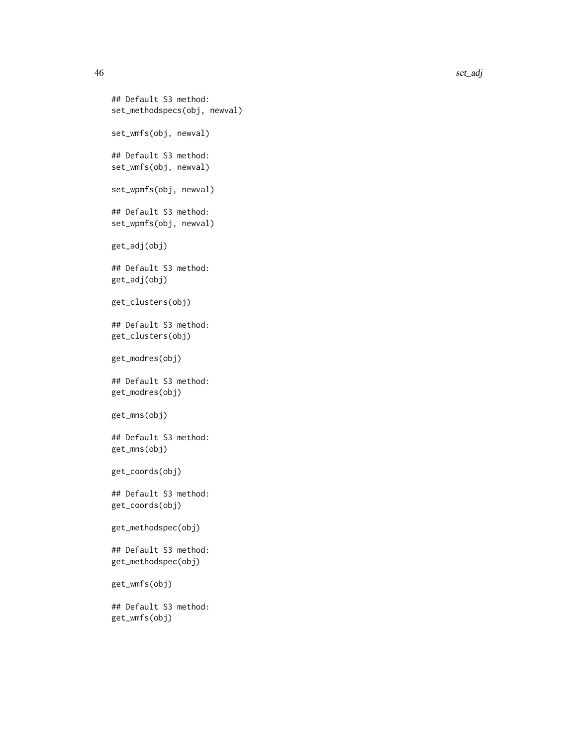```
## Default S3 method:
set_methodspecs(obj, newval)
set_wmfs(obj, newval)
## Default S3 method:
set_wmfs(obj, newval)
set_wpmfs(obj, newval)
## Default S3 method:
set_wpmfs(obj, newval)
get_adj(obj)
## Default S3 method:
get_adj(obj)
get_clusters(obj)
## Default S3 method:
get_clusters(obj)
get_modres(obj)
## Default S3 method:
get_modres(obj)
get_mns(obj)
## Default S3 method:
get_mns(obj)
get_coords(obj)
## Default S3 method:
get_coords(obj)
get_methodspec(obj)
## Default S3 method:
get_methodspec(obj)
get_wmfs(obj)
## Default S3 method:
get_wmfs(obj)
```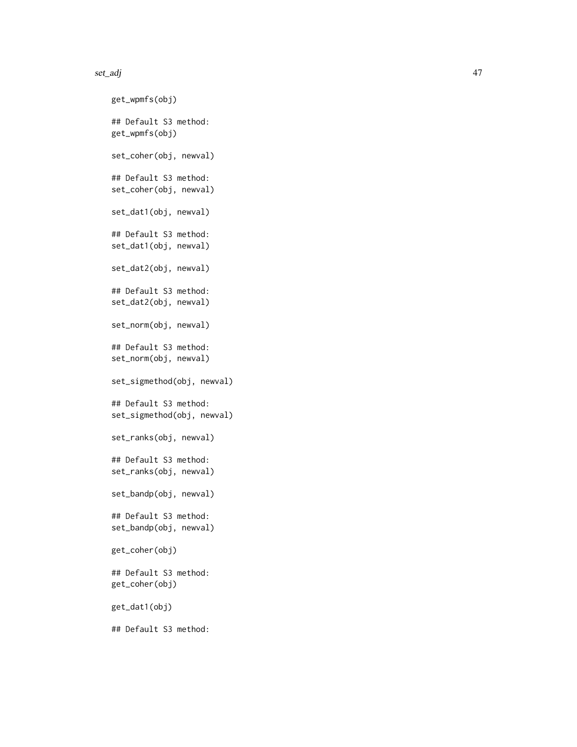```
get_wpmfs(obj)
## Default S3 method:
get_wpmfs(obj)
set_coher(obj, newval)
## Default S3 method:
set_coher(obj, newval)
set_dat1(obj, newval)
## Default S3 method:
set_dat1(obj, newval)
set_dat2(obj, newval)
## Default S3 method:
set_dat2(obj, newval)
set_norm(obj, newval)
## Default S3 method:
set_norm(obj, newval)
set_sigmethod(obj, newval)
## Default S3 method:
set_sigmethod(obj, newval)
set_ranks(obj, newval)
## Default S3 method:
set_ranks(obj, newval)
set_bandp(obj, newval)
## Default S3 method:
set_bandp(obj, newval)
get_coher(obj)
## Default S3 method:
get_coher(obj)
get_dat1(obj)
## Default S3 method:
```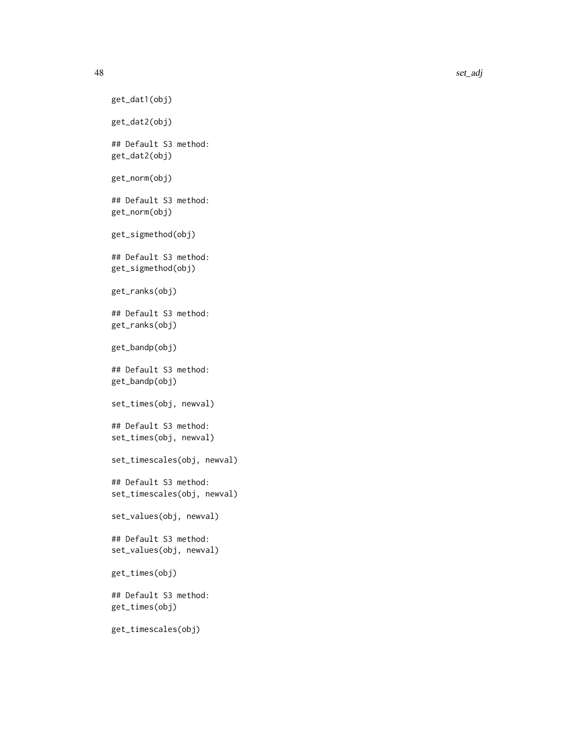```
get_dat1(obj)
get_dat2(obj)
## Default S3 method:
get_dat2(obj)
get_norm(obj)
## Default S3 method:
get_norm(obj)
get_sigmethod(obj)
## Default S3 method:
get_sigmethod(obj)
get_ranks(obj)
## Default S3 method:
get_ranks(obj)
get_bandp(obj)
## Default S3 method:
get_bandp(obj)
set_times(obj, newval)
## Default S3 method:
set_times(obj, newval)
set_timescales(obj, newval)
## Default S3 method:
set_timescales(obj, newval)
set_values(obj, newval)
## Default S3 method:
set_values(obj, newval)
get_times(obj)
## Default S3 method:
get_times(obj)
get_timescales(obj)
```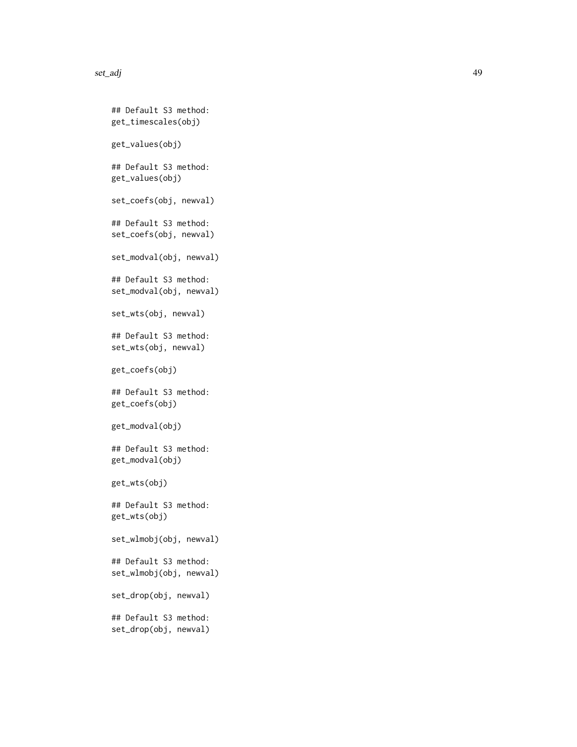```
## Default S3 method:
get_timescales(obj)
get_values(obj)
## Default S3 method:
get_values(obj)
set_coefs(obj, newval)
## Default S3 method:
set_coefs(obj, newval)
set_modval(obj, newval)
## Default S3 method:
set_modval(obj, newval)
set_wts(obj, newval)
## Default S3 method:
set_wts(obj, newval)
get_coefs(obj)
## Default S3 method:
get_coefs(obj)
get_modval(obj)
## Default S3 method:
get_modval(obj)
get_wts(obj)
## Default S3 method:
get_wts(obj)
set_wlmobj(obj, newval)
## Default S3 method:
set_wlmobj(obj, newval)
set_drop(obj, newval)
## Default S3 method:
set_drop(obj, newval)
```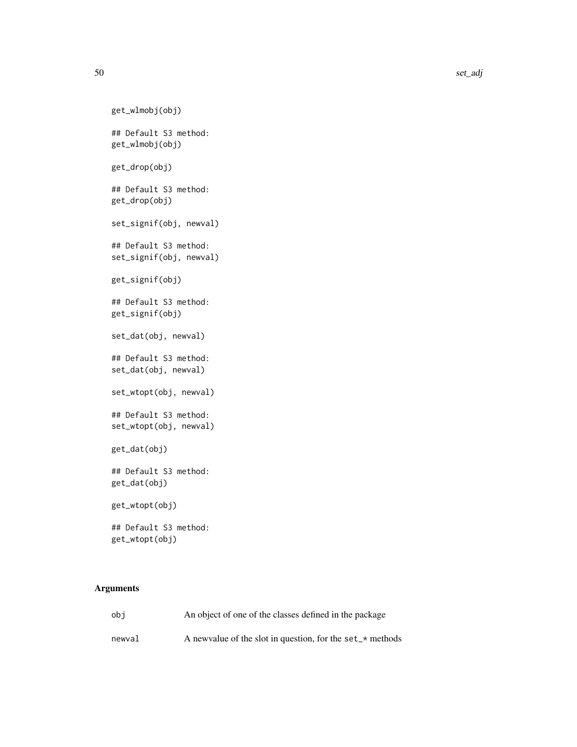```
get_wlmobj(obj)
## Default S3 method:
get_wlmobj(obj)
get_drop(obj)
## Default S3 method:
get_drop(obj)
set_signif(obj, newval)
## Default S3 method:
set_signif(obj, newval)
get_signif(obj)
## Default S3 method:
get_signif(obj)
set_dat(obj, newval)
## Default S3 method:
set_dat(obj, newval)
set_wtopt(obj, newval)
## Default S3 method:
set_wtopt(obj, newval)
get_dat(obj)
## Default S3 method:
get_dat(obj)
get_wtopt(obj)
## Default S3 method:
get_wtopt(obj)
```
## Arguments

| obi    | An object of one of the classes defined in the package         |
|--------|----------------------------------------------------------------|
| newval | A new value of the slot in question, for the set $\pm$ methods |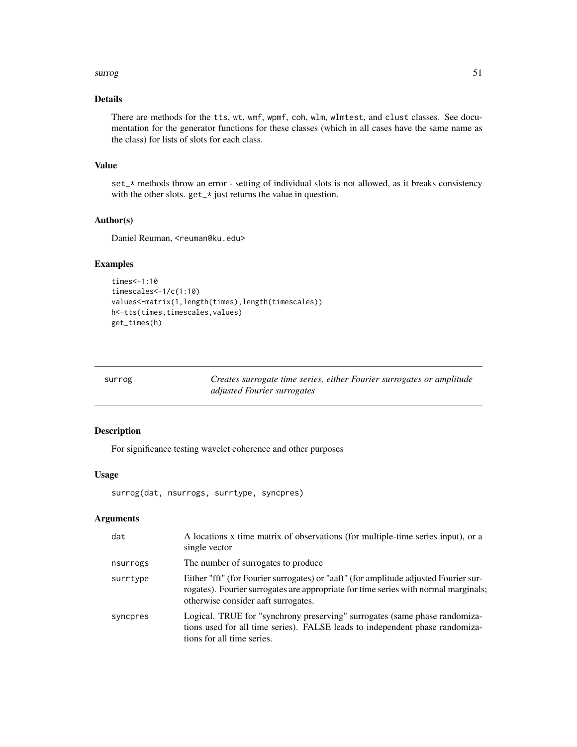### surrog 51

# Details

There are methods for the tts, wt, wmf, wpmf, coh, wlm, wlmtest, and clust classes. See documentation for the generator functions for these classes (which in all cases have the same name as the class) for lists of slots for each class.

## Value

set\_\* methods throw an error - setting of individual slots is not allowed, as it breaks consistency with the other slots. get\_\* just returns the value in question.

### Author(s)

Daniel Reuman, <reuman@ku.edu>

# Examples

```
times<-1:10
timescales<-1/c(1:10)
values<-matrix(1,length(times),length(timescales))
h<-tts(times,timescales,values)
get_times(h)
```
<span id="page-50-0"></span>

| surrog | Creates surrogate time series, either Fourier surrogates or amplitude |
|--------|-----------------------------------------------------------------------|
|        | adjusted Fourier surrogates                                           |

# Description

For significance testing wavelet coherence and other purposes

### Usage

surrog(dat, nsurrogs, surrtype, syncpres)

# Arguments

| dat      | A locations x time matrix of observations (for multiple-time series input), or a<br>single vector                                                                                                                  |
|----------|--------------------------------------------------------------------------------------------------------------------------------------------------------------------------------------------------------------------|
| nsurrogs | The number of surrogates to produce                                                                                                                                                                                |
| surrtype | Either "fft" (for Fourier surrogates) or "aaft" (for amplitude adjusted Fourier sur-<br>rogates). Fourier surrogates are appropriate for time series with normal marginals;<br>otherwise consider aaft surrogates. |
| syncpres | Logical. TRUE for "synchrony preserving" surrogates (same phase randomiza-<br>tions used for all time series). FALSE leads to independent phase randomiza-<br>tions for all time series.                           |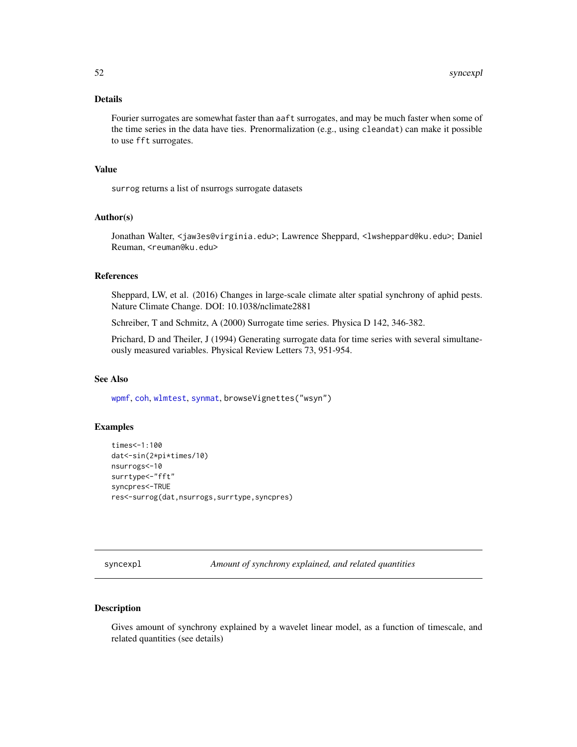## Details

Fourier surrogates are somewhat faster than aaft surrogates, and may be much faster when some of the time series in the data have ties. Prenormalization (e.g., using cleandat) can make it possible to use fft surrogates.

### Value

surrog returns a list of nsurrogs surrogate datasets

## Author(s)

Jonathan Walter, <jaw3es@virginia.edu>; Lawrence Sheppard, <lwsheppard@ku.edu>; Daniel Reuman, <reuman@ku.edu>

### References

Sheppard, LW, et al. (2016) Changes in large-scale climate alter spatial synchrony of aphid pests. Nature Climate Change. DOI: 10.1038/nclimate2881

Schreiber, T and Schmitz, A (2000) Surrogate time series. Physica D 142, 346-382.

Prichard, D and Theiler, J (1994) Generating surrogate data for time series with several simultaneously measured variables. Physical Review Letters 73, 951-954.

# See Also

[wpmf](#page-72-0), [coh](#page-16-0), [wlmtest](#page-63-0), [synmat](#page-53-0), browseVignettes("wsyn")

### Examples

```
times<-1:100
dat<-sin(2*pi*times/10)
nsurrogs<-10
surrtype<-"fft"
syncpres<-TRUE
res<-surrog(dat,nsurrogs,surrtype,syncpres)
```
<span id="page-51-0"></span>syncexpl *Amount of synchrony explained, and related quantities*

# Description

Gives amount of synchrony explained by a wavelet linear model, as a function of timescale, and related quantities (see details)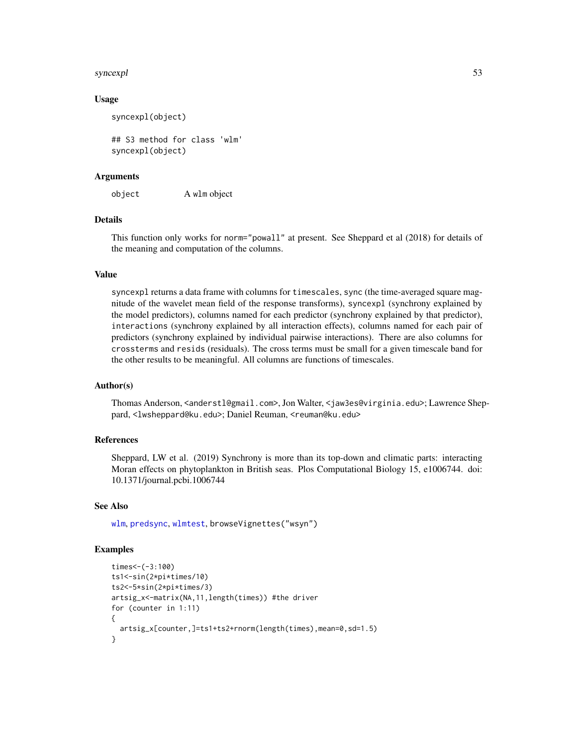### syncexpl 53

## Usage

syncexpl(object)

## S3 method for class 'wlm' syncexpl(object)

## Arguments

object A wlm object

# Details

This function only works for norm="powall" at present. See Sheppard et al (2018) for details of the meaning and computation of the columns.

# Value

syncexpl returns a data frame with columns for timescales, sync (the time-averaged square magnitude of the wavelet mean field of the response transforms), syncexpl (synchrony explained by the model predictors), columns named for each predictor (synchrony explained by that predictor), interactions (synchrony explained by all interaction effects), columns named for each pair of predictors (synchrony explained by individual pairwise interactions). There are also columns for crossterms and resids (residuals). The cross terms must be small for a given timescale band for the other results to be meaningful. All columns are functions of timescales.

### Author(s)

Thomas Anderson, <anderstl@gmail.com>, Jon Walter, <jaw3es@virginia.edu>; Lawrence Sheppard, <lwsheppard@ku.edu>; Daniel Reuman, <reuman@ku.edu>

## References

Sheppard, LW et al. (2019) Synchrony is more than its top-down and climatic parts: interacting Moran effects on phytoplankton in British seas. Plos Computational Biology 15, e1006744. doi: 10.1371/journal.pcbi.1006744

## See Also

[wlm](#page-60-0), [predsync](#page-41-0), [wlmtest](#page-63-0), browseVignettes("wsyn")

## Examples

```
times < -(-3:100)ts1<-sin(2*pi*times/10)
ts2<-5*sin(2*pi*times/3)
artsig_x<-matrix(NA,11,length(times)) #the driver
for (counter in 1:11)
{
 artsig_x[counter,]=ts1+ts2+rnorm(length(times),mean=0,sd=1.5)
}
```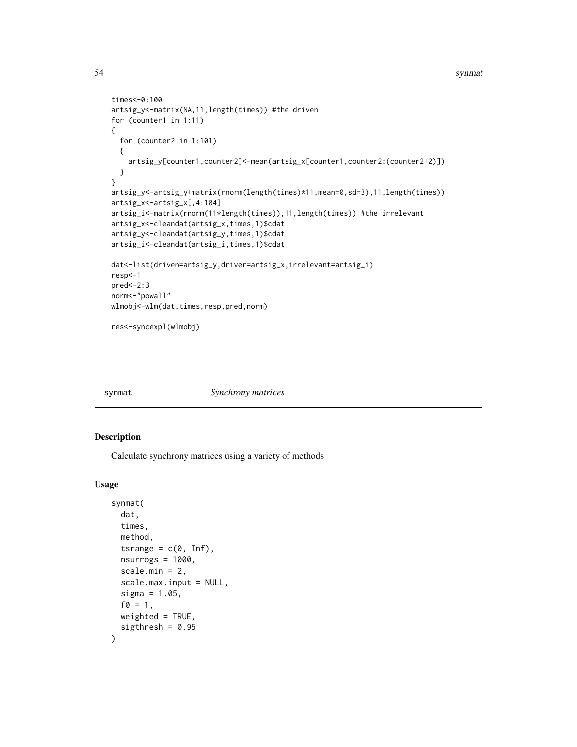### 54 synmatrix and the synmatrix of the synmatrix synmatrix synmatrix synmatrix synmatrix synmatrix synmatrix synmatrix synmatrix synmatrix synmatrix synmatrix synmatrix synmatrix synmatrix synmatrix synmatrix synmatrix synm

```
times<-0:100
artsig_y<-matrix(NA,11,length(times)) #the driven
for (counter1 in 1:11)
{
  for (counter2 in 1:101)
  {
   artsig_y[counter1,counter2]<-mean(artsig_x[counter1,counter2:(counter2+2)])
  }
}
artsig_y<-artsig_y+matrix(rnorm(length(times)*11,mean=0,sd=3),11,length(times))
artsig_x<-artsig_x[,4:104]
artsig_i<-matrix(rnorm(11*length(times)),11,length(times)) #the irrelevant
artsig_x<-cleandat(artsig_x,times,1)$cdat
artsig_y<-cleandat(artsig_y,times,1)$cdat
artsig_i<-cleandat(artsig_i,times,1)$cdat
dat<-list(driven=artsig_y,driver=artsig_x,irrelevant=artsig_i)
resp<-1
pred<-2:3
norm<-"powall"
wlmobj<-wlm(dat,times,resp,pred,norm)
res<-syncexpl(wlmobj)
```
<span id="page-53-0"></span>

synmat *Synchrony matrices*

# Description

Calculate synchrony matrices using a variety of methods

## Usage

```
synmat(
  dat,
  times,
 method,
  tsrange = c(\emptyset, Inf),
  nsurrogs = 1000,
  scale.min = 2,
  scale.max.input = NULL,
  sigma = 1.05,
  f0 = 1,
 weighted = TRUE,
  sigthresh = 0.95)
```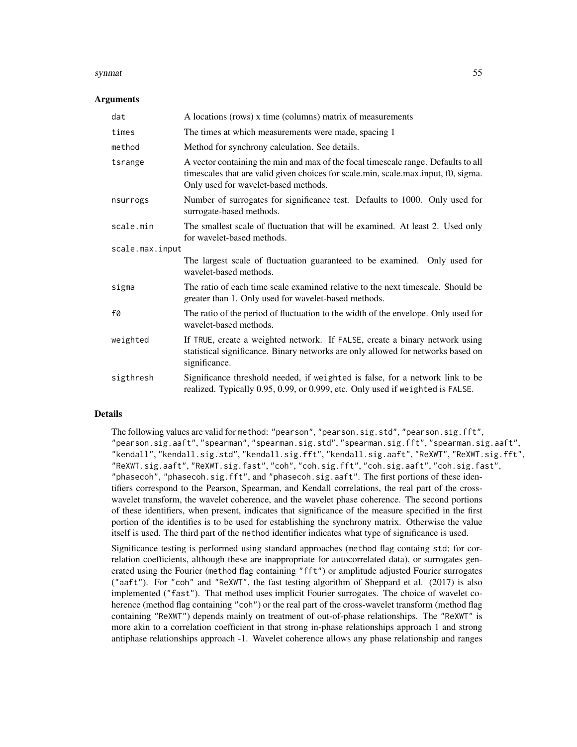### synmat 55

### Arguments

| dat             | A locations (rows) x time (columns) matrix of measurements                                                                                                                                                      |
|-----------------|-----------------------------------------------------------------------------------------------------------------------------------------------------------------------------------------------------------------|
| times           | The times at which measurements were made, spacing 1                                                                                                                                                            |
| method          | Method for synchrony calculation. See details.                                                                                                                                                                  |
| tsrange         | A vector containing the min and max of the focal timescale range. Defaults to all<br>timescales that are valid given choices for scale.min, scale.max.input, f0, sigma.<br>Only used for wavelet-based methods. |
| nsurrogs        | Number of surrogates for significance test. Defaults to 1000. Only used for<br>surrogate-based methods.                                                                                                         |
| scale.min       | The smallest scale of fluctuation that will be examined. At least 2. Used only<br>for wavelet-based methods.                                                                                                    |
| scale.max.input |                                                                                                                                                                                                                 |
|                 | The largest scale of fluctuation guaranteed to be examined. Only used for<br>wavelet-based methods.                                                                                                             |
| sigma           | The ratio of each time scale examined relative to the next timescale. Should be<br>greater than 1. Only used for wavelet-based methods.                                                                         |
| f0              | The ratio of the period of fluctuation to the width of the envelope. Only used for<br>wavelet-based methods.                                                                                                    |
| weighted        | If TRUE, create a weighted network. If FALSE, create a binary network using<br>statistical significance. Binary networks are only allowed for networks based on<br>significance.                                |
| sigthresh       | Significance threshold needed, if weighted is false, for a network link to be<br>realized. Typically 0.95, 0.99, or 0.999, etc. Only used if weighted is FALSE.                                                 |

## Details

The following values are valid for method: "pearson", "pearson.sig.std", "pearson.sig.fft", "pearson.sig.aaft", "spearman", "spearman.sig.std", "spearman.sig.fft", "spearman.sig.aaft", "kendall", "kendall.sig.std", "kendall.sig.fft", "kendall.sig.aaft", "ReXWT", "ReXWT.sig.fft", "ReXWT.sig.aaft", "ReXWT.sig.fast", "coh", "coh.sig.fft", "coh.sig.aaft", "coh.sig.fast", "phasecoh", "phasecoh.sig.fft", and "phasecoh.sig.aaft". The first portions of these identifiers correspond to the Pearson, Spearman, and Kendall correlations, the real part of the crosswavelet transform, the wavelet coherence, and the wavelet phase coherence. The second portions of these identifiers, when present, indicates that significance of the measure specified in the first portion of the identifies is to be used for establishing the synchrony matrix. Otherwise the value itself is used. The third part of the method identifier indicates what type of significance is used.

Significance testing is performed using standard approaches (method flag containg std; for correlation coefficients, although these are inappropriate for autocorrelated data), or surrogates generated using the Fourier (method flag containing "fft") or amplitude adjusted Fourier surrogates ("aaft"). For "coh" and "ReXWT", the fast testing algorithm of Sheppard et al. (2017) is also implemented ("fast"). That method uses implicit Fourier surrogates. The choice of wavelet coherence (method flag containing "coh") or the real part of the cross-wavelet transform (method flag containing "ReXWT") depends mainly on treatment of out-of-phase relationships. The "ReXWT" is more akin to a correlation coefficient in that strong in-phase relationships approach 1 and strong antiphase relationships approach -1. Wavelet coherence allows any phase relationship and ranges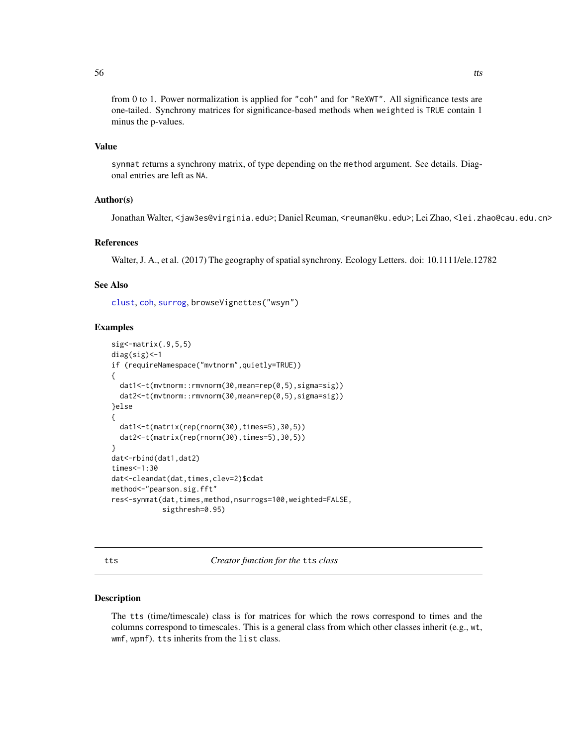from 0 to 1. Power normalization is applied for "coh" and for "ReXWT". All significance tests are one-tailed. Synchrony matrices for significance-based methods when weighted is TRUE contain 1 minus the p-values.

# Value

synmat returns a synchrony matrix, of type depending on the method argument. See details. Diagonal entries are left as NA.

## Author(s)

Jonathan Walter, <jaw3es@virginia.edu>; Daniel Reuman, <reuman@ku.edu>; Lei Zhao, <lei.zhao@cau.edu.cn>

### References

Walter, J. A., et al. (2017) The geography of spatial synchrony. Ecology Letters. doi: 10.1111/ele.12782

# See Also

[clust](#page-10-0), [coh](#page-16-0), [surrog](#page-50-0), browseVignettes("wsyn")

# Examples

```
sig<-matrix(.9,5,5)
diag(sig)<-1
if (requireNamespace("mvtnorm",quietly=TRUE))
{
  dat1<-t(mvtnorm::rmvnorm(30,mean=rep(0,5),sigma=sig))
  dat2<-t(mvtnorm::rmvnorm(30,mean=rep(0,5),sigma=sig))
}else
{
  dat1<-t(matrix(rep(rnorm(30),times=5),30,5))
  dat2<-t(matrix(rep(rnorm(30),times=5),30,5))
}
dat<-rbind(dat1,dat2)
times<-1:30
dat<-cleandat(dat,times,clev=2)$cdat
method<-"pearson.sig.fft"
res<-synmat(dat,times,method,nsurrogs=100,weighted=FALSE,
            sigthresh=0.95)
```
<span id="page-55-0"></span>tts *Creator function for the* tts *class*

#### Description

The tts (time/timescale) class is for matrices for which the rows correspond to times and the columns correspond to timescales. This is a general class from which other classes inherit (e.g., wt, wmf, wpmf). tts inherits from the list class.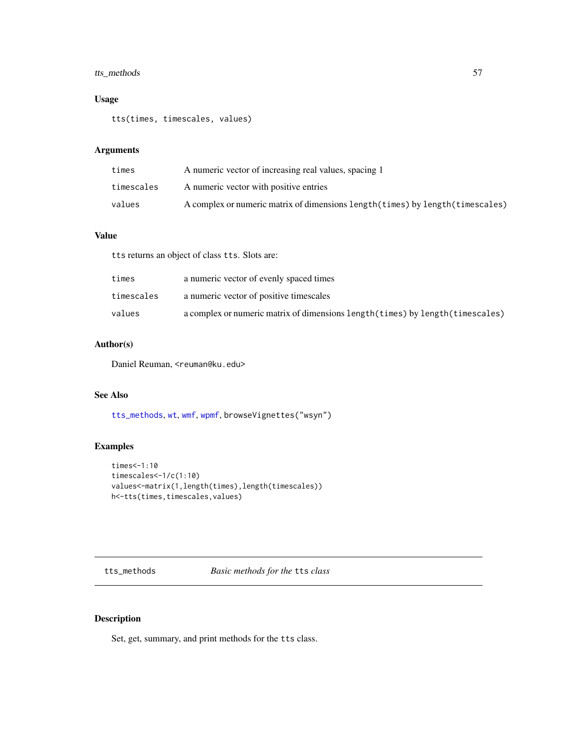# tts\_methods 57

# Usage

tts(times, timescales, values)

# Arguments

| times      | A numeric vector of increasing real values, spacing 1                           |
|------------|---------------------------------------------------------------------------------|
| timescales | A numeric vector with positive entries                                          |
| values     | A complex or numeric matrix of dimensions length (times) by length (timescales) |

# Value

tts returns an object of class tts. Slots are:

| times      | a numeric vector of evenly spaced times                                         |
|------------|---------------------------------------------------------------------------------|
| timescales | a numeric vector of positive timescales                                         |
| values     | a complex or numeric matrix of dimensions length (times) by length (timescales) |

# Author(s)

Daniel Reuman, <reuman@ku.edu>

# See Also

[tts\\_methods](#page-56-0), [wt](#page-75-0), [wmf](#page-69-0), [wpmf](#page-72-0), browseVignettes("wsyn")

# Examples

```
times<-1:10
timescales<-1/c(1:10)
values<-matrix(1,length(times),length(timescales))
h<-tts(times,timescales,values)
```
<span id="page-56-0"></span>tts\_methods *Basic methods for the* tts *class*

# Description

Set, get, summary, and print methods for the tts class.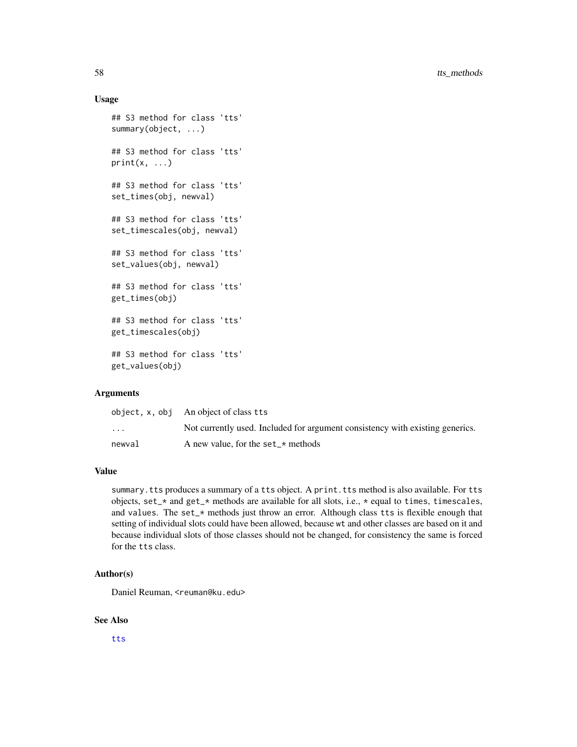## Usage

```
## S3 method for class 'tts'
summary(object, ...)
## S3 method for class 'tts'
print(x, \ldots)## S3 method for class 'tts'
set_times(obj, newval)
## S3 method for class 'tts'
set_timescales(obj, newval)
## S3 method for class 'tts'
set_values(obj, newval)
## S3 method for class 'tts'
get_times(obj)
## S3 method for class 'tts'
get_timescales(obj)
## S3 method for class 'tts'
get_values(obj)
```
## Arguments

|                         | object, x, obj An object of class tts                                         |
|-------------------------|-------------------------------------------------------------------------------|
| $\cdot$ $\cdot$ $\cdot$ | Not currently used. Included for argument consistency with existing generics. |
| newval                  | A new value, for the set $\star$ methods                                      |

# Value

summary. tts produces a summary of a tts object. A print. tts method is also available. For tts objects, set\_\* and get\_\* methods are available for all slots, i.e., \* equal to times, timescales, and values. The set\_\* methods just throw an error. Although class tts is flexible enough that setting of individual slots could have been allowed, because wt and other classes are based on it and because individual slots of those classes should not be changed, for consistency the same is forced for the tts class.

### Author(s)

Daniel Reuman, <reuman@ku.edu>

### See Also

[tts](#page-55-0)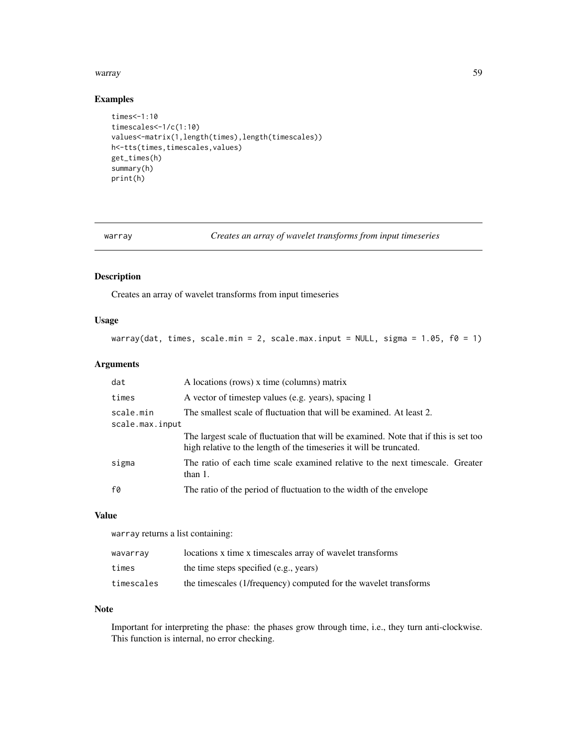### warray 59

# Examples

```
times<-1:10
timescales<-1/c(1:10)
values<-matrix(1,length(times),length(timescales))
h<-tts(times,timescales,values)
get_times(h)
summary(h)
print(h)
```
warray *Creates an array of wavelet transforms from input timeseries*

## Description

Creates an array of wavelet transforms from input timeseries

## Usage

```
warray(dat, times, scale.min = 2, scale.max.input = NULL, sigma = 1.05, f0 = 1)
```
# Arguments

| dat                          | A locations (rows) x time (columns) matrix                                                                                                                  |
|------------------------------|-------------------------------------------------------------------------------------------------------------------------------------------------------------|
| times                        | A vector of timestep values (e.g. years), spacing 1                                                                                                         |
| scale.min<br>scale.max.input | The smallest scale of fluctuation that will be examined. At least 2.                                                                                        |
|                              | The largest scale of fluctuation that will be examined. Note that if this is set too<br>high relative to the length of the timeseries it will be truncated. |
| sigma                        | The ratio of each time scale examined relative to the next timescale. Greater<br>than $1$ .                                                                 |
| f0                           | The ratio of the period of fluctuation to the width of the envelope                                                                                         |

## Value

warray returns a list containing:

| wavarray   | locations x time x timescales array of wavelet transforms        |
|------------|------------------------------------------------------------------|
| times      | the time steps specified (e.g., years)                           |
| timescales | the timescales (1/frequency) computed for the wavelet transforms |

### Note

Important for interpreting the phase: the phases grow through time, i.e., they turn anti-clockwise. This function is internal, no error checking.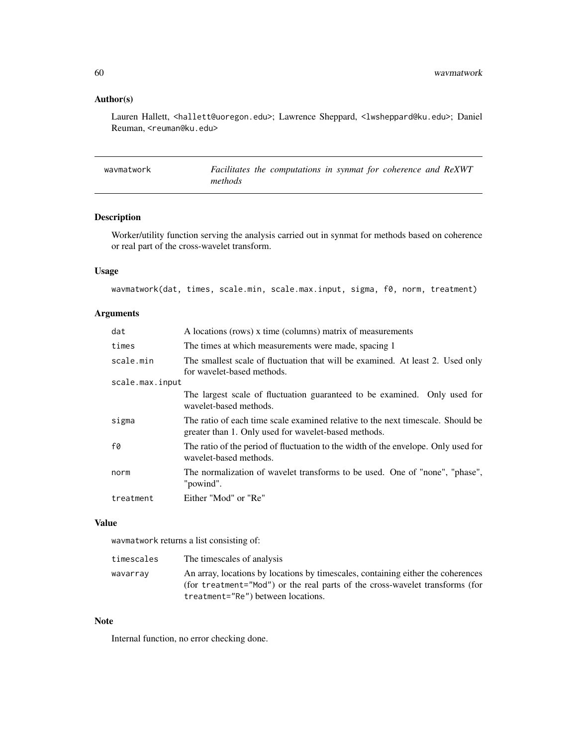# Author(s)

Lauren Hallett, <hallett@uoregon.edu>; Lawrence Sheppard, <lwsheppard@ku.edu>; Daniel Reuman, <reuman@ku.edu>

| wavmatwork | Facilitates the computations in synmat for coherence and ReXWT |
|------------|----------------------------------------------------------------|
|            | methods                                                        |

# Description

Worker/utility function serving the analysis carried out in synmat for methods based on coherence or real part of the cross-wavelet transform.

# Usage

wavmatwork(dat, times, scale.min, scale.max.input, sigma, f0, norm, treatment)

# Arguments

| dat             | A locations (rows) x time (columns) matrix of measurements                                                                              |
|-----------------|-----------------------------------------------------------------------------------------------------------------------------------------|
| times           | The times at which measurements were made, spacing 1                                                                                    |
| scale.min       | The smallest scale of fluctuation that will be examined. At least 2. Used only<br>for wavelet-based methods.                            |
| scale.max.input |                                                                                                                                         |
|                 | The largest scale of fluctuation guaranteed to be examined. Only used for<br>wavelet-based methods.                                     |
| sigma           | The ratio of each time scale examined relative to the next timescale. Should be<br>greater than 1. Only used for wavelet-based methods. |
| f0              | The ratio of the period of fluctuation to the width of the envelope. Only used for<br>wavelet-based methods.                            |
| norm            | The normalization of wavelet transforms to be used. One of "none", "phase",<br>"powind".                                                |
| treatment       | Either "Mod" or "Re"                                                                                                                    |
|                 |                                                                                                                                         |

## Value

wavmatwork returns a list consisting of:

| timescales | The timescales of analysis                                                                                                                                       |
|------------|------------------------------------------------------------------------------------------------------------------------------------------------------------------|
| wavarray   | An array, locations by locations by timescales, containing either the coherences<br>(for treatment="Mod") or the real parts of the cross-wavelet transforms (for |
|            | treatment="Re") between locations.                                                                                                                               |

# Note

Internal function, no error checking done.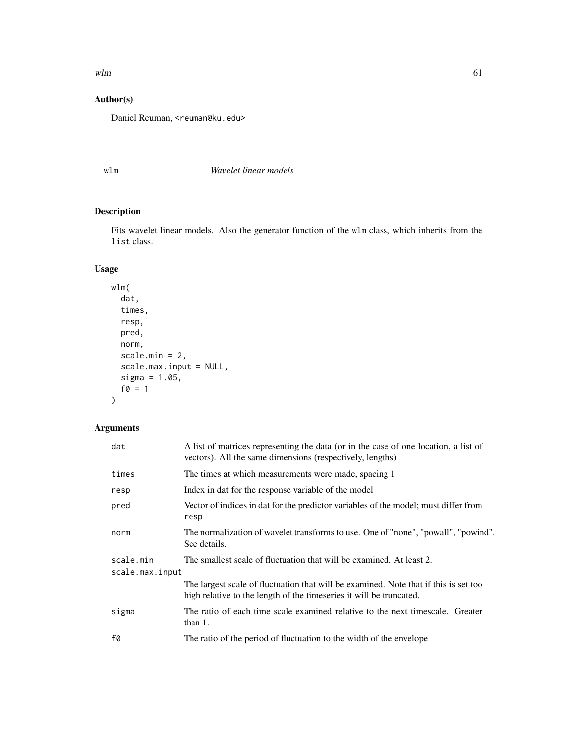### $wlm$  61

# Author(s)

Daniel Reuman, <reuman@ku.edu>

<span id="page-60-0"></span>wlm *Wavelet linear models*

# Description

Fits wavelet linear models. Also the generator function of the wlm class, which inherits from the list class.

# Usage

```
wlm(
  dat,
  times,
  resp,
  pred,
  norm,
  scale.min = 2,
  scale.max.input = NULL,
  sigma = 1.05,
  f0 = 1\mathcal{L}
```
# Arguments

| dat             | A list of matrices representing the data (or in the case of one location, a list of<br>vectors). All the same dimensions (respectively, lengths)            |  |
|-----------------|-------------------------------------------------------------------------------------------------------------------------------------------------------------|--|
| times           | The times at which measurements were made, spacing 1                                                                                                        |  |
| resp            | Index in dat for the response variable of the model                                                                                                         |  |
| pred            | Vector of indices in dat for the predictor variables of the model; must differ from<br>resp                                                                 |  |
| norm            | The normalization of wavelet transforms to use. One of "none", "powall", "powind".<br>See details.                                                          |  |
| scale.min       | The smallest scale of fluctuation that will be examined. At least 2.                                                                                        |  |
| scale.max.input |                                                                                                                                                             |  |
|                 | The largest scale of fluctuation that will be examined. Note that if this is set too<br>high relative to the length of the timeseries it will be truncated. |  |
| sigma           | The ratio of each time scale examined relative to the next timescale. Greater<br>than 1.                                                                    |  |
| f0              | The ratio of the period of fluctuation to the width of the envelope                                                                                         |  |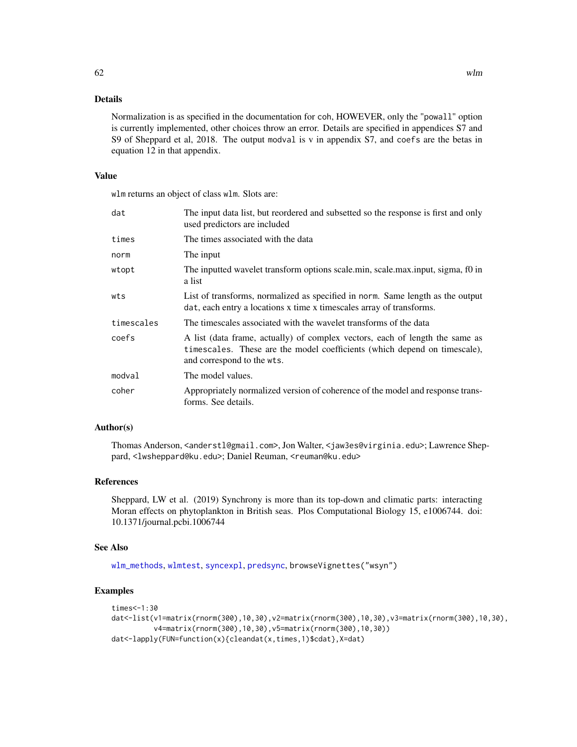Normalization is as specified in the documentation for coh, HOWEVER, only the "powall" option is currently implemented, other choices throw an error. Details are specified in appendices S7 and S9 of Sheppard et al, 2018. The output modval is v in appendix S7, and coefs are the betas in equation 12 in that appendix.

## Value

wlm returns an object of class wlm. Slots are:

| dat        | The input data list, but reordered and subsetted so the response is first and only<br>used predictors are included                                                                      |
|------------|-----------------------------------------------------------------------------------------------------------------------------------------------------------------------------------------|
| times      | The times associated with the data                                                                                                                                                      |
| norm       | The input                                                                                                                                                                               |
| wtopt      | The inputted wavelet transform options scale min, scale max input, sigma, f0 in<br>a list                                                                                               |
| wts        | List of transforms, normalized as specified in norm. Same length as the output<br>dat, each entry a locations x time x timescales array of transforms.                                  |
| timescales | The timescales associated with the wavelet transforms of the data                                                                                                                       |
| coefs      | A list (data frame, actually) of complex vectors, each of length the same as<br>timescales. These are the model coefficients (which depend on timescale),<br>and correspond to the wts. |
| modval     | The model values.                                                                                                                                                                       |
| coher      | Appropriately normalized version of coherence of the model and response trans-<br>forms. See details.                                                                                   |

## Author(s)

Thomas Anderson, <anderstl@gmail.com>, Jon Walter, <jaw3es@virginia.edu>; Lawrence Sheppard, <lwsheppard@ku.edu>; Daniel Reuman, <reuman@ku.edu>

# References

Sheppard, LW et al. (2019) Synchrony is more than its top-down and climatic parts: interacting Moran effects on phytoplankton in British seas. Plos Computational Biology 15, e1006744. doi: 10.1371/journal.pcbi.1006744

### See Also

[wlm\\_methods](#page-66-0), [wlmtest](#page-63-0), [syncexpl](#page-51-0), [predsync](#page-41-0), browseVignettes("wsyn")

# Examples

```
times<-1:30
dat<-list(v1=matrix(rnorm(300),10,30),v2=matrix(rnorm(300),10,30),v3=matrix(rnorm(300),10,30),
         v4=matrix(rnorm(300),10,30),v5=matrix(rnorm(300),10,30))
dat<-lapply(FUN=function(x){cleandat(x,times,1)$cdat},X=dat)
```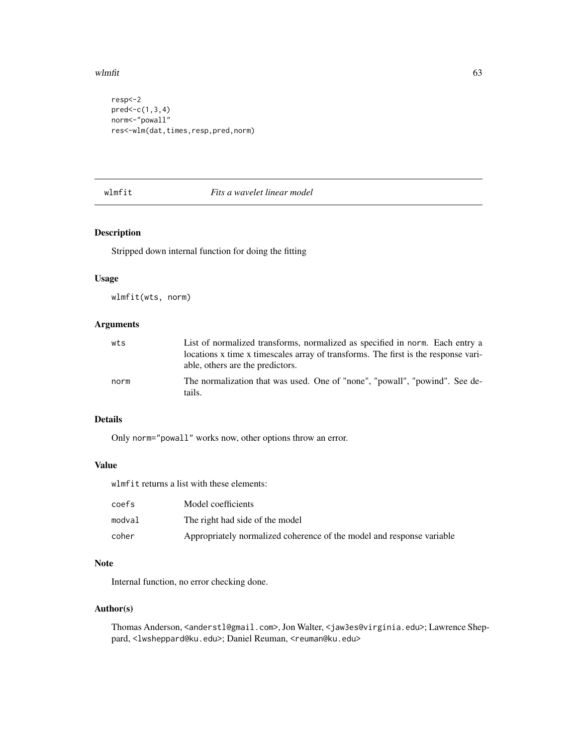### wlmfit 63

```
resp<-2
pred < -c(1,3,4)norm<-"powall"
res<-wlm(dat,times,resp,pred,norm)
```
## wlmfit *Fits a wavelet linear model*

# Description

Stripped down internal function for doing the fitting

#### Usage

wlmfit(wts, norm)

# Arguments

| wts  | List of normalized transforms, normalized as specified in norm. Each entry a                                           |
|------|------------------------------------------------------------------------------------------------------------------------|
|      | locations x time x timescales array of transforms. The first is the response vari-<br>able, others are the predictors. |
| norm | The normalization that was used. One of "none", "powall", "powind". See de-<br>tails.                                  |

# Details

Only norm="powall" works now, other options throw an error.

## Value

wlmfit returns a list with these elements:

| coefs  | Model coefficients                                                    |
|--------|-----------------------------------------------------------------------|
| modval | The right had side of the model                                       |
| coher  | Appropriately normalized coherence of the model and response variable |

## Note

Internal function, no error checking done.

## Author(s)

Thomas Anderson, <anderstl@gmail.com>, Jon Walter, <jaw3es@virginia.edu>; Lawrence Sheppard, <lwsheppard@ku.edu>; Daniel Reuman, <reuman@ku.edu>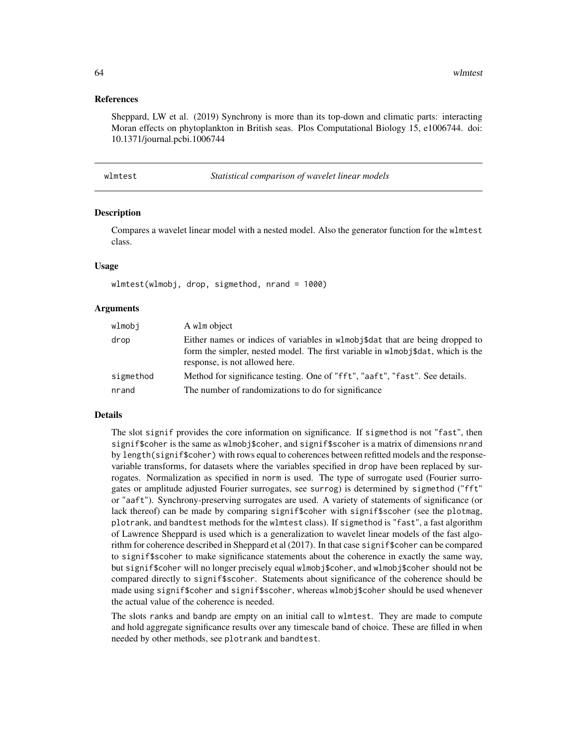### References

Sheppard, LW et al. (2019) Synchrony is more than its top-down and climatic parts: interacting Moran effects on phytoplankton in British seas. Plos Computational Biology 15, e1006744. doi: 10.1371/journal.pcbi.1006744

<span id="page-63-0"></span>

| wlmtest | Statistical comparison of wavelet linear models |  |
|---------|-------------------------------------------------|--|
|---------|-------------------------------------------------|--|

### Description

Compares a wavelet linear model with a nested model. Also the generator function for the wlmtest class.

### Usage

wlmtest(wlmobj, drop, sigmethod, nrand = 1000)

#### Arguments

| wlmobi    | A wlm object                                                                                                                                                                                      |
|-----------|---------------------------------------------------------------------------------------------------------------------------------------------------------------------------------------------------|
| drop      | Either names or indices of variables in wlmob state that are being dropped to<br>form the simpler, nested model. The first variable in wlmob stat, which is the<br>response, is not allowed here. |
| sigmethod | Method for significance testing. One of "fft", "aaft", "fast". See details.                                                                                                                       |
| nrand     | The number of randomizations to do for significance                                                                                                                                               |

#### Details

The slot signif provides the core information on significance. If sigmethod is not "fast", then signif\$coher is the same as wlmobj\$coher, and signif\$scoher is a matrix of dimensions nrand by length(signif\$coher) with rows equal to coherences between refitted models and the responsevariable transforms, for datasets where the variables specified in drop have been replaced by surrogates. Normalization as specified in norm is used. The type of surrogate used (Fourier surrogates or amplitude adjusted Fourier surrogates, see surrog) is determined by sigmethod ("fft" or "aaft"). Synchrony-preserving surrogates are used. A variety of statements of significance (or lack thereof) can be made by comparing signif\$coher with signif\$scoher (see the plotmag, plotrank, and bandtest methods for the wlmtest class). If sigmethod is "fast", a fast algorithm of Lawrence Sheppard is used which is a generalization to wavelet linear models of the fast algorithm for coherence described in Sheppard et al (2017). In that case signif\$coher can be compared to signif\$scoher to make significance statements about the coherence in exactly the same way, but signif\$coher will no longer precisely equal wlmobj\$coher, and wlmobj\$coher should not be compared directly to signif\$scoher. Statements about significance of the coherence should be made using signif\$coher and signif\$scoher, whereas wlmobj\$coher should be used whenever the actual value of the coherence is needed.

The slots ranks and bandp are empty on an initial call to wlmtest. They are made to compute and hold aggregate significance results over any timescale band of choice. These are filled in when needed by other methods, see plotrank and bandtest.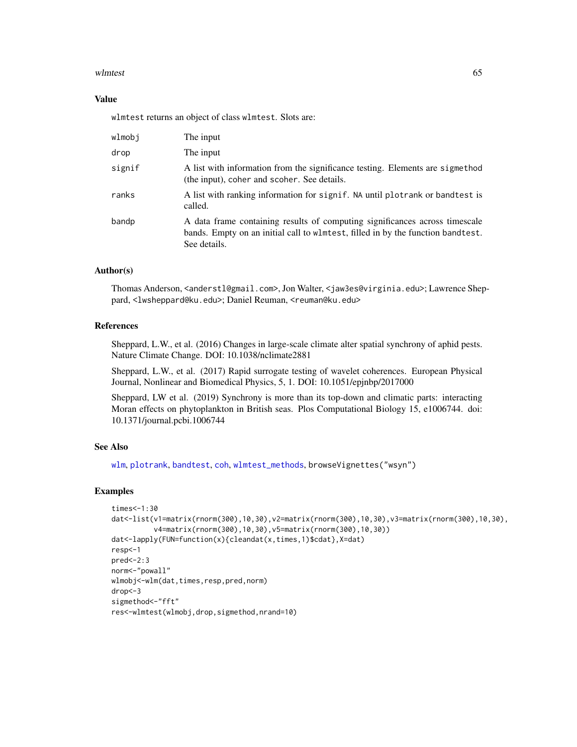### wlmtest 65

## Value

wlmtest returns an object of class wlmtest. Slots are:

| wlmobj | The input                                                                                                                                                                      |
|--------|--------------------------------------------------------------------------------------------------------------------------------------------------------------------------------|
| drop   | The input                                                                                                                                                                      |
| signif | A list with information from the significance testing. Elements are sigmethod<br>(the input), coher and scoher. See details.                                                   |
| ranks  | A list with ranking information for signif. NA until plotrank or bandtest is<br>called.                                                                                        |
| bandp  | A data frame containing results of computing significances across timescale<br>bands. Empty on an initial call to wlmtest, filled in by the function bandtest.<br>See details. |

## Author(s)

Thomas Anderson, <anderstl@gmail.com>, Jon Walter, <jaw3es@virginia.edu>; Lawrence Sheppard, <lwsheppard@ku.edu>; Daniel Reuman, <reuman@ku.edu>

### References

Sheppard, L.W., et al. (2016) Changes in large-scale climate alter spatial synchrony of aphid pests. Nature Climate Change. DOI: 10.1038/nclimate2881

Sheppard, L.W., et al. (2017) Rapid surrogate testing of wavelet coherences. European Physical Journal, Nonlinear and Biomedical Physics, 5, 1. DOI: 10.1051/epjnbp/2017000

Sheppard, LW et al. (2019) Synchrony is more than its top-down and climatic parts: interacting Moran effects on phytoplankton in British seas. Plos Computational Biology 15, e1006744. doi: 10.1371/journal.pcbi.1006744

# See Also

[wlm](#page-60-0), [plotrank](#page-38-0), [bandtest](#page-5-0), [coh](#page-16-0), [wlmtest\\_methods](#page-65-0), browseVignettes("wsyn")

### Examples

```
times<-1:30
dat<-list(v1=matrix(rnorm(300),10,30),v2=matrix(rnorm(300),10,30),v3=matrix(rnorm(300),10,30),
          v4=matrix(rnorm(300),10,30),v5=matrix(rnorm(300),10,30))
dat<-lapply(FUN=function(x){cleandat(x,times,1)$cdat},X=dat)
resp<-1
pred<-2:3norm<-"powall"
wlmobj<-wlm(dat,times,resp,pred,norm)
drop<-3
sigmethod <- "fft"
res<-wlmtest(wlmobj,drop,sigmethod,nrand=10)
```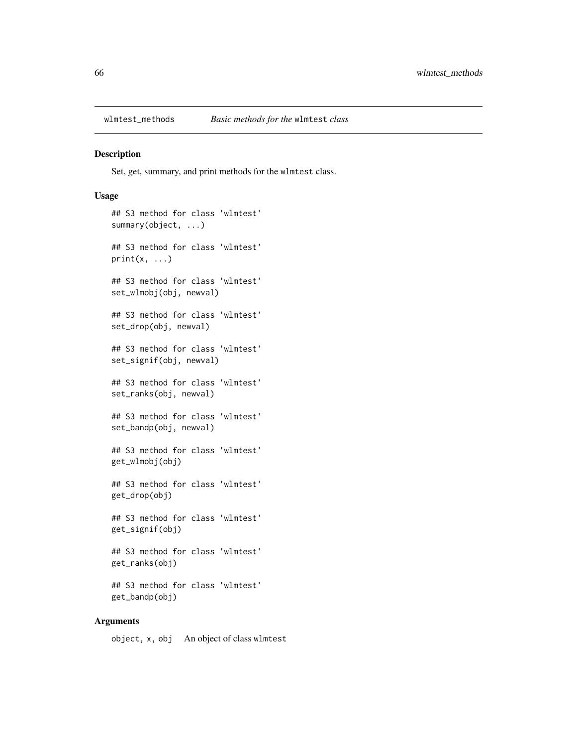<span id="page-65-0"></span>

### Description

Set, get, summary, and print methods for the wlmtest class.

### Usage

```
## S3 method for class 'wlmtest'
summary(object, ...)
## S3 method for class 'wlmtest'
print(x, \ldots)## S3 method for class 'wlmtest'
set_wlmobj(obj, newval)
## S3 method for class 'wlmtest'
set_drop(obj, newval)
## S3 method for class 'wlmtest'
set_signif(obj, newval)
## S3 method for class 'wlmtest'
set_ranks(obj, newval)
## S3 method for class 'wlmtest'
set_bandp(obj, newval)
## S3 method for class 'wlmtest'
get_wlmobj(obj)
## S3 method for class 'wlmtest'
get_drop(obj)
## S3 method for class 'wlmtest'
get_signif(obj)
## S3 method for class 'wlmtest'
get_ranks(obj)
## S3 method for class 'wlmtest'
get_bandp(obj)
```
## Arguments

object, x, obj An object of class wlmtest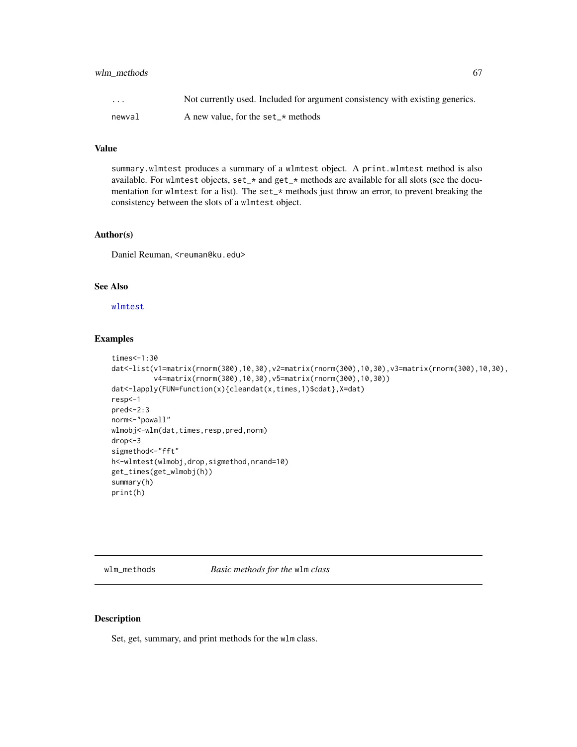# wlm\_methods 67

| $\cdots$ | Not currently used. Included for argument consistency with existing generics. |
|----------|-------------------------------------------------------------------------------|
| newval   | A new value, for the set_ $\star$ methods                                     |

### Value

summary.wlmtest produces a summary of a wlmtest object. A print.wlmtest method is also available. For wlmtest objects, set\_\* and get\_\* methods are available for all slots (see the documentation for wlmtest for a list). The set\_\* methods just throw an error, to prevent breaking the consistency between the slots of a wlmtest object.

## Author(s)

Daniel Reuman, <reuman@ku.edu>

# See Also

[wlmtest](#page-63-0)

### Examples

```
times<-1:30
dat<-list(v1=matrix(rnorm(300),10,30),v2=matrix(rnorm(300),10,30),v3=matrix(rnorm(300),10,30),
          v4=matrix(rnorm(300),10,30),v5=matrix(rnorm(300),10,30))
dat<-lapply(FUN=function(x){cleandat(x,times,1)$cdat},X=dat)
resp<-1
pred<-2:3
norm<-"powall"
wlmobj<-wlm(dat,times,resp,pred,norm)
drop<-3
sigmethod<-"fft"
h<-wlmtest(wlmobj,drop,sigmethod,nrand=10)
get_times(get_wlmobj(h))
summary(h)
print(h)
```
<span id="page-66-0"></span>wlm\_methods *Basic methods for the* wlm *class*

# Description

Set, get, summary, and print methods for the wlm class.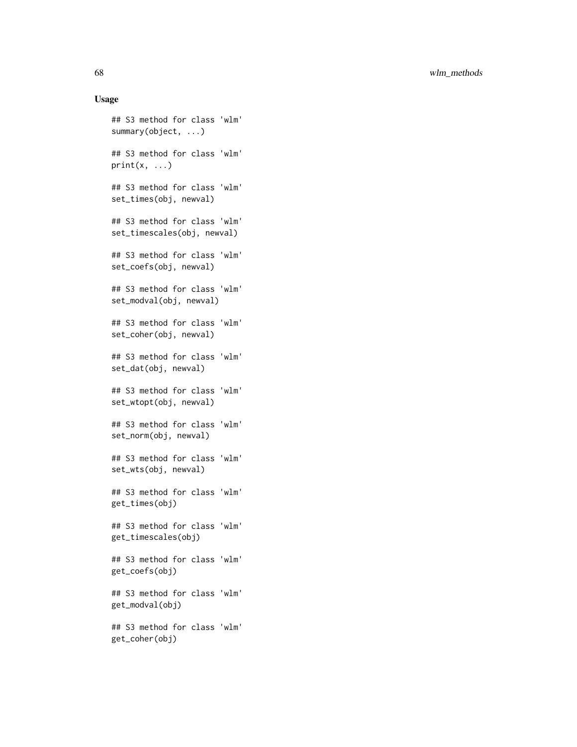68 wlm\_methods

### Usage

```
## S3 method for class 'wlm'
summary(object, ...)
## S3 method for class 'wlm'
print(x, \ldots)## S3 method for class 'wlm'
set_times(obj, newval)
## S3 method for class 'wlm'
set_timescales(obj, newval)
## S3 method for class 'wlm'
set_coefs(obj, newval)
## S3 method for class 'wlm'
set_modval(obj, newval)
## S3 method for class 'wlm'
set_coher(obj, newval)
## S3 method for class 'wlm'
set_dat(obj, newval)
## S3 method for class 'wlm'
set_wtopt(obj, newval)
## S3 method for class 'wlm'
set_norm(obj, newval)
## S3 method for class 'wlm'
set_wts(obj, newval)
## S3 method for class 'wlm'
get_times(obj)
## S3 method for class 'wlm'
get_timescales(obj)
## S3 method for class 'wlm'
get_coefs(obj)
## S3 method for class 'wlm'
get_modval(obj)
## S3 method for class 'wlm'
get_coher(obj)
```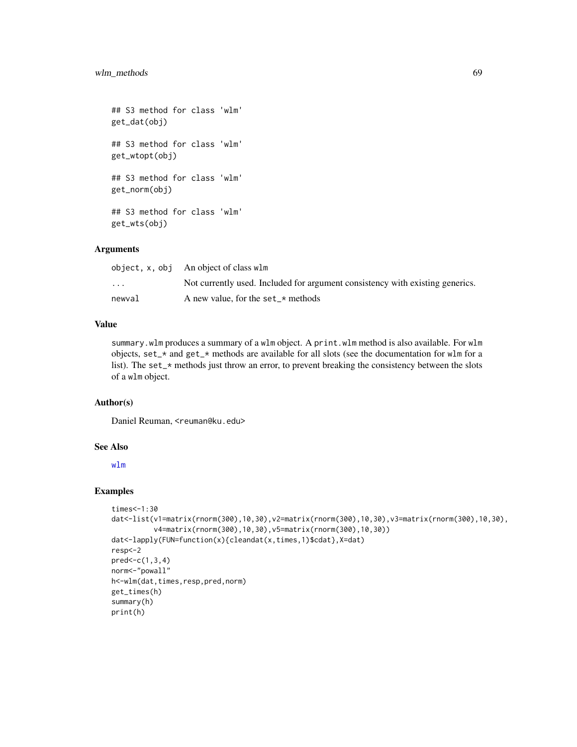```
## S3 method for class 'wlm'
get_dat(obj)
## S3 method for class 'wlm'
get_wtopt(obj)
## S3 method for class 'wlm'
get_norm(obj)
## S3 method for class 'wlm'
get_wts(obj)
```
# Arguments

|                         | object, x, obj — An object of class wlm —                                     |
|-------------------------|-------------------------------------------------------------------------------|
| $\cdot$ $\cdot$ $\cdot$ | Not currently used. Included for argument consistency with existing generics. |
| newval                  | A new value, for the set_ $\star$ methods                                     |

## Value

summary.wlm produces a summary of a wlm object. A print.wlm method is also available. For wlm objects, set\_\* and get\_\* methods are available for all slots (see the documentation for wlm for a list). The set\_\* methods just throw an error, to prevent breaking the consistency between the slots of a wlm object.

## Author(s)

Daniel Reuman, <reuman@ku.edu>

# See Also

[wlm](#page-60-0)

### Examples

```
times<-1:30
dat<-list(v1=matrix(rnorm(300),10,30),v2=matrix(rnorm(300),10,30),v3=matrix(rnorm(300),10,30),
          v4=matrix(rnorm(300),10,30),v5=matrix(rnorm(300),10,30))
dat<-lapply(FUN=function(x){cleandat(x,times,1)$cdat},X=dat)
resp<-2
pred<-c(1,3,4)
norm<-"powall"
h<-wlm(dat,times,resp,pred,norm)
get_times(h)
summary(h)
print(h)
```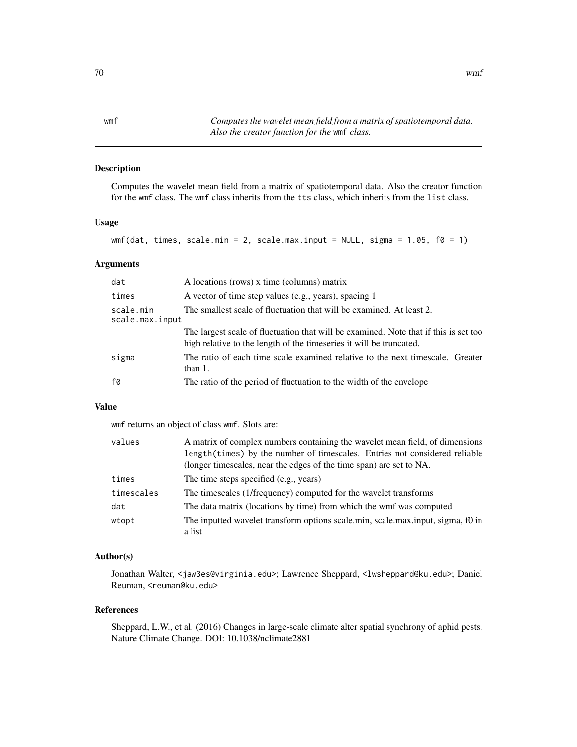<span id="page-69-0"></span>wmf *Computes the wavelet mean field from a matrix of spatiotemporal data. Also the creator function for the* wmf *class.*

## Description

Computes the wavelet mean field from a matrix of spatiotemporal data. Also the creator function for the wmf class. The wmf class inherits from the tts class, which inherits from the list class.

# Usage

```
wmf(dat, times, scale.min = 2, scale.max.input = NULL, sigma = 1.05, f0 = 1)
```
# Arguments

| dat                          | A locations (rows) x time (columns) matrix                                                                                                                  |
|------------------------------|-------------------------------------------------------------------------------------------------------------------------------------------------------------|
| times                        | A vector of time step values (e.g., years), spacing 1                                                                                                       |
| scale.min<br>scale.max.input | The smallest scale of fluctuation that will be examined. At least 2.                                                                                        |
|                              | The largest scale of fluctuation that will be examined. Note that if this is set too<br>high relative to the length of the timeseries it will be truncated. |
| sigma                        | The ratio of each time scale examined relative to the next timescale. Greater<br>than $1$ .                                                                 |
| f0                           | The ratio of the period of fluctuation to the width of the envelope                                                                                         |

### Value

wmf returns an object of class wmf. Slots are:

| values     | A matrix of complex numbers containing the wavelet mean field, of dimensions    |
|------------|---------------------------------------------------------------------------------|
|            | length(times) by the number of timescales. Entries not considered reliable      |
|            | (longer timescales, near the edges of the time span) are set to NA.             |
| times      | The time steps specified (e.g., years)                                          |
| timescales | The timescales (1/frequency) computed for the wavelet transforms                |
| dat        | The data matrix (locations by time) from which the wmf was computed             |
| wtopt      | The inputted wavelet transform options scale.min, scale.max.input, sigma, f0 in |
|            | a list                                                                          |

## Author(s)

Jonathan Walter, <jaw3es@virginia.edu>; Lawrence Sheppard, <lwsheppard@ku.edu>; Daniel Reuman, <reuman@ku.edu>

### References

Sheppard, L.W., et al. (2016) Changes in large-scale climate alter spatial synchrony of aphid pests. Nature Climate Change. DOI: 10.1038/nclimate2881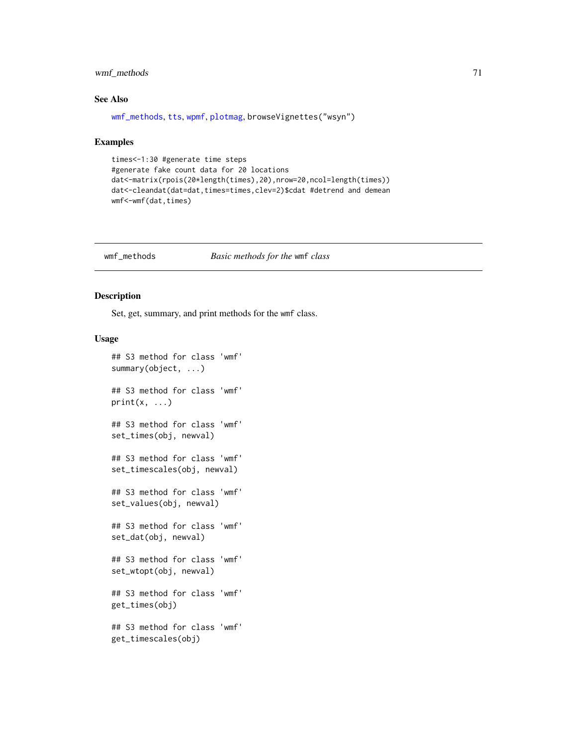# wmf\_methods 71

# See Also

[wmf\\_methods](#page-70-0), [tts](#page-55-0), [wpmf](#page-72-0), [plotmag](#page-31-0), browseVignettes("wsyn")

### Examples

```
times<-1:30 #generate time steps
#generate fake count data for 20 locations
dat<-matrix(rpois(20*length(times),20),nrow=20,ncol=length(times))
dat<-cleandat(dat=dat,times=times,clev=2)$cdat #detrend and demean
wmf<-wmf(dat,times)
```
<span id="page-70-0"></span>wmf\_methods *Basic methods for the* wmf *class*

# Description

Set, get, summary, and print methods for the wmf class.

### Usage

```
## S3 method for class 'wmf'
summary(object, ...)
## S3 method for class 'wmf'
print(x, \ldots)## S3 method for class 'wmf'
set_times(obj, newval)
## S3 method for class 'wmf'
set_timescales(obj, newval)
## S3 method for class 'wmf'
set_values(obj, newval)
## S3 method for class 'wmf'
set_dat(obj, newval)
## S3 method for class 'wmf'
set_wtopt(obj, newval)
## S3 method for class 'wmf'
get_times(obj)
## S3 method for class 'wmf'
get_timescales(obj)
```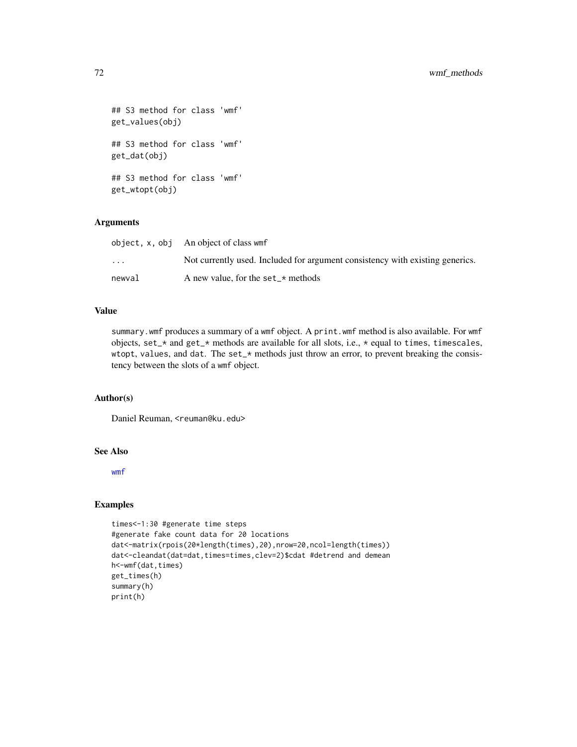```
## S3 method for class 'wmf'
get_values(obj)
## S3 method for class 'wmf'
get_dat(obj)
## S3 method for class 'wmf'
get_wtopt(obj)
```
## Arguments

|                         | object, x, obj An object of class wmf                                         |
|-------------------------|-------------------------------------------------------------------------------|
| $\cdot$ $\cdot$ $\cdot$ | Not currently used. Included for argument consistency with existing generics. |
| newval                  | A new value, for the set $\star$ methods                                      |

# Value

summary.wmf produces a summary of a wmf object. A print.wmf method is also available. For wmf objects, set\_\* and get\_\* methods are available for all slots, i.e., \* equal to times, timescales, wtopt, values, and dat. The set\_\* methods just throw an error, to prevent breaking the consistency between the slots of a wmf object.

## Author(s)

Daniel Reuman, <reuman@ku.edu>

## See Also

[wmf](#page-69-0)

# Examples

```
times<-1:30 #generate time steps
#generate fake count data for 20 locations
dat<-matrix(rpois(20*length(times),20),nrow=20,ncol=length(times))
dat<-cleandat(dat=dat,times=times,clev=2)$cdat #detrend and demean
h<-wmf(dat,times)
get_times(h)
summary(h)
print(h)
```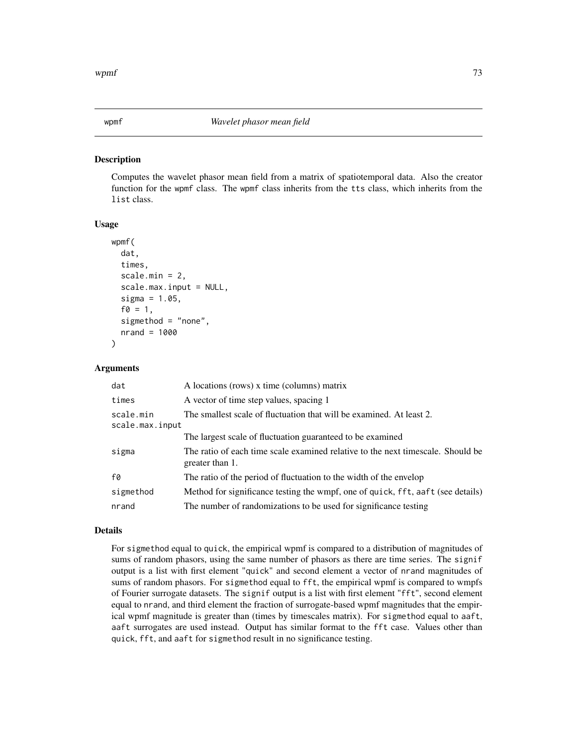<span id="page-72-1"></span><span id="page-72-0"></span>

#### Description

Computes the wavelet phasor mean field from a matrix of spatiotemporal data. Also the creator function for the wpmf class. The wpmf class inherits from the tts class, which inherits from the list class.

#### Usage

```
wpmf(
  dat,
  times,
  scale.min = 2,
  scale.max.input = NULL,
  sigma = 1.05,
  f0 = 1,
  sigmethod = "none",
  nrand = 1000
```
#### Arguments

)

| dat                          | A locations (rows) x time (columns) matrix                                                         |
|------------------------------|----------------------------------------------------------------------------------------------------|
| times                        | A vector of time step values, spacing 1                                                            |
| scale.min<br>scale.max.input | The smallest scale of fluctuation that will be examined. At least 2.                               |
|                              | The largest scale of fluctuation guaranteed to be examined                                         |
| sigma                        | The ratio of each time scale examined relative to the next timescale. Should be<br>greater than 1. |
| f0                           | The ratio of the period of fluctuation to the width of the envelop                                 |
| sigmethod                    | Method for significance testing the wmpf, one of quick, fft, aaft (see details)                    |
| nrand                        | The number of randomizations to be used for significance testing                                   |

## Details

For sigmethod equal to quick, the empirical wpmf is compared to a distribution of magnitudes of sums of random phasors, using the same number of phasors as there are time series. The signif output is a list with first element "quick" and second element a vector of nrand magnitudes of sums of random phasors. For sigmethod equal to fft, the empirical wpmf is compared to wmpfs of Fourier surrogate datasets. The signif output is a list with first element "fft", second element equal to nrand, and third element the fraction of surrogate-based wpmf magnitudes that the empirical wpmf magnitude is greater than (times by timescales matrix). For sigmethod equal to aaft, aaft surrogates are used instead. Output has similar format to the fft case. Values other than quick, fft, and aaft for sigmethod result in no significance testing.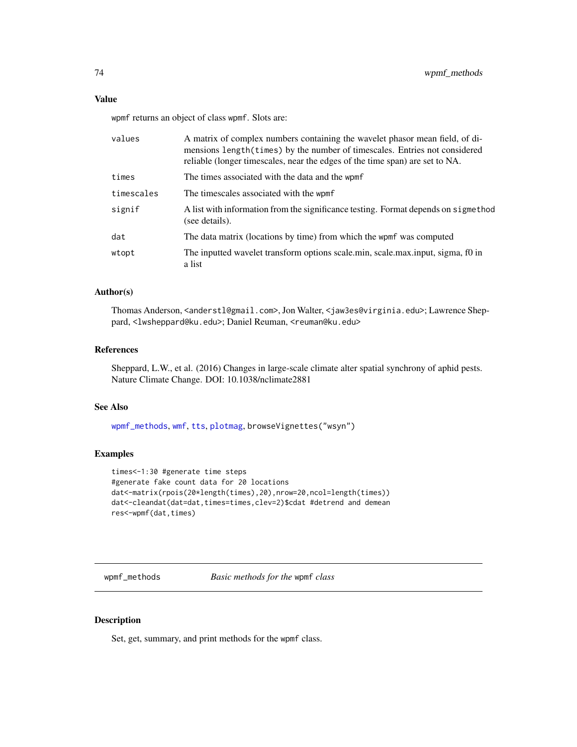<span id="page-73-1"></span>wpmf returns an object of class wpmf. Slots are:

| values     | A matrix of complex numbers containing the wavelet phasor mean field, of di-<br>mensions length (times) by the number of timescales. Entries not considered<br>reliable (longer timescales, near the edges of the time span) are set to NA. |
|------------|---------------------------------------------------------------------------------------------------------------------------------------------------------------------------------------------------------------------------------------------|
| times      | The times associated with the data and the wpmf                                                                                                                                                                                             |
| timescales | The timescales associated with the wpmf                                                                                                                                                                                                     |
| signif     | A list with information from the significance testing. Format depends on sigmethod<br>(see details).                                                                                                                                        |
| dat        | The data matrix (locations by time) from which the wpmf was computed                                                                                                                                                                        |
| wtopt      | The inputted wavelet transform options scale min, scale max input, sigma, f0 in<br>a list                                                                                                                                                   |

## Author(s)

Thomas Anderson, <anderstl@gmail.com>, Jon Walter, <jaw3es@virginia.edu>; Lawrence Sheppard, <lwsheppard@ku.edu>; Daniel Reuman, <reuman@ku.edu>

## References

Sheppard, L.W., et al. (2016) Changes in large-scale climate alter spatial synchrony of aphid pests. Nature Climate Change. DOI: 10.1038/nclimate2881

### See Also

[wpmf\\_methods](#page-73-0), [wmf](#page-69-0), [tts](#page-55-0), [plotmag](#page-31-0), browseVignettes("wsyn")

## Examples

```
times<-1:30 #generate time steps
#generate fake count data for 20 locations
dat<-matrix(rpois(20*length(times),20),nrow=20,ncol=length(times))
dat<-cleandat(dat=dat,times=times,clev=2)$cdat #detrend and demean
res<-wpmf(dat,times)
```
<span id="page-73-0"></span>wpmf\_methods *Basic methods for the* wpmf *class*

## Description

Set, get, summary, and print methods for the wpmf class.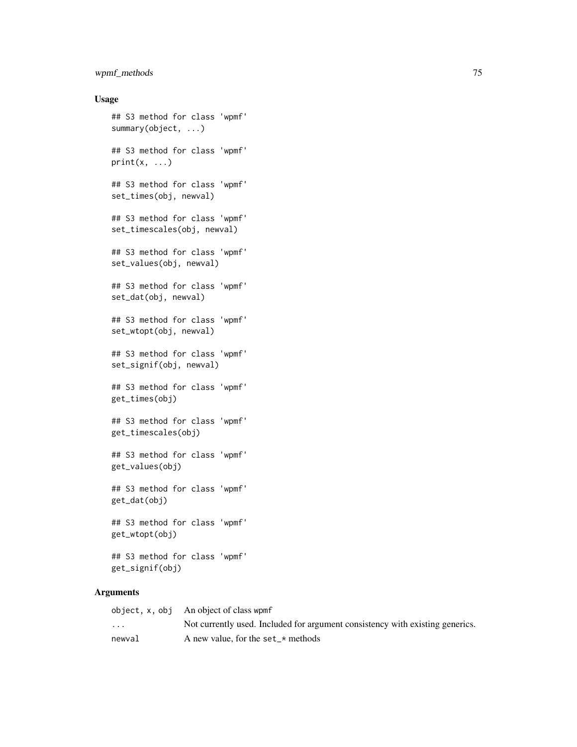## wpmf\_methods 75

## Usage

```
## S3 method for class 'wpmf'
summary(object, ...)
## S3 method for class 'wpmf'
print(x, \ldots)## S3 method for class 'wpmf'
set_times(obj, newval)
## S3 method for class 'wpmf'
set_timescales(obj, newval)
## S3 method for class 'wpmf'
set_values(obj, newval)
## S3 method for class 'wpmf'
set_dat(obj, newval)
## S3 method for class 'wpmf'
set_wtopt(obj, newval)
## S3 method for class 'wpmf'
set_signif(obj, newval)
## S3 method for class 'wpmf'
get_times(obj)
## S3 method for class 'wpmf'
get_timescales(obj)
## S3 method for class 'wpmf'
get_values(obj)
## S3 method for class 'wpmf'
get_dat(obj)
## S3 method for class 'wpmf'
get_wtopt(obj)
## S3 method for class 'wpmf'
```
get\_signif(obj)

## Arguments

|                         | object, x, obj An object of class wpmf                                        |
|-------------------------|-------------------------------------------------------------------------------|
| $\cdot$ $\cdot$ $\cdot$ | Not currently used. Included for argument consistency with existing generics. |
| newval                  | A new value, for the set_ $\star$ methods                                     |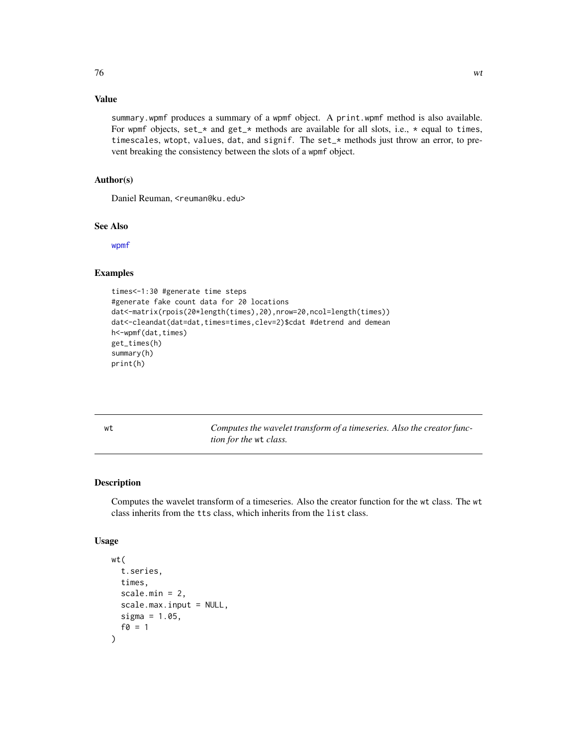# <span id="page-75-1"></span>Value

summary.wpmf produces a summary of a wpmf object. A print.wpmf method is also available. For wpmf objects, set\_\* and get\_\* methods are available for all slots, i.e., \* equal to times, timescales, wtopt, values, dat, and signif. The set\_\* methods just throw an error, to prevent breaking the consistency between the slots of a wpmf object.

## Author(s)

Daniel Reuman, <reuman@ku.edu>

#### See Also

[wpmf](#page-72-0)

## Examples

```
times<-1:30 #generate time steps
#generate fake count data for 20 locations
dat<-matrix(rpois(20*length(times),20),nrow=20,ncol=length(times))
dat<-cleandat(dat=dat,times=times,clev=2)$cdat #detrend and demean
h<-wpmf(dat,times)
get_times(h)
summary(h)
print(h)
```
<span id="page-75-0"></span>wt *Computes the wavelet transform of a timeseries. Also the creator function for the* wt *class.*

#### Description

Computes the wavelet transform of a timeseries. Also the creator function for the wt class. The wt class inherits from the tts class, which inherits from the list class.

#### Usage

```
wt(
  t.series,
  times,
  scale.min = 2,
  scale.max.input = NULL,
  sigma = 1.05,
  f0 = 1)
```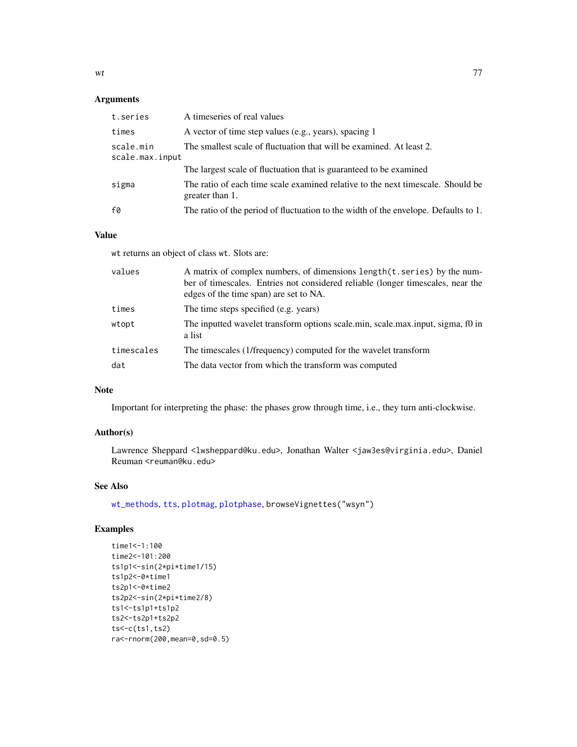## <span id="page-76-0"></span>Arguments

| t.series                     | A timeseries of real values                                                                        |
|------------------------------|----------------------------------------------------------------------------------------------------|
| times                        | A vector of time step values (e.g., years), spacing 1                                              |
| scale.min<br>scale.max.input | The smallest scale of fluctuation that will be examined. At least 2.                               |
|                              | The largest scale of fluctuation that is guaranteed to be examined                                 |
| sigma                        | The ratio of each time scale examined relative to the next timescale. Should be<br>greater than 1. |
| f0                           | The ratio of the period of fluctuation to the width of the envelope. Defaults to 1.                |

# Value

wt returns an object of class wt. Slots are:

| values     | A matrix of complex numbers, of dimensions length(t, series) by the num-<br>ber of timescales. Entries not considered reliable (longer timescales, near the<br>edges of the time span) are set to NA. |
|------------|-------------------------------------------------------------------------------------------------------------------------------------------------------------------------------------------------------|
| times      | The time steps specified (e.g. years)                                                                                                                                                                 |
| wtopt      | The inputted wavelet transform options scale min, scale max input, sigma, f0 in<br>a list                                                                                                             |
| timescales | The timescales (1/frequency) computed for the wavelet transform                                                                                                                                       |
| dat        | The data vector from which the transform was computed                                                                                                                                                 |

# Note

Important for interpreting the phase: the phases grow through time, i.e., they turn anti-clockwise.

## Author(s)

Lawrence Sheppard <lwsheppard@ku.edu>, Jonathan Walter <jaw3es@virginia.edu>, Daniel Reuman <reuman@ku.edu>

## See Also

[wt\\_methods](#page-77-0), [tts](#page-55-0), [plotmag](#page-31-0), [plotphase](#page-36-0), browseVignettes("wsyn")

# Examples

```
time1<-1:100
time2<-101:200
ts1p1<-sin(2*pi*time1/15)
ts1p2<-0*time1
ts2p1<-0*time2
ts2p2<-sin(2*pi*time2/8)
ts1<-ts1p1+ts1p2
ts2<-ts2p1+ts2p2
ts < -c(ts1, ts2)ra<-rnorm(200,mean=0,sd=0.5)
```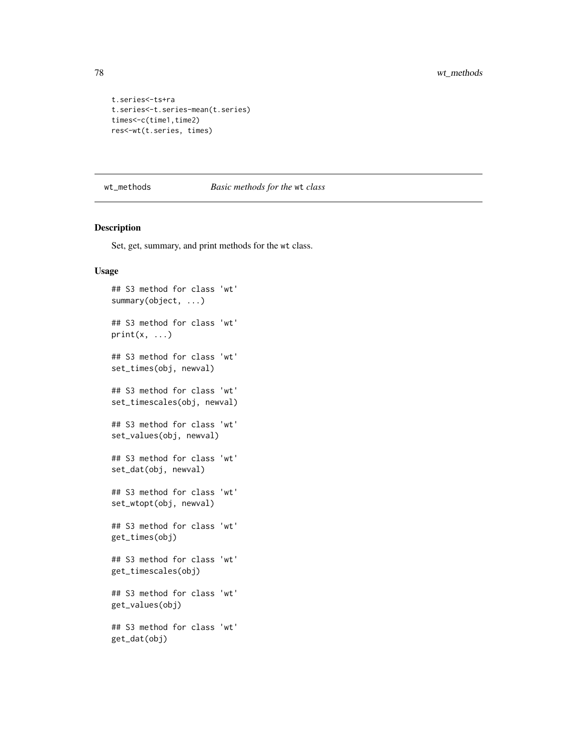```
t.series<-ts+ra
t.series<-t.series-mean(t.series)
times<-c(time1,time2)
res<-wt(t.series, times)
```
<span id="page-77-0"></span>wt\_methods *Basic methods for the* wt *class*

## Description

Set, get, summary, and print methods for the wt class.

#### Usage

```
## S3 method for class 'wt'
summary(object, ...)
## S3 method for class 'wt'
print(x, \ldots)## S3 method for class 'wt'
set_times(obj, newval)
## S3 method for class 'wt'
set_timescales(obj, newval)
## S3 method for class 'wt'
set_values(obj, newval)
## S3 method for class 'wt'
set_dat(obj, newval)
## S3 method for class 'wt'
set_wtopt(obj, newval)
## S3 method for class 'wt'
get_times(obj)
## S3 method for class 'wt'
get_timescales(obj)
## S3 method for class 'wt'
get_values(obj)
## S3 method for class 'wt'
get_dat(obj)
```
<span id="page-77-1"></span>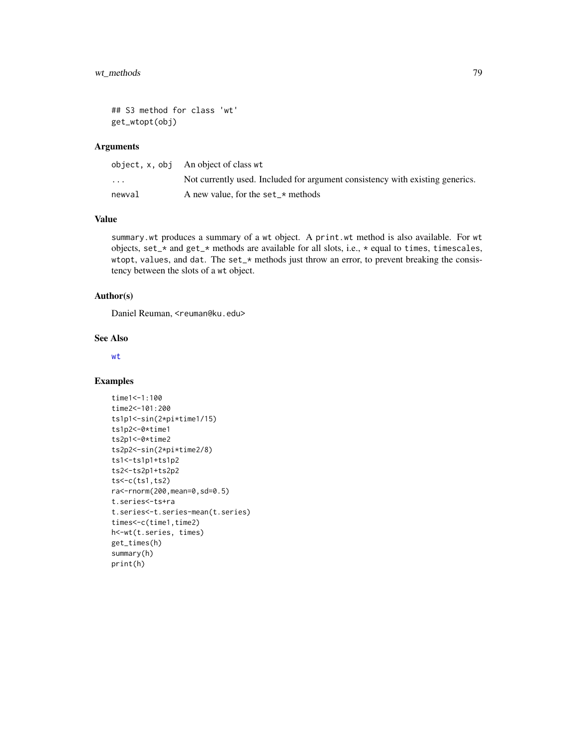```
## S3 method for class 'wt'
get_wtopt(obj)
```
## Arguments

|                         | object, $x$ , $obj$ An object of class wt                                     |
|-------------------------|-------------------------------------------------------------------------------|
| $\cdot$ $\cdot$ $\cdot$ | Not currently used. Included for argument consistency with existing generics. |
| newval                  | A new value, for the set_ $\star$ methods                                     |

## Value

summary.wt produces a summary of a wt object. A print.wt method is also available. For wt objects, set\_\* and get\_\* methods are available for all slots, i.e., \* equal to times, timescales, wtopt, values, and dat. The set\_\* methods just throw an error, to prevent breaking the consistency between the slots of a wt object.

## Author(s)

Daniel Reuman, <reuman@ku.edu>

#### See Also

[wt](#page-75-0)

#### Examples

```
time1<-1:100
time2<-101:200
ts1p1<-sin(2*pi*time1/15)
ts1p2<-0*time1
ts2p1<-0*time2
ts2p2<-sin(2*pi*time2/8)
ts1<-ts1p1+ts1p2
ts2<-ts2p1+ts2p2
ts<-c(ts1,ts2)
ra<-rnorm(200,mean=0,sd=0.5)
t.series<-ts+ra
t.series<-t.series-mean(t.series)
times<-c(time1,time2)
h<-wt(t.series, times)
get_times(h)
summary(h)
print(h)
```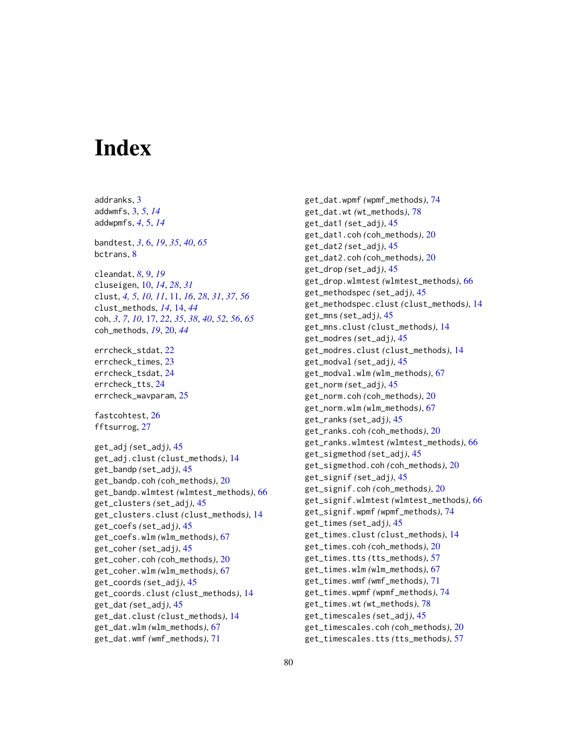# **Index**

addranks, [3](#page-2-0) addwmfs, [3,](#page-2-0) *[5](#page-4-0)*, *[14](#page-13-0)* addwpmfs, *[4](#page-3-0)*, [5,](#page-4-0) *[14](#page-13-0)* bandtest, *[3](#page-2-0)*, [6,](#page-5-0) *[19](#page-18-0)*, *[35](#page-34-0)*, *[40](#page-39-0)*, *[65](#page-64-0)* bctrans, [8](#page-7-0) cleandat, *[8](#page-7-0)*, [9,](#page-8-0) *[19](#page-18-0)* cluseigen, [10,](#page-9-0) *[14](#page-13-0)*, *[28](#page-27-0)*, *[31](#page-30-0)* clust, *[4,](#page-3-0) [5](#page-4-0)*, *[10,](#page-9-0) [11](#page-10-0)*, [11,](#page-10-0) *[16](#page-15-0)*, *[28](#page-27-0)*, *[31](#page-30-0)*, *[37](#page-36-1)*, *[56](#page-55-1)* clust\_methods, *[14](#page-13-0)*, [14,](#page-13-0) *[44](#page-43-0)* coh, *[3](#page-2-0)*, *[7](#page-6-0)*, *[10](#page-9-0)*, [17,](#page-16-0) *[22](#page-21-0)*, *[35](#page-34-0)*, *[38](#page-37-0)*, *[40](#page-39-0)*, *[52](#page-51-0)*, *[56](#page-55-1)*, *[65](#page-64-0)* coh\_methods, *[19](#page-18-0)*, [20,](#page-19-0) *[44](#page-43-0)* errcheck\_stdat, [22](#page-21-0) errcheck\_times, [23](#page-22-0) errcheck\_tsdat, [24](#page-23-0) errcheck\_tts, [24](#page-23-0) errcheck\_wavparam, [25](#page-24-0) fastcohtest, [26](#page-25-0) fftsurrog, [27](#page-26-0) get\_adj *(*set\_adj*)*, [45](#page-44-0) get\_adj.clust *(*clust\_methods*)*, [14](#page-13-0) get\_bandp *(*set\_adj*)*, [45](#page-44-0) get\_bandp.coh *(*coh\_methods*)*, [20](#page-19-0) get\_bandp.wlmtest *(*wlmtest\_methods*)*, [66](#page-65-0) get\_clusters *(*set\_adj*)*, [45](#page-44-0) get\_clusters.clust *(*clust\_methods*)*, [14](#page-13-0) get\_coefs *(*set\_adj*)*, [45](#page-44-0) get\_coefs.wlm *(*wlm\_methods*)*, [67](#page-66-0) get\_coher *(*set\_adj*)*, [45](#page-44-0) get\_coher.coh *(*coh\_methods*)*, [20](#page-19-0) get\_coher.wlm *(*wlm\_methods*)*, [67](#page-66-0) get\_coords *(*set\_adj*)*, [45](#page-44-0) get\_coords.clust *(*clust\_methods*)*, [14](#page-13-0) get\_dat *(*set\_adj*)*, [45](#page-44-0) get\_dat.clust *(*clust\_methods*)*, [14](#page-13-0) get\_dat.wlm *(*wlm\_methods*)*, [67](#page-66-0) get\_dat.wmf *(*wmf\_methods*)*, [71](#page-70-0)

get\_dat.wpmf *(*wpmf\_methods*)*, [74](#page-73-1) get\_dat.wt *(*wt\_methods*)*, [78](#page-77-1) get\_dat1 *(*set\_adj*)*, [45](#page-44-0) get\_dat1.coh *(*coh\_methods*)*, [20](#page-19-0) get\_dat2 *(*set\_adj*)*, [45](#page-44-0) get\_dat2.coh *(*coh\_methods*)*, [20](#page-19-0) get\_drop *(*set\_adj*)*, [45](#page-44-0) get\_drop.wlmtest *(*wlmtest\_methods*)*, [66](#page-65-0) get\_methodspec *(*set\_adj*)*, [45](#page-44-0) get\_methodspec.clust *(*clust\_methods*)*, [14](#page-13-0) get\_mns *(*set\_adj*)*, [45](#page-44-0) get\_mns.clust *(*clust\_methods*)*, [14](#page-13-0) get\_modres *(*set\_adj*)*, [45](#page-44-0) get\_modres.clust *(*clust\_methods*)*, [14](#page-13-0) get\_modval *(*set\_adj*)*, [45](#page-44-0) get\_modval.wlm *(*wlm\_methods*)*, [67](#page-66-0) get\_norm *(*set\_adj*)*, [45](#page-44-0) get\_norm.coh *(*coh\_methods*)*, [20](#page-19-0) get\_norm.wlm *(*wlm\_methods*)*, [67](#page-66-0) get\_ranks *(*set\_adj*)*, [45](#page-44-0) get\_ranks.coh *(*coh\_methods*)*, [20](#page-19-0) get\_ranks.wlmtest *(*wlmtest\_methods*)*, [66](#page-65-0) get\_sigmethod *(*set\_adj*)*, [45](#page-44-0) get\_sigmethod.coh *(*coh\_methods*)*, [20](#page-19-0) get\_signif *(*set\_adj*)*, [45](#page-44-0) get\_signif.coh *(*coh\_methods*)*, [20](#page-19-0) get\_signif.wlmtest *(*wlmtest\_methods*)*, [66](#page-65-0) get\_signif.wpmf *(*wpmf\_methods*)*, [74](#page-73-1) get\_times *(*set\_adj*)*, [45](#page-44-0) get\_times.clust *(*clust\_methods*)*, [14](#page-13-0) get\_times.coh *(*coh\_methods*)*, [20](#page-19-0) get\_times.tts *(*tts\_methods*)*, [57](#page-56-0) get\_times.wlm *(*wlm\_methods*)*, [67](#page-66-0) get\_times.wmf *(*wmf\_methods*)*, [71](#page-70-0) get\_times.wpmf *(*wpmf\_methods*)*, [74](#page-73-1) get\_times.wt *(*wt\_methods*)*, [78](#page-77-1) get\_timescales *(*set\_adj*)*, [45](#page-44-0) get\_timescales.coh *(*coh\_methods*)*, [20](#page-19-0) get\_timescales.tts *(*tts\_methods*)*, [57](#page-56-0)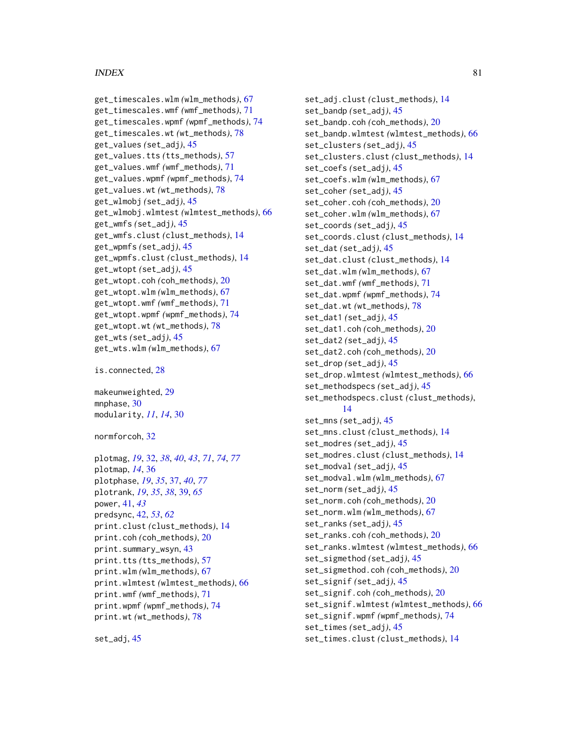#### INDEX  $81$

```
get_timescales.wlm (wlm_methods), 67
get_timescales.wmf (wmf_methods), 71
get_timescales.wpmf (wpmf_methods), 74
get_timescales.wt (wt_methods), 78
get_values (set_adj), 45
get_values.tts (tts_methods), 57
get_values.wmf (wmf_methods), 71
get_values.wpmf (wpmf_methods), 74
get_values.wt (wt_methods), 78
get_wlmobj (set_adj), 45
get_wlmobj.wlmtest (wlmtest_methods), 66
get_wmfs (set_adj), 45
get_wmfs.clust (clust_methods), 14
get_wpmfs (set_adj), 45
get_wpmfs.clust (clust_methods), 14
get_wtopt (set_adj), 45
get_wtopt.coh (coh_methods), 20
get_wtopt.wlm (wlm_methods), 67
get_wtopt.wmf (wmf_methods), 71
get_wtopt.wpmf (wpmf_methods), 74
get_wtopt.wt (wt_methods), 78
get_wts (set_adj), 45
get_wts.wlm (wlm_methods), 67
```
is.connected, [28](#page-27-0)

makeunweighted, [29](#page-28-0) mnphase, [30](#page-29-0) modularity, *[11](#page-10-0)*, *[14](#page-13-0)*, [30](#page-29-0)

normforcoh, [32](#page-31-1)

```
plotmag, 19, 32, 38, 40, 43, 71, 74, 77
plotmap, 14, 36
plotphase, 19, 35, 37, 40, 77
plotrank, 19, 35, 38, 39, 65
power, 41, 43
predsync, 42, 53, 62
print.clust (clust_methods), 14
print.coh (coh_methods), 20
print.summary_wsyn, 43
print.tts (tts_methods), 57
print.wlm (wlm_methods), 67
print.wlmtest (wlmtest_methods), 66
print.wmf (wmf_methods), 71
print.wpmf (wpmf_methods), 74
print.wt (wt_methods), 78
```
set\_adj, [45](#page-44-0)

set\_adj.clust *(*clust\_methods*)*, [14](#page-13-0) set\_bandp *(*set\_adj*)*, [45](#page-44-0) set\_bandp.coh *(*coh\_methods*)*, [20](#page-19-0) set\_bandp.wlmtest *(*wlmtest\_methods*)*, [66](#page-65-0) set\_clusters *(*set\_adj*)*, [45](#page-44-0) set\_clusters.clust *(*clust\_methods*)*, [14](#page-13-0) set\_coefs *(*set\_adj*)*, [45](#page-44-0) set\_coefs.wlm *(*wlm\_methods*)*, [67](#page-66-0) set\_coher *(*set\_adj*)*, [45](#page-44-0) set\_coher.coh *(*coh\_methods*)*, [20](#page-19-0) set\_coher.wlm *(*wlm\_methods*)*, [67](#page-66-0) set\_coords *(*set\_adj*)*, [45](#page-44-0) set\_coords.clust *(*clust\_methods*)*, [14](#page-13-0) set\_dat *(*set\_adj*)*, [45](#page-44-0) set\_dat.clust *(*clust\_methods*)*, [14](#page-13-0) set\_dat.wlm *(*wlm\_methods*)*, [67](#page-66-0) set\_dat.wmf *(*wmf\_methods*)*, [71](#page-70-0) set\_dat.wpmf *(*wpmf\_methods*)*, [74](#page-73-1) set\_dat.wt *(*wt\_methods*)*, [78](#page-77-1) set\_dat1 *(*set\_adj*)*, [45](#page-44-0) set\_dat1.coh *(*coh\_methods*)*, [20](#page-19-0) set\_dat2 *(*set\_adj*)*, [45](#page-44-0) set\_dat2.coh *(*coh\_methods*)*, [20](#page-19-0) set\_drop *(*set\_adj*)*, [45](#page-44-0) set\_drop.wlmtest *(*wlmtest\_methods*)*, [66](#page-65-0) set\_methodspecs *(*set\_adj*)*, [45](#page-44-0) set\_methodspecs.clust *(*clust\_methods*)*, [14](#page-13-0) set\_mns *(*set\_adj*)*, [45](#page-44-0) set\_mns.clust *(*clust\_methods*)*, [14](#page-13-0) set\_modres *(*set\_adj*)*, [45](#page-44-0) set\_modres.clust *(*clust\_methods*)*, [14](#page-13-0) set\_modval *(*set\_adj*)*, [45](#page-44-0) set\_modval.wlm *(*wlm\_methods*)*, [67](#page-66-0) set\_norm *(*set\_adj*)*, [45](#page-44-0) set\_norm.coh *(*coh\_methods*)*, [20](#page-19-0) set\_norm.wlm *(*wlm\_methods*)*, [67](#page-66-0) set\_ranks *(*set\_adj*)*, [45](#page-44-0) set\_ranks.coh *(*coh\_methods*)*, [20](#page-19-0) set\_ranks.wlmtest *(*wlmtest\_methods*)*, [66](#page-65-0) set\_sigmethod *(*set\_adj*)*, [45](#page-44-0) set\_sigmethod.coh *(*coh\_methods*)*, [20](#page-19-0) set\_signif *(*set\_adj*)*, [45](#page-44-0) set\_signif.coh *(*coh\_methods*)*, [20](#page-19-0) set\_signif.wlmtest *(*wlmtest\_methods*)*, [66](#page-65-0) set\_signif.wpmf *(*wpmf\_methods*)*, [74](#page-73-1) set\_times *(*set\_adj*)*, [45](#page-44-0) set\_times.clust *(*clust\_methods*)*, [14](#page-13-0)